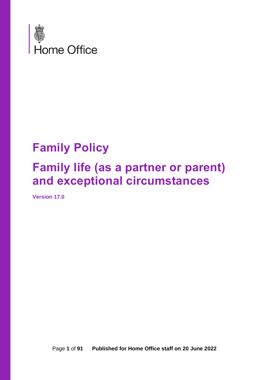

# **Family Policy Family life (as a partner or parent) and exceptional circumstances**

**Version 17.0**

Page **1** of **91 Published for Home Office staff on 20 June 2022**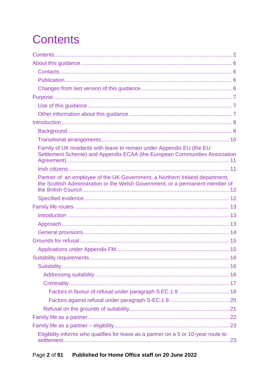# <span id="page-1-0"></span>**Contents**

| Family of UK residents with leave to remain under Appendix EU (the EU<br>Settlement Scheme) and Appendix ECAA (the European Communities Association          |  |
|--------------------------------------------------------------------------------------------------------------------------------------------------------------|--|
|                                                                                                                                                              |  |
| Partner of an employee of the UK Government, a Northern Ireland department,<br>the Scottish Administration or the Welsh Government, or a permanent member of |  |
|                                                                                                                                                              |  |
|                                                                                                                                                              |  |
|                                                                                                                                                              |  |
|                                                                                                                                                              |  |
|                                                                                                                                                              |  |
|                                                                                                                                                              |  |
|                                                                                                                                                              |  |
|                                                                                                                                                              |  |
|                                                                                                                                                              |  |
|                                                                                                                                                              |  |
|                                                                                                                                                              |  |
|                                                                                                                                                              |  |
|                                                                                                                                                              |  |
|                                                                                                                                                              |  |
|                                                                                                                                                              |  |
|                                                                                                                                                              |  |
| Eligibility informs who qualifies for leave as a partner on a 5 or 10-year route to                                                                          |  |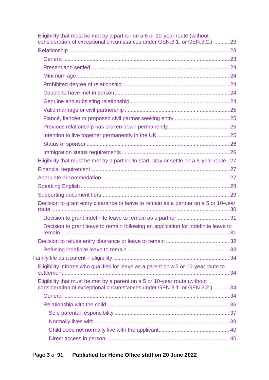| Eligibility that must be met by a partner on a 5 or 10-year route (without<br>consideration of exceptional circumstances under GEN.3.1. or GEN.3.2.) 23 |  |
|---------------------------------------------------------------------------------------------------------------------------------------------------------|--|
|                                                                                                                                                         |  |
|                                                                                                                                                         |  |
|                                                                                                                                                         |  |
|                                                                                                                                                         |  |
|                                                                                                                                                         |  |
|                                                                                                                                                         |  |
|                                                                                                                                                         |  |
|                                                                                                                                                         |  |
|                                                                                                                                                         |  |
|                                                                                                                                                         |  |
|                                                                                                                                                         |  |
|                                                                                                                                                         |  |
|                                                                                                                                                         |  |
| Eligibility that must be met by a partner to start, stay or settle on a 5-year route 27                                                                 |  |
|                                                                                                                                                         |  |
|                                                                                                                                                         |  |
|                                                                                                                                                         |  |
|                                                                                                                                                         |  |
| Decision to grant entry clearance or leave to remain as a partner on a 5 or 10-year                                                                     |  |
|                                                                                                                                                         |  |
| Decision to grant leave to remain following an application for indefinite leave to                                                                      |  |
|                                                                                                                                                         |  |
|                                                                                                                                                         |  |
|                                                                                                                                                         |  |
| Eligibility informs who qualifies for leave as a parent on a 5 or 10-year route to                                                                      |  |
| Eligibility that must be met by a parent on a 5 or 10-year route (without<br>consideration of exceptional circumstances under GEN.3.1. or GEN.3.2.) 34  |  |
|                                                                                                                                                         |  |
|                                                                                                                                                         |  |
|                                                                                                                                                         |  |
|                                                                                                                                                         |  |
|                                                                                                                                                         |  |
|                                                                                                                                                         |  |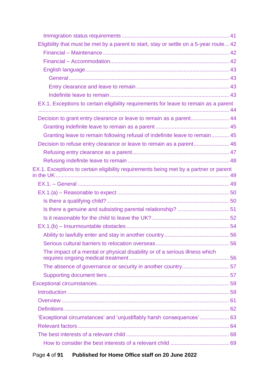| Eligibility that must be met by a parent to start, stay or settle on a 5-year route 42 |  |
|----------------------------------------------------------------------------------------|--|
|                                                                                        |  |
|                                                                                        |  |
|                                                                                        |  |
|                                                                                        |  |
|                                                                                        |  |
|                                                                                        |  |
| EX.1. Exceptions to certain eligibility requirements for leave to remain as a parent   |  |
|                                                                                        |  |
| Decision to grant entry clearance or leave to remain as a parent 44                    |  |
|                                                                                        |  |
| Granting leave to remain following refusal of indefinite leave to remain 45            |  |
| Decision to refuse entry clearance or leave to remain as a parent 46                   |  |
|                                                                                        |  |
|                                                                                        |  |
| EX.1. Exceptions to certain eligibility requirements being met by a partner or parent  |  |
|                                                                                        |  |
|                                                                                        |  |
|                                                                                        |  |
|                                                                                        |  |
|                                                                                        |  |
|                                                                                        |  |
|                                                                                        |  |
|                                                                                        |  |
| The impact of a mental or physical disability or of a serious illness which            |  |
|                                                                                        |  |
|                                                                                        |  |
|                                                                                        |  |
|                                                                                        |  |
|                                                                                        |  |
|                                                                                        |  |
| 'Exceptional circumstances' and 'unjustifiably harsh consequences' 63                  |  |
|                                                                                        |  |
|                                                                                        |  |
|                                                                                        |  |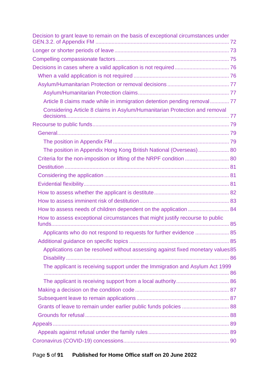| Decision to grant leave to remain on the basis of exceptional circumstances under |  |
|-----------------------------------------------------------------------------------|--|
|                                                                                   |  |
|                                                                                   |  |
|                                                                                   |  |
|                                                                                   |  |
|                                                                                   |  |
|                                                                                   |  |
| Article 8 claims made while in immigration detention pending removal 77           |  |
| Considering Article 8 claims in Asylum/Humanitarian Protection and removal        |  |
|                                                                                   |  |
|                                                                                   |  |
|                                                                                   |  |
| The position in Appendix Hong Kong British National (Overseas) 80                 |  |
| Criteria for the non-imposition or lifting of the NRPF condition  80              |  |
|                                                                                   |  |
|                                                                                   |  |
|                                                                                   |  |
|                                                                                   |  |
|                                                                                   |  |
| How to assess needs of children dependent on the application  84                  |  |
| How to assess exceptional circumstances that might justify recourse to public     |  |
|                                                                                   |  |
|                                                                                   |  |
| Applications can be resolved without assessing against fixed monetary values 85   |  |
|                                                                                   |  |
| The applicant is receiving support under the Immigration and Asylum Act 1999      |  |
|                                                                                   |  |
|                                                                                   |  |
|                                                                                   |  |
|                                                                                   |  |
| Grants of leave to remain under earlier public funds policies  88                 |  |
|                                                                                   |  |
|                                                                                   |  |
|                                                                                   |  |
|                                                                                   |  |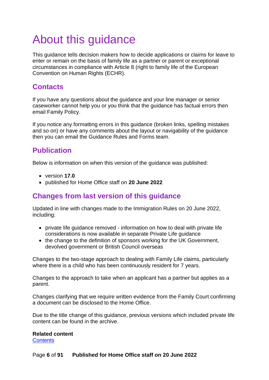# <span id="page-5-0"></span>About this guidance

This guidance tells decision makers how to decide applications or claims for leave to enter or remain on the basis of family life as a partner or parent or exceptional circumstances in compliance with Article 8 (right to family life of the European Convention on Human Rights (ECHR).

# <span id="page-5-1"></span>**Contacts**

If you have any questions about the guidance and your line manager or senior caseworker cannot help you or you think that the guidance has factual errors then email Family Policy.

If you notice any formatting errors in this guidance (broken links, spelling mistakes and so on) or have any comments about the layout or navigability of the guidance then you can email the Guidance Rules and Forms team.

# <span id="page-5-2"></span>**Publication**

Below is information on when this version of the guidance was published:

- version **17.0**
- published for Home Office staff on **20 June 2022**

# <span id="page-5-3"></span>**Changes from last version of this guidance**

Updated in line with changes made to the Immigration Rules on 20 June 2022, including:

- private life guidance removed information on how to deal with private life considerations is now available in separate Private Life guidance
- the change to the definition of sponsors working for the UK Government, devolved government or British Council overseas

Changes to the two-stage approach to dealing with Family Life claims, particularly where there is a child who has been continuously resident for 7 years.

Changes to the approach to take when an applicant has a partner but applies as a parent.

Changes clarifying that we require written evidence from the Family Court confirming a document can be disclosed to the Home Office.

Due to the title change of this guidance, previous versions which included private life content can be found in the archive.

**Related content [Contents](#page-1-0)**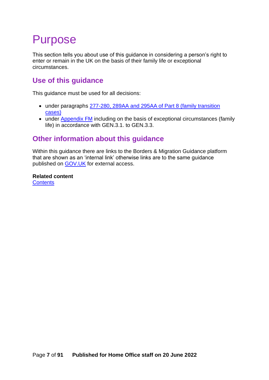# <span id="page-6-0"></span>Purpose

This section tells you about use of this guidance in considering a person's right to enter or remain in the UK on the basis of their family life or exceptional circumstances.

# <span id="page-6-1"></span>**Use of this guidance**

This guidance must be used for all decisions:

- under paragraphs [277-280, 289AA and 295AA of Part 8 \(family transition](https://www.gov.uk/guidance/immigration-rules/immigration-rules-part-8-family-members)  [cases\)](https://www.gov.uk/guidance/immigration-rules/immigration-rules-part-8-family-members)
- under [Appendix FM](https://www.gov.uk/guidance/immigration-rules/immigration-rules-appendix-fm-family-members) including on the basis of exceptional circumstances (family life) in accordance with GEN.3.1. to GEN.3.3.

# <span id="page-6-2"></span>**Other information about this guidance**

Within this guidance there are links to the Borders & Migration Guidance platform that are shown as an 'internal link' otherwise links are to the same guidance published on **[GOV.UK](https://www.gov.uk/government/organisations/home-office)** for external access.

**Related content [Contents](#page-1-0)**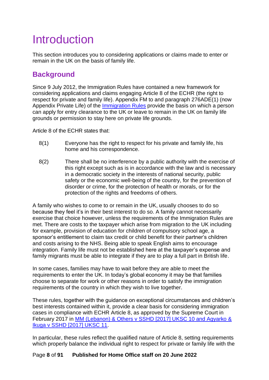# <span id="page-7-0"></span>Introduction

This section introduces you to considering applications or claims made to enter or remain in the UK on the basis of family life.

# <span id="page-7-1"></span>**Background**

Since 9 July 2012, the Immigration Rules have contained a new framework for considering applications and claims engaging Article 8 of the ECHR (the right to respect for private and family life). Appendix FM to and paragraph 276ADE(1) (now Appendix Private Life) of the [Immigration Rules](https://www.gov.uk/government/collections/immigration-rules) provide the basis on which a person can apply for entry clearance to the UK or leave to remain in the UK on family life grounds or permission to stay here on private life grounds.

Article 8 of the ECHR states that:

- 8(1) Everyone has the right to respect for his private and family life, his home and his correspondence.
- 8(2) There shall be no interference by a public authority with the exercise of this right except such as is in accordance with the law and is necessary in a democratic society in the interests of national security, public safety or the economic well-being of the country, for the prevention of disorder or crime, for the protection of health or morals, or for the protection of the rights and freedoms of others.

A family who wishes to come to or remain in the UK, usually chooses to do so because they feel it's in their best interest to do so. A family cannot necessarily exercise that choice however, unless the requirements of the Immigration Rules are met. There are costs to the taxpayer which arise from migration to the UK including for example, provision of education for children of compulsory school age, a sponsor's entitlement to claim tax credit or child benefit for their partner's children and costs arising to the NHS. Being able to speak English aims to encourage integration. Family life must not be established here at the taxpayer's expense and family migrants must be able to integrate if they are to play a full part in British life.

In some cases, families may have to wait before they are able to meet the requirements to enter the UK. In today's global economy it may be that families choose to separate for work or other reasons in order to satisfy the immigration requirements of the country in which they wish to live together.

These rules, together with the guidance on exceptional circumstances and children's best interests contained within it, provide a clear basis for considering immigration cases in compliance with ECHR Article 8, as approved by the Supreme Court in February 2017 in [MM \(Lebanon\) & Others v SSHD \[2017\] UKSC 10 and Agyarko &](https://www.supremecourt.uk/cases/docs/uksc-2015-0011-judgment.pdf)  [Ikuga v SSHD \[2017\] UKSC 11.](https://www.supremecourt.uk/cases/docs/uksc-2015-0011-judgment.pdf)

In particular, these rules reflect the qualified nature of Article 8, setting requirements which properly balance the individual right to respect for private or family life with the

#### Page **8** of **91 Published for Home Office staff on 20 June 2022**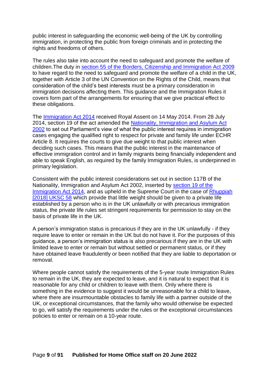public interest in safeguarding the economic well-being of the UK by controlling immigration, in protecting the public from foreign criminals and in protecting the rights and freedoms of others.

The rules also take into account the need to safeguard and promote the welfare of children.The duty in [section 55 of the Borders, Citizenship and Immigration Act 2009](http://www.legislation.gov.uk/ukpga/2009/11/section/55) to have regard to the need to safeguard and promote the welfare of a child in the UK, together with Article 3 of the UN Convention on the Rights of the Child, means that consideration of the child's best interests must be a primary consideration in immigration decisions affecting them. This guidance and the Immigration Rules it covers form part of the arrangements for ensuring that we give practical effect to these obligations.

The [Immigration Act 2014](http://www.legislation.gov.uk/ukpga/2014/22/contents/enacted) received Royal Assent on 14 May 2014. From 28 July 2014, section 19 of the act amended the [Nationality, Immigration and Asylum Act](http://www.legislation.gov.uk/ukpga/2002/41/contents)  [2002](http://www.legislation.gov.uk/ukpga/2002/41/contents) to set out Parliament's view of what the public interest requires in immigration cases engaging the qualified right to respect for private and family life under ECHR Article 8. It requires the courts to give due weight to that public interest when deciding such cases. This means that the public interest in the maintenance of effective immigration control and in family migrants being financially independent and able to speak English, as required by the family Immigration Rules, is underpinned in primary legislation.

Consistent with the public interest considerations set out in section 117B of the Nationality, Immigration and Asylum Act 2002, inserted by [section 19 of the](http://www.legislation.gov.uk/ukpga/2014/22/section/19/enacted)  [Immigration Act 2014,](http://www.legislation.gov.uk/ukpga/2014/22/section/19/enacted) and as upheld in the Supreme Court in the case of [Rhuppiah](https://www.supremecourt.uk/cases/uksc-2017-0075.html)  [\[2018\] UKSC 58](https://www.supremecourt.uk/cases/uksc-2017-0075.html) which provide that little weight should be given to a private life established by a person who is in the UK unlawfully or with precarious immigration status, the private life rules set stringent requirements for permission to stay on the basis of private life in the UK.

A person's immigration status is precarious if they are in the UK unlawfully - if they require leave to enter or remain in the UK but do not have it. For the purposes of this guidance, a person's immigration status is also precarious if they are in the UK with limited leave to enter or remain but without settled or permanent status, or if they have obtained leave fraudulently or been notified that they are liable to deportation or removal.

Where people cannot satisfy the requirements of the 5-year route Immigration Rules to remain in the UK, they are expected to leave, and it is natural to expect that it is reasonable for any child or children to leave with them. Only where there is something in the evidence to suggest it would be unreasonable for a child to leave, where there are insurmountable obstacles to family life with a partner outside of the UK, or exceptional circumstances, that the family who would otherwise be expected to go, will satisfy the requirements under the rules or the exceptional circumstances policies to enter or remain on a 10-year route.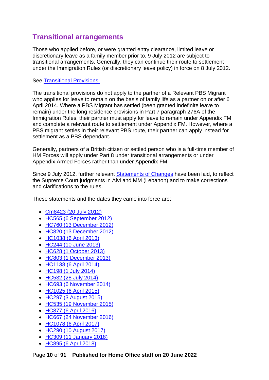# <span id="page-9-0"></span>**Transitional arrangements**

Those who applied before, or were granted entry clearance, limited leave or discretionary leave as a family member prior to, 9 July 2012 are subject to transitional arrangements. Generally, they can continue their route to settlement under the Immigration Rules (or discretionary leave policy) in force on 8 July 2012.

#### See [Transitional Provisions.](https://www.gov.uk/government/publications/chapter-8-family-members-transitional-arrangements)

The transitional provisions do not apply to the partner of a Relevant PBS Migrant who applies for leave to remain on the basis of family life as a partner on or after 6 April 2014. Where a PBS Migrant has settled (been granted indefinite leave to remain) under the long residence provisions in Part 7 paragraph 276A of the Immigration Rules, their partner must apply for leave to remain under Appendix FM and complete a relevant route to settlement under Appendix FM. However, where a PBS migrant settles in their relevant PBS route, their partner can apply instead for settlement as a PBS dependant.

Generally, partners of a British citizen or settled person who is a full-time member of HM Forces will apply under Part 8 under transitional arrangements or under Appendix Armed Forces rather than under Appendix FM.

Since 9 July 2012, further relevant [Statements of Changes](https://www.gov.uk/government/collections/immigration-rules-statement-of-changes) have been laid, to reflect the Supreme Court judgments in Alvi and MM (Lebanon) and to make corrections and clarifications to the rules.

These statements and the dates they came into force are:

- [Cm8423 \(20 July 2012\)](https://www.gov.uk/government/publications/statement-of-changes-to-the-immigration-rules-cm8423-july-2012)
- [HC565 \(6 September 2012\)](https://www.gov.uk/government/publications/statement-of-changes-to-the-immigration-rules-hc565-5-september-2012)
- [HC760 \(13 December 2012\)](https://www.gov.uk/government/publications/statement-of-changes-to-the-immigration-rules-hc760-22-november-2012)
- [HC820 \(13 December 2012\)](https://www.gov.uk/government/publications/statement-of-changes-to-the-immigration-rules-hc820-12-december-2012)
- [HC1038 \(6 April 2013\)](https://www.gov.uk/government/publications/statement-of-changes-to-the-immigration-rules-hc1038-11-march-2013)
- [HC244 \(10 June 2013\)](https://www.gov.uk/government/publications/statement-of-changes-to-the-immigration-rules-hc-244-10-june-2013)
- [HC628 \(1 October 2013\)](https://www.gov.uk/government/publications/statement-of-changes-to-the-immigration-rules-hc-628-6-september-2013)
- [HC803 \(1 December 2013\)](https://www.gov.uk/government/publications/statement-of-changes-to-the-immigration-rules-hc803-november-2013)
- [HC1138 \(6 April 2014\)](https://www.gov.uk/government/publications/statement-of-changes-to-the-immigration-rules-hc1138-13-march-2014)
- [HC198 \(1 July 2014\)](https://www.gov.uk/government/publications/statement-of-changes-to-the-immigration-rules-hc198-10-june-2014)
- [HC532 \(28 July 2014\)](https://www.gov.uk/government/publications/statement-of-changes-to-the-immigration-rules-hc532-10-july-2014)
- [HC693 \(6 November 2014\)](https://www.gov.uk/government/publications/statement-of-changes-to-the-immigration-rules-hc693-16-october-2014)
- [HC1025 \(6 April 2015\)](https://www.gov.uk/government/publications/statement-of-changes-to-the-immigration-rules-hc1025-26-february-2015)
- [HC297 \(3 August 2015\)](https://www.gov.uk/government/publications/statement-of-changes-to-the-immigration-rules-297-13-july-2015)
- [HC535 \(19 November 2015\)](https://www.gov.uk/government/publications/statement-of-changes-to-the-immigration-rules-hc535-29-october-2015)
- [HC877 \(6 April 2016\)](https://www.gov.uk/government/publications/statement-of-changes-to-the-immigration-rules-hc877-11-march-2016)
- [HC667 \(24 November 2016\)](https://www.gov.uk/government/publications/statement-of-changes-to-the-immigration-rules-hc667-3-november-2016)
- [HC1078 \(6 April 2017\)](https://www.gov.uk/government/publications/statement-of-changes-to-the-immigration-rules-hc1078-16-march-2017)
- [HC290 \(10 August 2017\)](https://www.gov.uk/government/publications/statement-of-changes-to-the-immigration-rules-hc290-20-july-2017)
- [HC309 \(11 January 2018\)](https://www.gov.uk/government/publications/statement-of-changes-to-the-immigration-rules-hc309-7-december-2017)
- [HC895 \(6 April 2018\)](https://www.gov.uk/government/publications/statement-of-changes-to-the-immigration-rules-hc895-15-march-2018)

Page **10** of **91 Published for Home Office staff on 20 June 2022**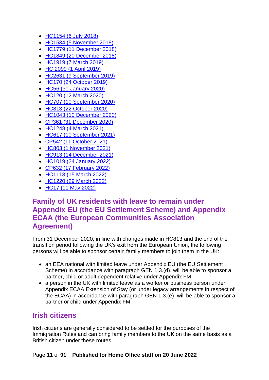- [HC1154 \(6 July 2018\)](https://www.gov.uk/government/publications/statement-of-changes-to-the-immigration-rules-hc1154-15-june-2018)
- [HC1534 \(5 November 2018\)](https://www.gov.uk/government/publications/statement-of-changes-to-the-immigration-rules-hc-1534-11-october-2018)
- HC1779 (11 December 2018)
- HC1849 (20 December 2018)
- HC1919 (7 March 2019)
- HC 2099 (1 April 2019)
- HC2631 (9 September 2019)
- HC170 (24 October 2019)
- HC56 (30 January 2020)
- HC120 (12 March 2020)
- HC707 (10 September 2020)
- [HC813 \(22 October 2020\)](https://www.gov.uk/government/publications/statement-of-changes-to-the-immigration-rules-hc-813-22-october-2020)
- [HC1043 \(10 December 2020\)](https://www.gov.uk/government/publications/statement-of-changes-to-the-immigration-rules-hc-1043-10-december-2020)
- [CP361 \(31 December 2020\)](https://www.gov.uk/government/publications/statement-of-changes-to-the-immigration-rules-cp-361-31-december-2020)
- [HC1248 \(4 March 2021\)](https://www.gov.uk/government/publications/statement-of-changes-to-the-immigration-rules-hc-1248-4-march-2021)
- [HC617 \(10 September 2021\)](https://www.gov.uk/government/publications/statement-of-changes-to-the-immigration-rules-hc-617-10-september-2021)
- [CP542 \(11 October 2021\)](https://www.gov.uk/government/publications/statement-of-changes-to-the-immigration-rules-cp-542-11-october-2021)
- [HC803 \(1 November 2021\)](https://www.gov.uk/government/publications/statement-of-changes-to-the-immigration-rules-hc-803-1-november-2021)
- [HC913 \(14 December 2021\)](https://www.gov.uk/government/publications/statement-of-changes-to-the-immigration-rules-hc-913-14-december)
- [HC1019 \(24 January 2022\)](https://www.gov.uk/government/publications/statement-of-changes-to-the-immigration-rules-hc-1019-24-january-2022)
- [CP632 \(17 February 2022\)](https://www.gov.uk/government/publications/statement-of-changes-to-the-immigration-rules-cp-632-17-february-2022)
- [HC1118 \(15 March 2022\)](https://www.gov.uk/government/publications/statement-of-changes-to-the-immigration-rules-hc-1118-15-march-2022)
- [HC1220 \(29 March 2022\)](https://www.gov.uk/government/publications/statement-of-changes-to-the-immigration-rules-hc-1220-29-march-2022)
- [HC17 \(11 May 2022\)](https://www.gov.uk/government/publications/statement-of-changes-to-the-immigration-rules-hc17-11-may-2022)

## <span id="page-10-0"></span>**Family of UK residents with leave to remain under Appendix EU (the EU Settlement Scheme) and Appendix ECAA (the European Communities Association Agreement)**

From 31 December 2020, in line with changes made in HC813 and the end of the transition period following the UK's exit from the European Union, the following persons will be able to sponsor certain family members to join them in the UK:

- an EEA national with limited leave under Appendix EU (the EU Settlement Scheme) in accordance with paragraph GEN 1.3.(d), will be able to sponsor a partner, child or adult dependent relative under Appendix FM
- a person in the UK with limited leave as a worker or business person under Appendix ECAA Extension of Stay (or under legacy arrangements in respect of the ECAA) in accordance with paragraph GEN 1.3.(e), will be able to sponsor a partner or child under Appendix FM

### <span id="page-10-1"></span>**Irish citizens**

Irish citizens are generally considered to be settled for the purposes of the Immigration Rules and can bring family members to the UK on the same basis as a British citizen under these routes.

#### Page **11** of **91 Published for Home Office staff on 20 June 2022**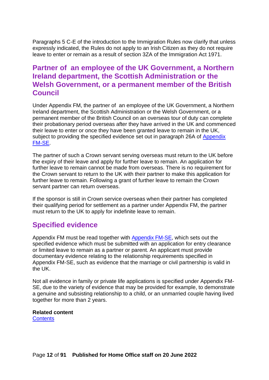Paragraphs 5 C-E of the introduction to the Immigration Rules now clarify that unless expressly indicated, the Rules do not apply to an Irish Citizen as they do not require leave to enter or remain as a result of section 3ZA of the Immigration Act 1971.

## <span id="page-11-0"></span>**Partner of an employee of the UK Government, a Northern Ireland department, the Scottish Administration or the Welsh Government, or a permanent member of the British Council**

Under Appendix FM, the partner of an employee of the UK Government, a Northern Ireland department, the Scottish Administration or the Welsh Government, or a permanent member of the British Council on an overseas tour of duty can complete their probationary period overseas after they have arrived in the UK and commenced their leave to enter or once they have been granted leave to remain in the UK, subject to providing the specified evidence set out in paragraph 26A of Appendix [FM-SE.](https://www.gov.uk/guidance/immigration-rules/immigration-rules-appendix-fm-se-family-members-specified-evidence)

The partner of such a Crown servant serving overseas must return to the UK before the expiry of their leave and apply for further leave to remain. An application for further leave to remain cannot be made from overseas. There is no requirement for the Crown servant to return to the UK with their partner to make this application for further leave to remain. Following a grant of further leave to remain the Crown servant partner can return overseas.

If the sponsor is still in Crown service overseas when their partner has completed their qualifying period for settlement as a partner under Appendix FM, the partner must return to the UK to apply for indefinite leave to remain.

## <span id="page-11-1"></span>**Specified evidence**

Appendix FM must be read together with [Appendix FM-SE,](https://www.gov.uk/guidance/immigration-rules/immigration-rules-appendix-fm-se-family-members-specified-evidence) which sets out the specified evidence which must be submitted with an application for entry clearance or limited leave to remain as a partner or parent. An applicant must provide documentary evidence relating to the relationship requirements specified in Appendix FM-SE, such as evidence that the marriage or civil partnership is valid in the UK.

Not all evidence in family or private life applications is specified under Appendix FM-SE, due to the variety of evidence that may be provided for example, to demonstrate a genuine and subsisting relationship to a child, or an unmarried couple having lived together for more than 2 years.

#### **Related content [Contents](#page-1-0)**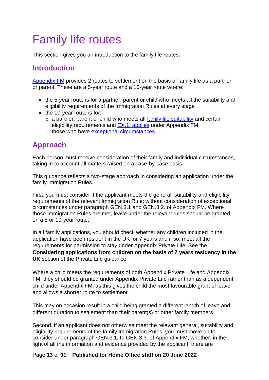# <span id="page-12-0"></span>Family life routes

This section gives you an introduction to the family life routes.

## <span id="page-12-1"></span>**Introduction**

[Appendix FM](https://www.gov.uk/guidance/immigration-rules/immigration-rules-appendix-fm-family-members) provides 2 routes to settlement on the basis of family life as a partner or parent. These are a 5-year route and a 10-year route where:

- the 5-year route is for a partner, parent or child who meets all the suitability and eligibility requirements of the Immigration Rules at every stage
- the 10-year route is for:
	- $\circ$  a partner, parent or child who meets all [family life suitability](#page-14-2) and certain eligibility requirements and [EX.1. applies](#page-33-0) under Appendix FM
	- o those who have [exceptional circumstances](#page-58-0)

# <span id="page-12-2"></span>**Approach**

Each person must receive consideration of their family and individual circumstances, taking in to account all matters raised on a case-by-case basis.

This guidance reflects a two-stage approach in considering an application under the family Immigration Rules.

First, you must consider if the applicant meets the general, suitability and eligibility requirements of the relevant Immigration Rule; without consideration of exceptional circumstances under paragraph GEN.3.1 and GEN.3.2. of Appendix FM. Where those Immigration Rules are met, leave under the relevant rules should be granted on a 5 or 10-year route.

In all family applications, you should check whether any children included in the application have been resident in the UK for 7 years and if so, meet all the requirements for permission to stay under Appendix Private Life. See the **Considering applications from children on the basis of 7 years residency in the UK** section of the Private Life guidance.

Where a child meets the requirements of both Appendix Private Life and Appendix FM, they should be granted under Appendix Private Life rather than as a dependent child under Appendix FM, as this gives the child the most favourable grant of leave and allows a shorter route to settlement.

This may on occasion result in a child being granted a different length of leave and different duration to settlement than their parent(s) or other family members.

Second, if an applicant does not otherwise meet the relevant general, suitability and eligibility requirements of the family Immigration Rules, you must move on to consider under paragraph GEN.3.1. to GEN.3.3. of Appendix FM, whether, in the light of all the information and evidence provided by the applicant, there are

#### Page **13** of **91 Published for Home Office staff on 20 June 2022**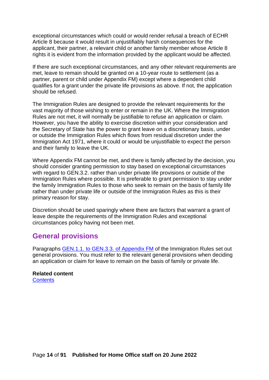exceptional circumstances which could or would render refusal a breach of ECHR Article 8 because it would result in unjustifiably harsh consequences for the applicant, their partner, a relevant child or another family member whose Article 8 rights it is evident from the information provided by the applicant would be affected.

If there are such exceptional circumstances, and any other relevant requirements are met, leave to remain should be granted on a 10-year route to settlement (as a partner, parent or child under Appendix FM) except where a dependent child qualifies for a grant under the private life provisions as above. If not, the application should be refused.

The Immigration Rules are designed to provide the relevant requirements for the vast majority of those wishing to enter or remain in the UK. Where the Immigration Rules are not met, it will normally be justifiable to refuse an application or claim. However, you have the ability to exercise discretion within your consideration and the Secretary of State has the power to grant leave on a discretionary basis, under or outside the Immigration Rules which flows from residual discretion under the Immigration Act 1971, where it could or would be unjustifiable to expect the person and their family to leave the UK.

Where Appendix FM cannot be met, and there is family affected by the decision, you should consider granting permission to stay based on exceptional circumstances with regard to GEN.3.2. rather than under private life provisions or outside of the Immigration Rules where possible. It is preferable to grant permission to stay under the family Immigration Rules to those who seek to remain on the basis of family life rather than under private life or outside of the Immigration Rules as this is their primary reason for stay.

Discretion should be used sparingly where there are factors that warrant a grant of leave despite the requirements of the Immigration Rules and exceptional circumstances policy having not been met.

## <span id="page-13-0"></span>**General provisions**

Paragraphs [GEN.1.1. to GEN.3.3.](https://www.gov.uk/guidance/immigration-rules/immigration-rules-appendix-fm-family-members) of Appendix FM of the Immigration Rules set out general provisions. You must refer to the relevant general provisions when deciding an application or claim for leave to remain on the basis of family or private life.

#### **Related content [Contents](#page-1-0)**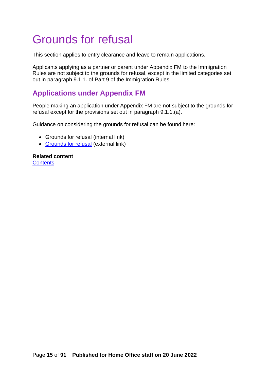# <span id="page-14-0"></span>Grounds for refusal

This section applies to entry clearance and leave to remain applications.

Applicants applying as a partner or parent under Appendix FM to the Immigration Rules are not subject to the grounds for refusal, except in the limited categories set out in paragraph 9.1.1. of Part 9 of the Immigration Rules.

# <span id="page-14-1"></span>**Applications under Appendix FM**

People making an application under Appendix FM are not subject to the grounds for refusal except for the provisions set out in paragraph 9.1.1.(a).

Guidance on considering the grounds for refusal can be found here:

- Grounds for refusal (internal link)
- [Grounds for refusal](https://www.gov.uk/government/collections/general-grounds-for-refusal-modernised-guidance) (external link)

<span id="page-14-2"></span>**Related content [Contents](#page-1-0)**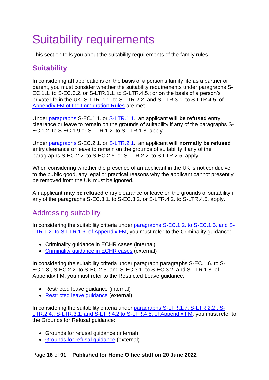# <span id="page-15-0"></span>Suitability requirements

This section tells you about the suitability requirements of the family rules.

# <span id="page-15-1"></span>**Suitability**

In considering **all** applications on the basis of a person's family life as a partner or parent, you must consider whether the suitability requirements under paragraphs S-EC.1.1. to S-EC.3.2. or S-LTR.1.1. to S-LTR.4.5.; or on the basis of a person's private life in the UK, S-LTR. 1.1. to S-LTR.2.2. and S-LTR.3.1. to S-LTR.4.5. of [Appendix FM of the Immigration Rules](https://www.gov.uk/guidance/immigration-rules/immigration-rules-appendix-fm-family-members) are met.

Under paragraphs [S-EC.1.1. or S-LTR.1.1.](https://www.gov.uk/guidance/immigration-rules/immigration-rules-appendix-fm-family-members), an applicant **will be refused** entry clearance or leave to remain on the grounds of suitability if any of the paragraphs S-EC.1.2. to S-EC.1.9 or S-LTR.1.2. to S-LTR.1.8. apply.

Under [paragraphs](https://www.gov.uk/guidance/immigration-rules/immigration-rules-appendix-fm-family-members) S-EC.2.1. or S-LTR.2.1., an applicant **will normally be refused** entry clearance or leave to remain on the grounds of suitability if any of the paragraphs S-EC.2.2. to S-EC.2.5. or S-LTR.2.2. to S-LTR.2.5. apply.

When considering whether the presence of an applicant in the UK is not conducive to the public good, any legal or practical reasons why the applicant cannot presently be removed from the UK must be ignored.

An applicant **may be refused** entry clearance or leave on the grounds of suitability if any of the paragraphs S-EC.3.1. to S-EC.3.2. or S-LTR.4.2. to S-LTR.4.5. apply.

## <span id="page-15-2"></span>Addressing suitability

In considering the suitability criteria under [paragraphs S-EC.1.2. to S-EC.1.5. and S-](https://www.gov.uk/guidance/immigration-rules/immigration-rules-appendix-fm-family-members)[LTR.1.2. to S-LTR.1.6. of Appendix FM,](https://www.gov.uk/guidance/immigration-rules/immigration-rules-appendix-fm-family-members) you must refer to the Criminality guidance:

- Criminality guidance in ECHR cases (internal)
- [Criminality guidance in ECHR cases](https://www.gov.uk/government/publications/chapter-13-criminality-guidance-in-article-8-echr-cases) (external)

In considering the suitability criteria under paragraph paragraphs S-EC.1.6. to S-EC.1.8., S-EC.2.2. to S-EC.2.5. and S-EC.3.1. to S-EC.3.2. and S-LTR.1.8. of Appendix FM, you must refer to the Restricted Leave guidance:

- Restricted leave quidance (internal)
- [Restricted leave guidance](https://www.gov.uk/government/publications/restricted-leave-asylum-casework-instruction) (external)

In considering the suitability criteria under [paragraphs S-LTR.1.7, S-LTR.2.2.,](https://www.gov.uk/guidance/immigration-rules/immigration-rules-appendix-fm-family-members) S-[LTR.2.4., S-LTR.3.1. and S-LTR.4.2 to S-LTR.4.5.](https://www.gov.uk/guidance/immigration-rules/immigration-rules-appendix-fm-family-members) of Appendix FM, you must refer to the Grounds for Refusal guidance:

- Grounds for refusal guidance (internal)
- [Grounds for refusal guidance](https://www.gov.uk/government/collections/general-grounds-for-refusal-modernised-guidance) (external)

#### Page **16** of **91 Published for Home Office staff on 20 June 2022**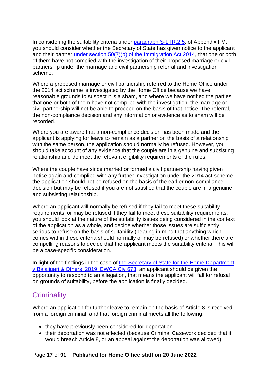In considering the suitability criteria under [paragraph S-LTR.2.5.](https://www.gov.uk/guidance/immigration-rules/immigration-rules-appendix-fm-family-members) of Appendix FM, you should consider whether the Secretary of State has given notice to the applicant and their partner [under section 50\(7\)\(b\) of the Immigration Act 2014,](http://www.legislation.gov.uk/ukpga/2014/22/section/50/enacted) that one or both of them have not complied with the investigation of their proposed marriage or civil partnership under the marriage and civil partnership referral and investigation scheme.

Where a proposed marriage or civil partnership referred to the Home Office under the 2014 act scheme is investigated by the Home Office because we have reasonable grounds to suspect it is a sham, and where we have notified the parties that one or both of them have not complied with the investigation, the marriage or civil partnership will not be able to proceed on the basis of that notice. The referral, the non-compliance decision and any information or evidence as to sham will be recorded.

Where you are aware that a non-compliance decision has been made and the applicant is applying for leave to remain as a partner on the basis of a relationship with the same person, the application should normally be refused. However, you should take account of any evidence that the couple are in a genuine and subsisting relationship and do meet the relevant eligibility requirements of the rules.

Where the couple have since married or formed a civil partnership having given notice again and complied with any further investigation under the 2014 act scheme, the application should not be refused on the basis of the earlier non-compliance decision but may be refused if you are not satisfied that the couple are in a genuine and subsisting relationship.

Where an applicant will normally be refused if they fail to meet these suitability requirements, or may be refused if they fail to meet these suitability requirements, you should look at the nature of the suitability issues being considered in the context of the application as a whole, and decide whether those issues are sufficiently serious to refuse on the basis of suitability (bearing in mind that anything which comes within these criteria should normally or may be refused) or whether there are compelling reasons to decide that the applicant meets the suitability criteria. This will be a case-specific consideration.

In light of the findings in the case of the Secretary of State for the Home Department v Balajigari & [Others \[2019\] EWCA Civ 673,](https://www.bailii.org/cgi-bin/format.cgi?doc=/ew/cases/EWCA/Civ/2019/673.html&query=(Balajigari)) an applicant should be given the opportunity to respond to an allegation, that means the applicant will fall for refusal on grounds of suitability, before the application is finally decided.

# <span id="page-16-0"></span>**Criminality**

Where an application for further leave to remain on the basis of Article 8 is received from a foreign criminal, and that foreign criminal meets all the following:

- they have previously been considered for deportation
- their deportation was not effected (because Criminal Casework decided that it would breach Article 8, or an appeal against the deportation was allowed)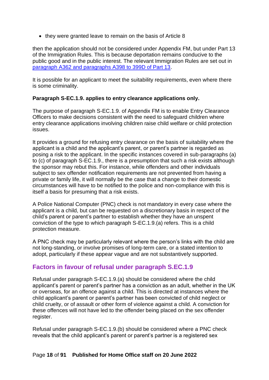• they were granted leave to remain on the basis of Article 8

then the application should not be considered under Appendix FM, but under Part 13 of the Immigration Rules. This is because deportation remains conducive to the public good and in the public interest. The relevant Immigration Rules are set out in [paragraph A362 and paragraphs A398 to 399D of Part 13.](https://www.gov.uk/guidance/immigration-rules/immigration-rules-part-13-deportation)

It is possible for an applicant to meet the suitability requirements, even where there is some criminality.

#### **Paragraph S-EC.1.9. applies to entry clearance applications only.**

The purpose of paragraph S-EC.1.9. of Appendix FM is to enable Entry Clearance Officers to make decisions consistent with the need to safeguard children where entry clearance applications involving children raise child welfare or child protection issues.

It provides a ground for refusing entry clearance on the basis of suitability where the applicant is a child and the applicant's parent, or parent's partner is regarded as posing a risk to the applicant. In the specific instances covered in sub-paragraphs (a) to (c) of paragraph S-EC.1.9., there is a presumption that such a risk exists although the sponsor may rebut this. For instance, while offenders and other individuals subject to sex offender notification requirements are not prevented from having a private or family life, it will normally be the case that a change to their domestic circumstances will have to be notified to the police and non-compliance with this is itself a basis for presuming that a risk exists.

A Police National Computer (PNC) check is not mandatory in every case where the applicant is a child, but can be requested on a discretionary basis in respect of the child's parent or parent's partner to establish whether they have an unspent conviction of the type to which paragraph S-EC.1.9.(a) refers. This is a child protection measure.

A PNC check may be particularly relevant where the person's links with the child are not long-standing, or involve promises of long-term care, or a stated intention to adopt, particularly if these appear vague and are not substantively supported.

### <span id="page-17-0"></span>**Factors in favour of refusal under paragraph S.EC.1.9**

Refusal under paragraph S-EC.1.9.(a) should be considered where the child applicant's parent or parent's partner has a conviction as an adult, whether in the UK or overseas, for an offence against a child. This is directed at instances where the child applicant's parent or parent's partner has been convicted of child neglect or child cruelty, or of assault or other form of violence against a child. A conviction for these offences will not have led to the offender being placed on the sex offender register.

Refusal under paragraph S-EC.1.9.(b) should be considered where a PNC check reveals that the child applicant's parent or parent's partner is a registered sex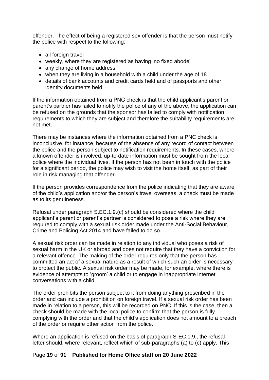offender. The effect of being a registered sex offender is that the person must notify the police with respect to the following:

- all foreign travel
- weekly, where they are registered as having 'no fixed abode'
- any change of home address
- when they are living in a household with a child under the age of 18
- details of bank accounts and credit cards held and of passports and other identity documents held

If the information obtained from a PNC check is that the child applicant's parent or parent's partner has failed to notify the police of any of the above, the application can be refused on the grounds that the sponsor has failed to comply with notification requirements to which they are subject and therefore the suitability requirements are not met.

There may be instances where the information obtained from a PNC check is inconclusive, for instance, because of the absence of any record of contact between the police and the person subject to notification requirements. In these cases, where a known offender is involved, up-to-date information must be sought from the local police where the individual lives. If the person has not been in touch with the police for a significant period, the police may wish to visit the home itself, as part of their role in risk managing that offender.

If the person provides correspondence from the police indicating that they are aware of the child's application and/or the person's travel overseas, a check must be made as to its genuineness.

Refusal under paragraph S.EC.1.9.(c) should be considered where the child applicant's parent or parent's partner is considered to pose a risk where they are required to comply with a sexual risk order made under the Anti-Social Behaviour, Crime and Policing Act 2014 and have failed to do so.

A sexual risk order can be made in relation to any individual who poses a risk of sexual harm in the UK or abroad and does not require that they have a conviction for a relevant offence. The making of the order requires only that the person has committed an act of a sexual nature as a result of which such an order is necessary to protect the public. A sexual risk order may be made, for example, where there is evidence of attempts to 'groom' a child or to engage in inappropriate internet conversations with a child.

The order prohibits the person subject to it from doing anything prescribed in the order and can include a prohibition on foreign travel. If a sexual risk order has been made in relation to a person, this will be recorded on PNC. If this is the case, then a check should be made with the local police to confirm that the person is fully complying with the order and that the child's application does not amount to a breach of the order or require other action from the police.

Where an application is refused on the basis of paragraph S-EC.1.9., the refusal letter should, where relevant, reflect which of sub-paragraphs (a) to (c) apply. This

#### Page **19** of **91 Published for Home Office staff on 20 June 2022**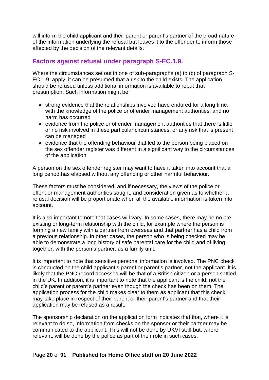will inform the child applicant and their parent or parent's partner of the broad nature of the information underlying the refusal but leaves it to the offender to inform those affected by the decision of the relevant details.

### <span id="page-19-0"></span>**Factors against refusal under paragraph S-EC.1.9.**

Where the circumstances set out in one of sub-paragraphs (a) to (c) of paragraph S-EC.1.9. apply, it can be presumed that a risk to the child exists. The application should be refused unless additional information is available to rebut that presumption. Such information might be:

- strong evidence that the relationships involved have endured for a long time, with the knowledge of the police or offender management authorities, and no harm has occurred
- evidence from the police or offender management authorities that there is little or no risk involved in these particular circumstances, or any risk that is present can be managed
- evidence that the offending behaviour that led to the person being placed on the sex offender register was different in a significant way to the circumstances of the application

A person on the sex offender register may want to have it taken into account that a long period has elapsed without any offending or other harmful behaviour.

These factors must be considered, and if necessary, the views of the police or offender management authorities sought, and consideration given as to whether a refusal decision will be proportionate when all the available information is taken into account.

It is also important to note that cases will vary. In some cases, there may be no preexisting or long-term relationship with the child, for example where the person is forming a new family with a partner from overseas and that partner has a child from a previous relationship. In other cases, the person who is being checked may be able to demonstrate a long history of safe parental care for the child and of living together, with the person's partner, as a family unit.

It is important to note that sensitive personal information is involved. The PNC check is conducted on the child applicant's parent or parent's partner, not the applicant. It is likely that the PNC record accessed will be that of a British citizen or a person settled in the UK. In addition, it is important to note that the applicant is the child, not the child's parent or parent's partner even though the check has been on them. The application process for the child makes clear to them as applicant that this check may take place in respect of their parent or their parent's partner and that their application may be refused as a result.

The sponsorship declaration on the application form indicates that that, where it is relevant to do so, information from checks on the sponsor or their partner may be communicated to the applicant. This will not be done by UKVI staff but, where relevant, will be done by the police as part of their role in such cases.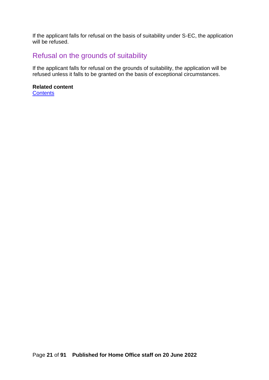If the applicant falls for refusal on the basis of suitability under S-EC, the application will be refused.

# <span id="page-20-0"></span>Refusal on the grounds of suitability

If the applicant falls for refusal on the grounds of suitability, the application will be refused unless it falls to be granted on the basis of exceptional circumstances.

# **Related content**

**[Contents](#page-1-0)**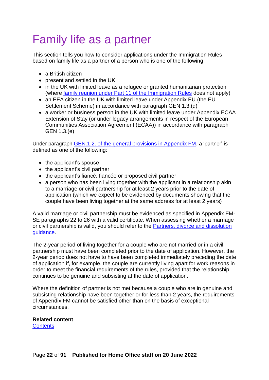# <span id="page-21-0"></span>Family life as a partner

This section tells you how to consider applications under the Immigration Rules based on family life as a partner of a person who is one of the following:

- a British citizen
- present and settled in the UK
- in the UK with limited leave as a refugee or granted humanitarian protection (where [family reunion under Part 11 of the Immigration Rules](https://www.gov.uk/guidance/immigration-rules/immigration-rules-part-11-asylum) does not apply)
- an EEA citizen in the UK with limited leave under Appendix EU (the EU Settlement Scheme) in accordance with paragraph GEN 1.3.(d)
- a worker or business person in the UK with limited leave under Appendix ECAA Extension of Stay (or under legacy arrangements in respect of the European Communities Association Agreement (ECAA)) in accordance with paragraph GEN 1.3.(e)

Under paragraph [GEN.1.2. of the general provisions in Appendix FM,](https://www.gov.uk/guidance/immigration-rules/immigration-rules-appendix-fm-family-members) a 'partner' is defined as one of the following:

- the applicant's spouse
- the applicant's civil partner
- the applicant's fiancé, fiancée or proposed civil partner
- a person who has been living together with the applicant in a relationship akin to a marriage or civil partnership for at least 2 years prior to the date of application (which we expect to be evidenced by documents showing that the couple have been living together at the same address for at least 2 years)

A valid marriage or civil partnership must be evidenced as specified in Appendix FM-SE paragraphs 22 to 26 with a valid certificate. When assessing whether a marriage or civil partnership is valid, you should refer to the [Partners, divorce and dissolution](https://www.gov.uk/government/publications/partners-divorce-and-dissolution)  [guidance.](https://www.gov.uk/government/publications/partners-divorce-and-dissolution)

The 2-year period of living together for a couple who are not married or in a civil partnership must have been completed prior to the date of application. However, the 2-year period does not have to have been completed immediately preceding the date of application if, for example, the couple are currently living apart for work reasons in order to meet the financial requirements of the rules, provided that the relationship continues to be genuine and subsisting at the date of application.

Where the definition of partner is not met because a couple who are in genuine and subsisting relationship have been together or for less than 2 years, the requirements of Appendix FM cannot be satisfied other than on the basis of exceptional circumstances.

#### **Related content**

**[Contents](#page-1-0)**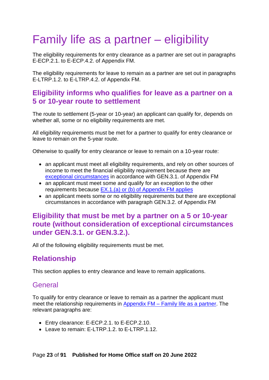# <span id="page-22-0"></span>Family life as a partner – eligibility

The eligibility requirements for entry clearance as a partner are set out in paragraphs E-ECP.2.1. to E-ECP.4.2. of Appendix FM.

The eligibility requirements for leave to remain as a partner are set out in paragraphs E-LTRP.1.2. to E-LTRP.4.2. of Appendix FM.

## <span id="page-22-1"></span>**Eligibility informs who qualifies for leave as a partner on a 5 or 10-year route to settlement**

The route to settlement (5-year or 10-year) an applicant can qualify for, depends on whether all, some or no eligibility requirements are met.

All eligibility requirements must be met for a partner to qualify for entry clearance or leave to remain on the 5-year route.

Otherwise to qualify for entry clearance or leave to remain on a 10-year route:

- an applicant must meet all eligibility requirements, and rely on other sources of income to meet the financial eligibility requirement because there are [exceptional circumstances](#page-58-0) in accordance with GEN.3.1. of Appendix FM
- an applicant must meet some and qualify for an exception to the other requirements because [EX.1.\(a\) or \(b\) of Appendix FM applies](#page-33-0)
- an applicant meets some or no eligibility requirements but there are exceptional circumstances in accordance with paragraph GEN.3.2. of Appendix FM

## <span id="page-22-2"></span>**Eligibility that must be met by a partner on a 5 or 10-year route (without consideration of exceptional circumstances under GEN.3.1. or GEN.3.2.).**

All of the following eligibility requirements must be met.

# <span id="page-22-3"></span>**Relationship**

This section applies to entry clearance and leave to remain applications.

## <span id="page-22-4"></span>General

To qualify for entry clearance or leave to remain as a partner the applicant must meet the relationship requirements in Appendix FM – [Family life as a partner.](http://www.ukba.homeoffice.gov.uk/policyandlaw/immigrationlaw/immigrationrules/app-family-members/family-life-as-a-partner/) The relevant paragraphs are:

- Entry clearance: E-ECP.2.1. to E-ECP.2.10.
- Leave to remain: F-LTRP.1.2. to F-LTRP.1.12.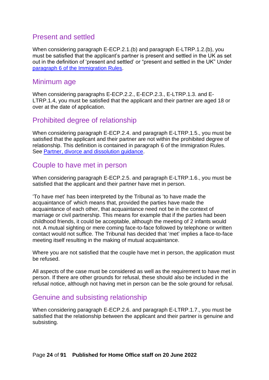## <span id="page-23-0"></span>Present and settled

When considering paragraph E-ECP.2.1.(b) and paragraph E-LTRP.1.2.(b), you must be satisfied that the applicant's partner is present and settled in the UK as set out in the definition of 'present and settled' or "present and settled in the UK" Under [paragraph 6 of the Immigration Rules.](https://www.gov.uk/guidance/immigration-rules/immigration-rules-introduction)

### <span id="page-23-1"></span>Minimum age

When considering paragraphs E-ECP.2.2., E-ECP.2.3., E-LTRP.1.3. and E-LTRP.1.4, you must be satisfied that the applicant and their partner are aged 18 or over at the date of application.

## <span id="page-23-2"></span>Prohibited degree of relationship

When considering paragraph E-ECP.2.4. and paragraph E-LTRP.1.5., you must be satisfied that the applicant and their partner are not within the prohibited degree of relationship. This definition is contained in paragraph 6 of the Immigration Rules. See [Partner, divorce and dissolution guidance.](https://www.gov.uk/government/publications/partners-divorce-and-dissolution)

### <span id="page-23-3"></span>Couple to have met in person

When considering paragraph E-ECP.2.5. and paragraph E-LTRP.1.6., you must be satisfied that the applicant and their partner have met in person.

'To have met' has been interpreted by the Tribunal as 'to have made the acquaintance of' which means that, provided the parties have made the acquaintance of each other, that acquaintance need not be in the context of marriage or civil partnership. This means for example that if the parties had been childhood friends, it could be acceptable, although the meeting of 2 infants would not. A mutual sighting or mere coming face-to-face followed by telephone or written contact would not suffice. The Tribunal has decided that 'met' implies a face-to-face meeting itself resulting in the making of mutual acquaintance.

Where you are not satisfied that the couple have met in person, the application must be refused.

All aspects of the case must be considered as well as the requirement to have met in person. If there are other grounds for refusal, these should also be included in the refusal notice, although not having met in person can be the sole ground for refusal.

## <span id="page-23-4"></span>Genuine and subsisting relationship

When considering paragraph E-ECP.2.6. and paragraph E-LTRP.1.7., you must be satisfied that the relationship between the applicant and their partner is genuine and subsisting.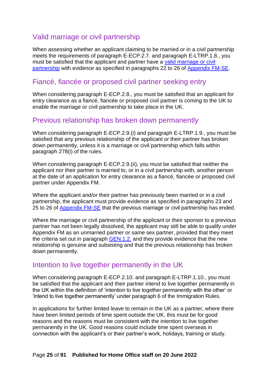## <span id="page-24-0"></span>Valid marriage or civil partnership

When assessing whether an applicant claiming to be married or in a civil partnership meets the requirements of paragraph E-ECP.2.7. and paragraph E-LTRP.1.8., you must be satisfied that the applicant and partner have a [valid marriage or civil](https://www.gov.uk/government/publications/partners-divorce-and-dissolution)  [partnership](https://www.gov.uk/government/publications/partners-divorce-and-dissolution) with evidence as specified in paragraphs 22 to 26 of [Appendix FM-SE.](https://www.gov.uk/guidance/immigration-rules/immigration-rules-appendix-fm-se-family-members-specified-evidence)

## <span id="page-24-1"></span>Fiancé, fiancée or proposed civil partner seeking entry

When considering paragraph E-ECP.2.8., you must be satisfied that an applicant for entry clearance as a fiancé, fiancée or proposed civil partner is coming to the UK to enable the marriage or civil partnership to take place in the UK.

## <span id="page-24-2"></span>Previous relationship has broken down permanently

When considering paragraph E-ECP.2.9.(i) and paragraph E-LTRP.1.9., you must be satisfied that any previous relationship of the applicant or their partner has broken down permanently, unless it is a marriage or civil partnership which falls within paragraph 278(i) of the rules.

When considering paragraph E-ECP.2.9.(ii), you must be satisfied that neither the applicant nor their partner is married to, or in a civil partnership with, another person at the date of an application for entry clearance as a fiancé, fiancée or proposed civil partner under Appendix FM.

Where the applicant and/or their partner has previously been married or in a civil partnership, the applicant must provide evidence as specified in paragraphs 23 and 25 to 26 of [Appendix FM-SE](http://www.ukba.homeoffice.gov.uk/policyandlaw/immigrationlaw/immigrationrules/appendix-fmse/) that the previous marriage or civil partnership has ended.

Where the marriage or civil partnership of the applicant or their sponsor to a previous partner has not been legally dissolved, the applicant may still be able to qualify under Appendix FM as an unmarried partner or same sex partner, provided that they meet the criteria set out in paragraph [GEN.1.2.](https://www.gov.uk/guidance/immigration-rules/immigration-rules-appendix-fm-family-members) and they provide evidence that the new relationship is genuine and subsisting and that the previous relationship has broken down permanently.

### <span id="page-24-3"></span>Intention to live together permanently in the UK

When considering paragraph E-ECP.2.10. and paragraph E-LTRP.1.10., you must be satisfied that the applicant and their partner intend to live together permanently in the UK within the definition of 'intention to live together permanently with the other' or 'intend to live together permanently' under paragraph 6 of the Immigration Rules.

In applications for further limited leave to remain in the UK as a partner, where there have been limited periods of time spent outside the UK, this must be for good reasons and the reasons must be consistent with the intention to live together permanently in the UK. Good reasons could include time spent overseas in connection with the applicant's or their partner's work, holidays, training or study.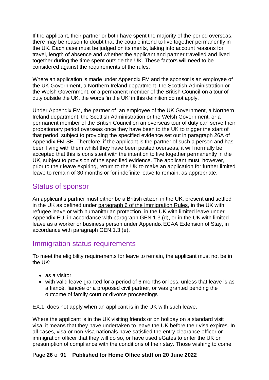If the applicant, their partner or both have spent the majority of the period overseas, there may be reason to doubt that the couple intend to live together permanently in the UK. Each case must be judged on its merits, taking into account reasons for travel, length of absence and whether the applicant and partner travelled and lived together during the time spent outside the UK. These factors will need to be considered against the requirements of the rules.

Where an application is made under Appendix FM and the sponsor is an employee of the UK Government, a Northern Ireland department, the Scottish Administration or the Welsh Government, or a permanent member of the British Council on a tour of duty outside the UK, the words 'in the UK' in this definition do not apply.

Under Appendix FM, the partner of an employee of the UK Government, a Northern Ireland department, the Scottish Administration or the Welsh Government, or a permanent member of the British Council on an overseas tour of duty can serve their probationary period overseas once they have been to the UK to trigger the start of that period, subject to providing the specified evidence set out in paragraph 26A of Appendix FM-SE. Therefore, if the applicant is the partner of such a person and has been living with them whilst they have been posted overseas, it will normally be accepted that this is consistent with the intention to live together permanently in the UK, subject to provision of the specified evidence. The applicant must, however, prior to their leave expiring, return to the UK to make an application for further limited leave to remain of 30 months or for indefinite leave to remain, as appropriate.

## <span id="page-25-0"></span>Status of sponsor

An applicant's partner must either be a British citizen in the UK, present and settled in the UK as defined under [paragraph 6 of the Immigration Rules,](https://www.gov.uk/guidance/immigration-rules/immigration-rules-introduction) in the UK with refugee leave or with humanitarian protection, in the UK with limited leave under Appendix EU, in accordance with paragraph GEN 1.3.(d), or in the UK with limited leave as a worker or business person under Appendix ECAA Extension of Stay, in accordance with paragraph GEN.1.3.(e).

## <span id="page-25-1"></span>Immigration status requirements

To meet the eligibility requirements for leave to remain, the applicant must not be in the UK:

- as a visitor
- with valid leave granted for a period of 6 months or less, unless that leave is as a fiancé, fiancée or a proposed civil partner, or was granted pending the outcome of family court or divorce proceedings

EX.1. does not apply when an applicant is in the UK with such leave.

Where the applicant is in the UK visiting friends or on holiday on a standard visit visa, it means that they have undertaken to leave the UK before their visa expires. In all cases, visa or non-visa nationals have satisfied the entry clearance officer or immigration officer that they will do so, or have used eGates to enter the UK on presumption of compliance with the conditions of their stay. Those wishing to come

#### Page **26** of **91 Published for Home Office staff on 20 June 2022**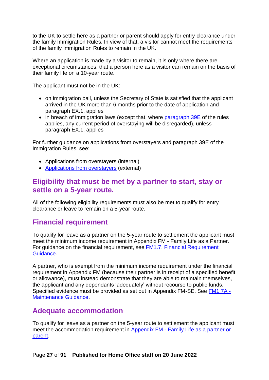to the UK to settle here as a partner or parent should apply for entry clearance under the family Immigration Rules. In view of that, a visitor cannot meet the requirements of the family Immigration Rules to remain in the UK.

Where an application is made by a visitor to remain, it is only where there are exceptional circumstances, that a person here as a visitor can remain on the basis of their family life on a 10-year route.

The applicant must not be in the UK:

- on immigration bail, unless the Secretary of State is satisfied that the applicant arrived in the UK more than 6 months prior to the date of application and paragraph EX.1. applies
- in breach of immigration laws (except that, where [paragraph 39E](https://www.gov.uk/guidance/immigration-rules/immigration-rules-part-1-leave-to-enter-or-stay-in-the-uk) of the rules applies, any current period of overstaying will be disregarded), unless paragraph EX.1. applies

For further guidance on applications from overstayers and paragraph 39E of the Immigration Rules, see:

- Applications from overstayers (internal)
- [Applications from overstayers](https://www.gov.uk/government/publications/applications-from-overstayers-non-family-routes) (external)

## <span id="page-26-0"></span>**Eligibility that must be met by a partner to start, stay or settle on a 5-year route.**

All of the following eligibility requirements must also be met to qualify for entry clearance or leave to remain on a 5-year route.

# <span id="page-26-1"></span>**Financial requirement**

To qualify for leave as a partner on the 5-year route to settlement the applicant must meet the minimum income requirement in Appendix FM - Family Life as a Partner. For guidance on the financial requirement, see [FM1.7. Financial Requirement](https://www.gov.uk/government/publications/chapter-8-appendix-fm-family-members)  [Guidance.](https://www.gov.uk/government/publications/chapter-8-appendix-fm-family-members)

A partner, who is exempt from the minimum income requirement under the financial requirement in Appendix FM (because their partner is in receipt of a specified benefit or allowance), must instead demonstrate that they are able to maintain themselves, the applicant and any dependants 'adequately' without recourse to public funds. Specified evidence must be provided as set out in Appendix FM-SE. See [FM1.7A -](https://www.gov.uk/government/publications/chapter-8-appendix-fm-family-members) [Maintenance Guidance.](https://www.gov.uk/government/publications/chapter-8-appendix-fm-family-members)

## <span id="page-26-2"></span>**Adequate accommodation**

To qualify for leave as a partner on the 5-year route to settlement the applicant must meet the accommodation requirement in Appendix FM - [Family Life as a partner](https://www.gov.uk/guidance/immigration-rules/immigration-rules-appendix-fm-family-members) or parent.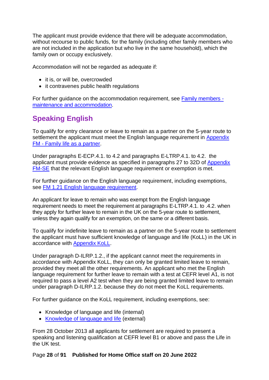The applicant must provide evidence that there will be adequate accommodation, without recourse to public funds, for the family (including other family members who are not included in the application but who live in the same household), which the family own or occupy exclusively.

Accommodation will not be regarded as adequate if:

- it is, or will be, overcrowded
- it contravenes public health regulations

For further guidance on the accommodation requirement, see [Family members](https://www.gov.uk/government/publications/chapter-8-section-1spouses)  [maintenance and](https://www.gov.uk/government/publications/chapter-8-section-1spouses) accommodation.

# <span id="page-27-0"></span>**Speaking English**

To qualify for entry clearance or leave to remain as a partner on the 5-year route to settlement the applicant must meet the English language requirement in Appendix FM - [Family life as a partner.](https://www.gov.uk/guidance/immigration-rules/immigration-rules-appendix-fm-family-members)

Under paragraphs E-ECP.4.1. to 4.2 and paragraphs E-LTRP.4.1. to 4.2. the applicant must provide evidence as specified in paragraphs 27 to 32D of [Appendix](https://www.gov.uk/guidance/immigration-rules/immigration-rules-appendix-fm-se-family-members-specified-evidence)  [FM-SE](https://www.gov.uk/guidance/immigration-rules/immigration-rules-appendix-fm-se-family-members-specified-evidence) that the relevant English language requirement or exemption is met.

For further guidance on the English language requirement, including exemptions, see [FM 1.21 English language requirement.](https://www.gov.uk/government/publications/chapter-8-appendix-fm-family-members)

An applicant for leave to remain who was exempt from the English language requirement needs to meet the requirement at paragraphs E-LTRP.4.1. to .4.2. when they apply for further leave to remain in the UK on the 5-year route to settlement, unless they again qualify for an exemption, on the same or a different basis.

To qualify for indefinite leave to remain as a partner on the 5-year route to settlement the applicant must have sufficient knowledge of language and life (KoLL) in the UK in accordance with [Appendix KoLL.](https://www.gov.uk/guidance/immigration-rules/immigration-rules-appendix-koll)

Under paragraph D-ILRP.1.2., if the applicant cannot meet the requirements in accordance with Appendix KoLL, they can only be granted limited leave to remain, provided they meet all the other requirements. An applicant who met the English language requirement for further leave to remain with a test at CEFR level A1, is not required to pass a level A2 test when they are being granted limited leave to remain under paragraph D-ILRP.1.2. because they do not meet the KoLL requirements.

For further guidance on the KoLL requirement, including exemptions, see:

- Knowledge of language and life (internal)
- [Knowledge of language and life](https://www.gov.uk/government/publications/knowledge-of-life-and-language-in-the-uk) (external)

From 28 October 2013 all applicants for settlement are required to present a speaking and listening qualification at CEFR level B1 or above and pass the Life in the UK test.

#### Page **28** of **91 Published for Home Office staff on 20 June 2022**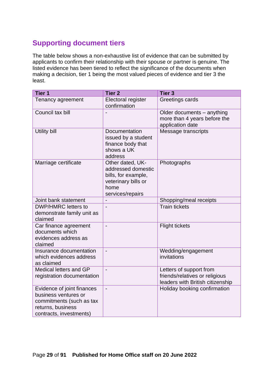# <span id="page-28-0"></span>**Supporting document tiers**

The table below shows a non-exhaustive list of evidence that can be submitted by applicants to confirm their relationship with their spouse or partner is genuine. The listed evidence has been tiered to reflect the significance of the documents when making a decision, tier 1 being the most valued pieces of evidence and tier 3 the least.

| Tier 1                                                                                                                         | <b>Tier 2</b>                                                                                                    | <b>Tier 3</b>                                                                                 |
|--------------------------------------------------------------------------------------------------------------------------------|------------------------------------------------------------------------------------------------------------------|-----------------------------------------------------------------------------------------------|
| Tenancy agreement                                                                                                              | Electoral register<br>confirmation                                                                               | Greetings cards                                                                               |
| Council tax bill                                                                                                               |                                                                                                                  | Older documents - anything<br>more than 4 years before the<br>application date                |
| Utility bill                                                                                                                   | Documentation<br>issued by a student<br>finance body that<br>shows a UK<br>address                               | Message transcripts                                                                           |
| Marriage certificate                                                                                                           | Other dated, UK-<br>addressed domestic<br>bills, for example,<br>veterinary bills or<br>home<br>services/repairs | Photographs                                                                                   |
| Joint bank statement                                                                                                           | $\overline{a}$                                                                                                   | Shopping/meal receipts                                                                        |
| DWP/HMRC letters to<br>demonstrate family unit as<br>claimed                                                                   | $\overline{a}$                                                                                                   | <b>Train tickets</b>                                                                          |
| Car finance agreement<br>documents which<br>evidences address as<br>claimed                                                    | $\overline{a}$                                                                                                   | <b>Flight tickets</b>                                                                         |
| Insurance documentation<br>which evidences address<br>as claimed                                                               | $\overline{a}$                                                                                                   | Wedding/engagement<br>invitations                                                             |
| Medical letters and GP<br>registration documentation                                                                           | $\overline{a}$                                                                                                   | Letters of support from<br>friends/relatives or religious<br>leaders with British citizenship |
| Evidence of joint finances<br>business ventures or<br>commitments (such as tax<br>returns, business<br>contracts, investments) | $\overline{a}$                                                                                                   | Holiday booking confirmation                                                                  |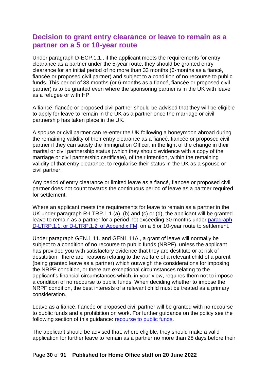## <span id="page-29-0"></span>**Decision to grant entry clearance or leave to remain as a partner on a 5 or 10-year route**

Under paragraph D-ECP.1.1., if the applicant meets the requirements for entry clearance as a partner under the 5-year route, they should be granted entry clearance for an initial period of no more than 33 months (6-months as a fiancé, fiancée or proposed civil partner) and subject to a condition of no recourse to public funds. This period of 33 months (or 6-months as a fiancé, fiancée or proposed civil partner) is to be granted even where the sponsoring partner is in the UK with leave as a refugee or with HP.

A fiancé, fiancée or proposed civil partner should be advised that they will be eligible to apply for leave to remain in the UK as a partner once the marriage or civil partnership has taken place in the UK.

A spouse or civil partner can re-enter the UK following a honeymoon abroad during the remaining validity of their entry clearance as a fiancé, fiancée or proposed civil partner if they can satisfy the Immigration Officer, in the light of the change in their marital or civil partnership status (which they should evidence with a copy of the marriage or civil partnership certificate), of their intention, within the remaining validity of that entry clearance, to regularise their status in the UK as a spouse or civil partner.

Any period of entry clearance or limited leave as a fiancé, fiancée or proposed civil partner does not count towards the continuous period of leave as a partner required for settlement.

Where an applicant meets the requirements for leave to remain as a partner in the UK under paragraph R-LTRP.1.1.(a), (b) and (c) or (d), the applicant will be granted leave to remain as a partner for a period not exceeding 30 months under [paragraph](https://www.gov.uk/guidance/immigration-rules/immigration-rules-appendix-fm-family-members)  [D-LTRP.1.1. or D-LTRP.1.2. of Appendix FM,](https://www.gov.uk/guidance/immigration-rules/immigration-rules-appendix-fm-family-members) on a 5 or 10-year route to settlement.

Under paragraph GEN.1.11. and GEN1.11A., a grant of leave will normally be subject to a condition of no recourse to public funds (NRPF), unless the applicant has provided you with satisfactory evidence that they are destitute or at risk of destitution, there are reasons relating to the welfare of a relevant child of a parent (being granted leave as a partner) which outweigh the considerations for imposing the NRPF condition, or there are exceptional circumstances relating to the applicant's financial circumstances which, in your view, requires them not to impose a condition of no recourse to public funds. When deciding whether to impose the NRPF condition, the best interests of a relevant child must be treated as a primary consideration.

Leave as a fiancé, fiancée or proposed civil partner will be granted with no recourse to public funds and a prohibition on work. For further guidance on the policy see the following section of this guidance: [recourse to public funds.](#page-90-0)

The applicant should be advised that, where eligible, they should make a valid application for further leave to remain as a partner no more than 28 days before their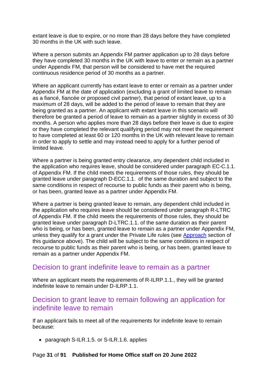extant leave is due to expire, or no more than 28 days before they have completed 30 months in the UK with such leave.

Where a person submits an Appendix FM partner application up to 28 days before they have completed 30 months in the UK with leave to enter or remain as a partner under Appendix FM, that person will be considered to have met the required continuous residence period of 30 months as a partner.

Where an applicant currently has extant leave to enter or remain as a partner under Appendix FM at the date of application (excluding a grant of limited leave to remain as a fiancé, fiancée or proposed civil partner), that period of extant leave, up to a maximum of 28 days, will be added to the period of leave to remain that they are being granted as a partner. An applicant with extant leave in this scenario will therefore be granted a period of leave to remain as a partner slightly in excess of 30 months. A person who applies more than 28 days before their leave is due to expire or they have completed the relevant qualifying period may not meet the requirement to have completed at least 60 or 120 months in the UK with relevant leave to remain in order to apply to settle and may instead need to apply for a further period of limited leave.

Where a partner is being granted entry clearance, any dependent child included in the application who requires leave, should be considered under paragraph EC-C.1.1. of Appendix FM. If the child meets the requirements of those rules, they should be granted leave under paragraph D-ECC.1.1. of the same duration and subject to the same conditions in respect of recourse to public funds as their parent who is being, or has been, granted leave as a partner under Appendix FM.

Where a partner is being granted leave to remain, any dependent child included in the application who requires leave should be considered under paragraph R-LTRC of Appendix FM. If the child meets the requirements of those rules, they should be granted leave under paragraph D-LTRC.1.1. of the same duration as their parent who is being, or has been, granted leave to remain as a partner under Appendix FM, unless they qualify for a grant under the Private Life rules (see [Approach](#page-12-2) section of this guidance above). The child will be subject to the same conditions in respect of recourse to public funds as their parent who is being, or has been, granted leave to remain as a partner under Appendix FM.

### <span id="page-30-0"></span>Decision to grant indefinite leave to remain as a partner

Where an applicant meets the requirements of R-ILRP.1.1., they will be granted indefinite leave to remain under D-ILRP.1.1.

## <span id="page-30-1"></span>Decision to grant leave to remain following an application for indefinite leave to remain

If an applicant fails to meet all of the requirements for indefinite leave to remain because:

• paragraph S-ILR.1.5. or S-ILR.1.6. applies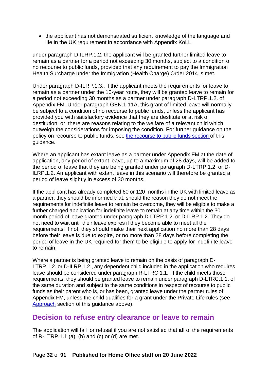• the applicant has not demonstrated sufficient knowledge of the language and life in the UK requirement in accordance with Appendix KoLL

under paragraph D-ILRP.1.2. the applicant will be granted further limited leave to remain as a partner for a period not exceeding 30 months, subject to a condition of no recourse to public funds, provided that any requirement to pay the Immigration Health Surcharge under the Immigration (Health Charge) Order 2014 is met.

Under paragraph D-ILRP.1.3., if the applicant meets the requirements for leave to remain as a partner under the 10-year route, they will be granted leave to remain for a period not exceeding 30 months as a partner under paragraph D-LTRP.1.2. of Appendix FM. Under paragraph GEN.1.11A, this grant of limited leave will normally be subject to a condition of no recourse to public funds, unless the applicant has provided you with satisfactory evidence that they are destitute or at risk of destitution, or there are reasons relating to the welfare of a relevant child which outweigh the considerations for imposing the condition. For further guidance on the policy on recourse to public funds, see [the recourse to public funds section](#page-77-0) of this guidance.

Where an applicant has extant leave as a partner under Appendix FM at the date of application, any period of extant leave, up to a maximum of 28 days, will be added to the period of leave that they are being granted under paragraph D-LTRP.1.2. or D-ILRP.1.2. An applicant with extant leave in this scenario will therefore be granted a period of leave slightly in excess of 30 months.

If the applicant has already completed 60 or 120 months in the UK with limited leave as a partner, they should be informed that, should the reason they do not meet the requirements for indefinite leave to remain be overcome, they will be eligible to make a further charged application for indefinite leave to remain at any time within the 30 month period of leave granted under paragraph D-LTRP.1.2. or D-ILRP.1.2. They do not need to wait until their leave expires if they become able to meet all the requirements. If not, they should make their next application no more than 28 days before their leave is due to expire, or no more than 28 days before completing the period of leave in the UK required for them to be eligible to apply for indefinite leave to remain.

Where a partner is being granted leave to remain on the basis of paragraph D-LTRP.1.2. or D-ILRP.1.2., any dependent child included in the application who requires leave should be considered under paragraph R-LTRC.1.1. If the child meets those requirements, they should be granted leave to remain under paragraph D-LTRC.1.1. of the same duration and subject to the same conditions in respect of recourse to public funds as their parent who is, or has been, granted leave under the partner rules of Appendix FM, unless the child qualifies for a grant under the Private Life rules (see [Approach](#page-12-2) section of this guidance above).

## <span id="page-31-0"></span>**Decision to refuse entry clearance or leave to remain**

The application will fall for refusal if you are not satisfied that **all** of the requirements of  $R-LTRP.1.1.(a)$ , (b) and (c) or (d) are met.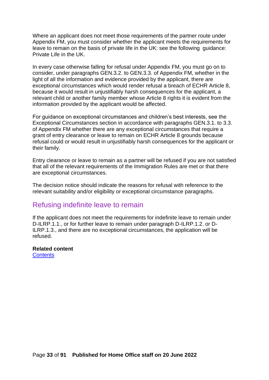Where an applicant does not meet those requirements of the partner route under Appendix FM, you must consider whether the applicant meets the requirements for leave to remain on the basis of private life in the UK: see the following guidance: [Private Life in the UK.](bookmark://_Private_Life_in/)

In every case otherwise falling for refusal under Appendix FM, you must go on to consider, under paragraphs GEN.3.2. to GEN.3.3. of Appendix FM, whether in the light of all the information and evidence provided by the applicant, there are exceptional circumstances which would render refusal a breach of ECHR Article 8, because it would result in unjustifiably harsh consequences for the applicant, a relevant child or another family member whose Article 8 rights it is evident from the information provided by the applicant would be affected.

For guidance on exceptional circumstances and children's best interests, see the Exceptional Circumstances section in accordance with paragraphs GEN.3.1. to 3.3. of Appendix FM whether there are any exceptional circumstances that require a grant of entry clearance or leave to remain on ECHR Article 8 grounds because refusal could or would result in unjustifiably harsh consequences for the applicant or their family.

Entry clearance or leave to remain as a partner will be refused if you are not satisfied that all of the relevant requirements of the Immigration Rules are met or that there are exceptional circumstances.

The decision notice should indicate the reasons for refusal with reference to the relevant suitability and/or eligibility or exceptional circumstance paragraphs.

### <span id="page-32-0"></span>Refusing indefinite leave to remain

If the applicant does not meet the requirements for indefinite leave to remain under D-ILRP.1.1., or for further leave to remain under paragraph D-ILRP.1.2. or D-ILRP.1.3., and there are no exceptional circumstances, the application will be refused.

**Related content [Contents](#page-1-0)**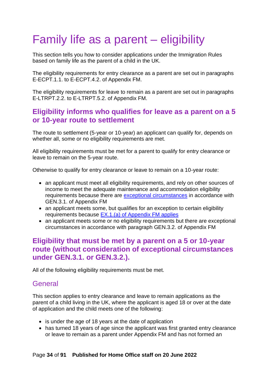# <span id="page-33-0"></span>Family life as a parent – eligibility

This section tells you how to consider applications under the Immigration Rules based on family life as the parent of a child in the UK.

The eligibility requirements for entry clearance as a parent are set out in paragraphs E-ECPT.1.1. to E-ECPT.4.2. of Appendix FM.

The eligibility requirements for leave to remain as a parent are set out in paragraphs E-LTRPT.2.2. to E-LTRPT.5.2. of Appendix FM.

## <span id="page-33-1"></span>**Eligibility informs who qualifies for leave as a parent on a 5 or 10-year route to settlement**

The route to settlement (5-year or 10-year) an applicant can qualify for, depends on whether all, some or no eligibility requirements are met.

All eligibility requirements must be met for a parent to qualify for entry clearance or leave to remain on the 5-year route.

Otherwise to qualify for entry clearance or leave to remain on a 10-year route:

- an applicant must meet all eligibility requirements, and rely on other sources of income to meet the adequate maintenance and accommodation eligibility requirements because there are [exceptional circumstances](#page-58-0) in accordance with GEN.3.1. of Appendix FM
- an applicant meets some, but qualifies for an exception to certain eligibility requirements because [EX.1.\(a\) of Appendix FM applies](#page-33-0)
- an applicant meets some or no eligibility requirements but there are exceptional circumstances in accordance with paragraph GEN.3.2. of Appendix FM

## <span id="page-33-2"></span>**Eligibility that must be met by a parent on a 5 or 10-year route (without consideration of exceptional circumstances under GEN.3.1. or GEN.3.2.).**

All of the following eligibility requirements must be met.

## <span id="page-33-3"></span>General

This section applies to entry clearance and leave to remain applications as the parent of a child living in the UK, where the applicant is aged 18 or over at the date of application and the child meets one of the following:

- is under the age of 18 years at the date of application
- has turned 18 years of age since the applicant was first granted entry clearance or leave to remain as a parent under Appendix FM and has not formed an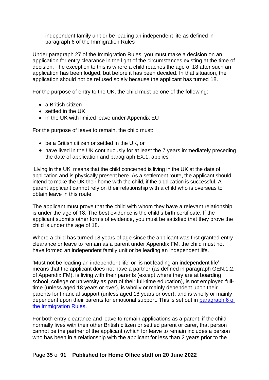independent family unit or be leading an independent life as defined in paragraph 6 of the Immigration Rules

Under paragraph 27 of the Immigration Rules, you must make a decision on an application for entry clearance in the light of the circumstances existing at the time of decision. The exception to this is where a child reaches the age of 18 after such an application has been lodged, but before it has been decided. In that situation, the application should not be refused solely because the applicant has turned 18.

For the purpose of entry to the UK, the child must be one of the following:

- a British citizen
- settled in the UK
- in the UK with limited leave under Appendix EU

For the purpose of leave to remain, the child must:

- be a British citizen or settled in the UK, or
- have lived in the UK continuously for at least the 7 years immediately preceding the date of application and paragraph EX.1. applies

'Living in the UK' means that the child concerned is living in the UK at the date of application and is physically present here. As a settlement route, the applicant should intend to make the UK their home with the child, if the application is successful. A parent applicant cannot rely on their relationship with a child who is overseas to obtain leave in this route.

The applicant must prove that the child with whom they have a relevant relationship is under the age of 18. The best evidence is the child's birth certificate. If the applicant submits other forms of evidence, you must be satisfied that they prove the child is under the age of 18.

Where a child has turned 18 years of age since the applicant was first granted entry clearance or leave to remain as a parent under Appendix FM, the child must not have formed an independent family unit or be leading an independent life.

'Must not be leading an independent life' or 'is not leading an independent life' means that the applicant does not have a partner (as defined in paragraph GEN.1.2. of Appendix FM), is living with their parents (except where they are at boarding school, college or university as part of their full-time education), is not employed fulltime (unless aged 18 years or over), is wholly or mainly dependent upon their parents for financial support (unless aged 18 years or over), and is wholly or mainly dependent upon their parents for emotional support. This is set out in [paragraph 6 of](https://www.gov.uk/guidance/immigration-rules/immigration-rules-introduction)  [the Immigration Rules.](https://www.gov.uk/guidance/immigration-rules/immigration-rules-introduction)

For both entry clearance and leave to remain applications as a parent, if the child normally lives with their other British citizen or settled parent or carer, that person cannot be the partner of the applicant (which for leave to remain includes a person who has been in a relationship with the applicant for less than 2 years prior to the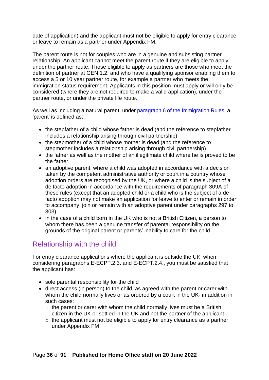date of application) and the applicant must not be eligible to apply for entry clearance or leave to remain as a partner under Appendix FM.

The parent route is not for couples who are in a genuine and subsisting partner relationship. An applicant cannot meet the parent route if they are eligible to apply under the partner route. Those eligible to apply as partners are those who meet the definition of partner at GEN.1.2. and who have a qualifying sponsor enabling them to access a 5 or 10 year partner route, for example a partner who meets the immigration status requirement. Applicants in this position must apply or will only be considered (where they are not required to make a valid application), under the partner route, or under the private life route.

As well as including a natural parent, under [paragraph 6 of the Immigration Rules,](https://www.gov.uk/guidance/immigration-rules/immigration-rules-introduction) a 'parent' is defined as:

- the stepfather of a child whose father is dead (and the reference to stepfather includes a relationship arising through civil partnership)
- the stepmother of a child whose mother is dead (and the reference to stepmother includes a relationship arising through civil partnership)
- the father as well as the mother of an illegitimate child where he is proved to be the father
- an adoptive parent, where a child was adopted in accordance with a decision taken by the competent administrative authority or court in a country whose adoption orders are recognised by the UK, or where a child is the subject of a de facto adoption in accordance with the requirements of paragraph 309A of these rules (except that an adopted child or a child who is the subject of a de facto adoption may not make an application for leave to enter or remain in order to accompany, join or remain with an adoptive parent under paragraphs 297 to 303)
- in the case of a child born in the UK who is not a British Citizen, a person to whom there has been a genuine transfer of parental responsibility on the grounds of the original parent or parents' inability to care for the child

## <span id="page-35-0"></span>Relationship with the child

For entry clearance applications where the applicant is outside the UK, when considering paragraphs E-ECPT.2.3. and E-ECPT.2.4., you must be satisfied that the applicant has:

- sole parental responsibility for the child
- direct access (in person) to the child, as agreed with the parent or carer with whom the child normally lives or as ordered by a court in the UK- in addition in such cases:
	- $\circ$  the parent or carer with whom the child normally lives must be a British citizen in the UK or settled in the UK and not the partner of the applicant
	- $\circ$  the applicant must not be eligible to apply for entry clearance as a partner under Appendix FM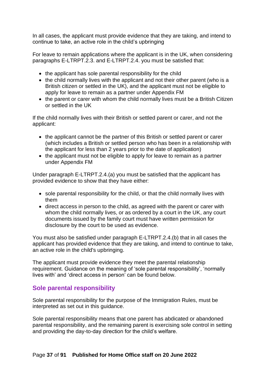In all cases, the applicant must provide evidence that they are taking, and intend to continue to take, an active role in the child's upbringing

For leave to remain applications where the applicant is in the UK, when considering paragraphs E-LTRPT.2.3. and E-LTRPT.2.4. you must be satisfied that:

- the applicant has sole parental responsibility for the child
- the child normally lives with the applicant and not their other parent (who is a British citizen or settled in the UK), and the applicant must not be eligible to apply for leave to remain as a partner under Appendix FM
- the parent or carer with whom the child normally lives must be a British Citizen or settled in the UK

If the child normally lives with their British or settled parent or carer, and not the applicant:

- the applicant cannot be the partner of this British or settled parent or carer (which includes a British or settled person who has been in a relationship with the applicant for less than 2 years prior to the date of application)
- the applicant must not be eligible to apply for leave to remain as a partner under Appendix FM

Under paragraph E-LTRPT.2.4.(a) you must be satisfied that the applicant has provided evidence to show that they have either:

- sole parental responsibility for the child, or that the child normally lives with them
- direct access in person to the child, as agreed with the parent or carer with whom the child normally lives, or as ordered by a court in the UK, any court documents issued by the family court must have written permission for disclosure by the court to be used as evidence.

You must also be satisfied under paragraph E-LTRPT.2.4.(b) that in all cases the applicant has provided evidence that they are taking, and intend to continue to take, an active role in the child's upbringing.

The applicant must provide evidence they meet the parental relationship requirement. Guidance on the meaning of 'sole parental responsibility', 'normally lives with' and 'direct access in person' can be found below.

#### **Sole parental responsibility**

Sole parental responsibility for the purpose of the Immigration Rules, must be interpreted as set out in this guidance.

Sole parental responsibility means that one parent has abdicated or abandoned parental responsibility, and the remaining parent is exercising sole control in setting and providing the day-to-day direction for the child's welfare.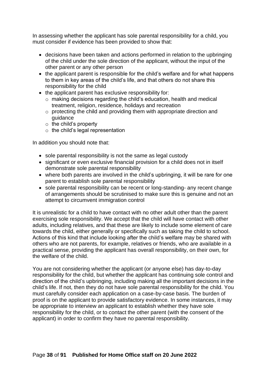In assessing whether the applicant has sole parental responsibility for a child, you must consider if evidence has been provided to show that:

- decisions have been taken and actions performed in relation to the upbringing of the child under the sole direction of the applicant, without the input of the other parent or any other person
- the applicant parent is responsible for the child's welfare and for what happens to them in key areas of the child's life, and that others do not share this responsibility for the child
- the applicant parent has exclusive responsibility for:
	- o making decisions regarding the child's education, health and medical treatment, religion, residence, holidays and recreation
	- o protecting the child and providing them with appropriate direction and guidance
	- $\circ$  the child's property
	- $\circ$  the child's legal representation

In addition you should note that:

- sole parental responsibility is not the same as legal custody
- significant or even exclusive financial provision for a child does not in itself demonstrate sole parental responsibility
- where both parents are involved in the child's upbringing, it will be rare for one parent to establish sole parental responsibility
- sole parental responsibility can be recent or long-standing- any recent change of arrangements should be scrutinised to make sure this is genuine and not an attempt to circumvent immigration control

It is unrealistic for a child to have contact with no other adult other than the parent exercising sole responsibility. We accept that the child will have contact with other adults, including relatives, and that these are likely to include some element of care towards the child, either generally or specifically such as taking the child to school. Actions of this kind that include looking after the child's welfare may be shared with others who are not parents, for example, relatives or friends, who are available in a practical sense, providing the applicant has overall responsibility, on their own, for the welfare of the child.

You are not considering whether the applicant (or anyone else) has day-to-day responsibility for the child, but whether the applicant has continuing sole control and direction of the child's upbringing, including making all the important decisions in the child's life. If not, then they do not have sole parental responsibility for the child. You must carefully consider each application on a case-by-case basis. The burden of proof is on the applicant to provide satisfactory evidence. In some instances, it may be appropriate to interview an applicant to establish whether they have sole responsibility for the child, or to contact the other parent (with the consent of the applicant) in order to confirm they have no parental responsibility.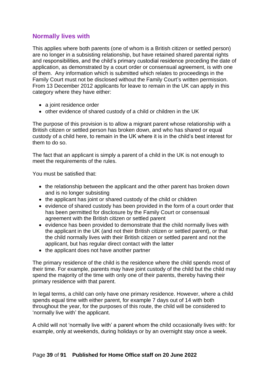## **Normally lives with**

This applies where both parents (one of whom is a British citizen or settled person) are no longer in a subsisting relationship, but have retained shared parental rights and responsibilities, and the child's primary custodial residence preceding the date of application, as demonstrated by a court order or consensual agreement, is with one of them. Any information which is submitted which relates to proceedings in the Family Court must not be disclosed without the Family Court's written permission. From 13 December 2012 applicants for leave to remain in the UK can apply in this category where they have either:

- a joint residence order
- other evidence of shared custody of a child or children in the UK

The purpose of this provision is to allow a migrant parent whose relationship with a British citizen or settled person has broken down, and who has shared or equal custody of a child here, to remain in the UK where it is in the child's best interest for them to do so.

The fact that an applicant is simply a parent of a child in the UK is not enough to meet the requirements of the rules.

You must be satisfied that:

- the relationship between the applicant and the other parent has broken down and is no longer subsisting
- the applicant has joint or shared custody of the child or children
- evidence of shared custody has been provided in the form of a court order that has been permitted for disclosure by the Family Court or consensual agreement with the British citizen or settled parent
- evidence has been provided to demonstrate that the child normally lives with the applicant in the UK (and not their British citizen or settled parent), or that the child normally lives with their British citizen or settled parent and not the applicant, but has regular direct contact with the latter
- the applicant does not have another partner

The primary residence of the child is the residence where the child spends most of their time. For example, parents may have joint custody of the child but the child may spend the majority of the time with only one of their parents, thereby having their primary residence with that parent.

In legal terms, a child can only have one primary residence. However, where a child spends equal time with either parent, for example 7 days out of 14 with both throughout the year, for the purposes of this route, the child will be considered to 'normally live with' the applicant.

A child will not 'normally live with' a parent whom the child occasionally lives with: for example, only at weekends, during holidays or by an overnight stay once a week.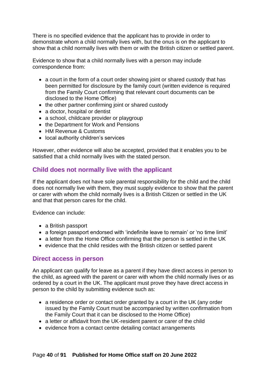There is no specified evidence that the applicant has to provide in order to demonstrate whom a child normally lives with, but the onus is on the applicant to show that a child normally lives with them or with the British citizen or settled parent.

Evidence to show that a child normally lives with a person may include correspondence from:

- a court in the form of a court order showing joint or shared custody that has been permitted for disclosure by the family court (written evidence is required from the Family Court confirming that relevant court documents can be disclosed to the Home Office)
- the other partner confirming joint or shared custody
- a doctor, hospital or dentist
- a school, childcare provider or playgroup
- the Department for Work and Pensions
- HM Revenue & Customs
- local authority children's services

However, other evidence will also be accepted, provided that it enables you to be satisfied that a child normally lives with the stated person.

#### **Child does not normally live with the applicant**

If the applicant does not have sole parental responsibility for the child and the child does not normally live with them, they must supply evidence to show that the parent or carer with whom the child normally lives is a British Citizen or settled in the UK and that that person cares for the child.

Evidence can include:

- a British passport
- a foreign passport endorsed with 'indefinite leave to remain' or 'no time limit'
- a letter from the Home Office confirming that the person is settled in the UK
- evidence that the child resides with the British citizen or settled parent

#### **Direct access in person**

An applicant can qualify for leave as a parent if they have direct access in person to the child, as agreed with the parent or carer with whom the child normally lives or as ordered by a court in the UK. The applicant must prove they have direct access in person to the child by submitting evidence such as:

- a residence order or contact order granted by a court in the UK (any order issued by the Family Court must be accompanied by written confirmation from the Family Court that it can be disclosed to the Home Office)
- a letter or affidavit from the UK-resident parent or carer of the child
- evidence from a contact centre detailing contact arrangements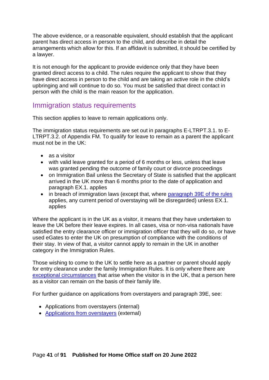The above evidence, or a reasonable equivalent, should establish that the applicant parent has direct access in person to the child, and describe in detail the arrangements which allow for this. If an affidavit is submitted, it should be certified by a lawyer.

It is not enough for the applicant to provide evidence only that they have been granted direct access to a child. The rules require the applicant to show that they have direct access in person to the child and are taking an active role in the child's upbringing and will continue to do so. You must be satisfied that direct contact in person with the child is the main reason for the application.

## Immigration status requirements

This section applies to leave to remain applications only.

The immigration status requirements are set out in paragraphs E-LTRPT.3.1. to E-LTRPT.3.2. of Appendix FM. To qualify for leave to remain as a parent the applicant must not be in the UK:

- as a visitor
- with valid leave granted for a period of 6 months or less, unless that leave was granted pending the outcome of family court or divorce proceedings
- on Immigration Bail unless the Secretary of State is satisfied that the applicant arrived in the UK more than 6 months prior to the date of application and paragraph EX.1. applies
- in breach of immigration laws (except that, where [paragraph 39E of the rules](https://www.gov.uk/guidance/immigration-rules/immigration-rules-part-1-leave-to-enter-or-stay-in-the-uk) applies, any current period of overstaying will be disregarded) unless EX.1. applies

Where the applicant is in the UK as a visitor, it means that they have undertaken to leave the UK before their leave expires. In all cases, visa or non-visa nationals have satisfied the entry clearance officer or immigration officer that they will do so, or have used eGates to enter the UK on presumption of compliance with the conditions of their stay. In view of that, a visitor cannot apply to remain in the UK in another category in the Immigration Rules.

Those wishing to come to the UK to settle here as a partner or parent should apply for entry clearance under the family Immigration Rules. It is only where there are [exceptional circumstances](#page-58-0) that arise when the visitor is in the UK, that a person here as a visitor can remain on the basis of their family life.

For further guidance on applications from overstayers and paragraph 39E, see:

- Applications from overstayers (internal)
- [Applications from overstayers](https://www.gov.uk/government/publications/applications-from-overstayers-non-family-routes) (external)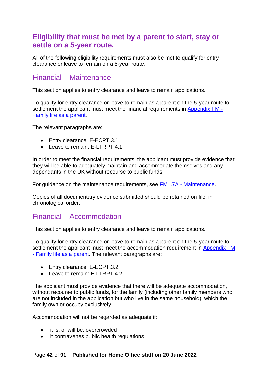## **Eligibility that must be met by a parent to start, stay or settle on a 5-year route.**

All of the following eligibility requirements must also be met to qualify for entry clearance or leave to remain on a 5-year route.

## Financial – Maintenance

This section applies to entry clearance and leave to remain applications.

To qualify for entry clearance or leave to remain as a parent on the 5-year route to settlement the applicant must meet the financial requirements in [Appendix FM -](https://www.gov.uk/guidance/immigration-rules/immigration-rules-appendix-fm-family-members) [Family life as a parent.](https://www.gov.uk/guidance/immigration-rules/immigration-rules-appendix-fm-family-members)

The relevant paragraphs are:

- Entry clearance: E-ECPT.3.1.
- Leave to remain: E-LTRPT.4.1.

In order to meet the financial requirements, the applicant must provide evidence that they will be able to adequately maintain and accommodate themselves and any dependants in the UK without recourse to public funds.

For guidance on the maintenance requirements, see FM1.7A - [Maintenance.](https://www.gov.uk/government/publications/chapter-8-appendix-fm-family-members)

Copies of all documentary evidence submitted should be retained on file, in chronological order.

## Financial – Accommodation

This section applies to entry clearance and leave to remain applications.

To qualify for entry clearance or leave to remain as a parent on the 5-year route to settlement the applicant must meet the accommodation requirement in [Appendix FM](https://www.gov.uk/guidance/immigration-rules/immigration-rules-appendix-fm-family-members)  - [Family life as a parent.](https://www.gov.uk/guidance/immigration-rules/immigration-rules-appendix-fm-family-members) The relevant paragraphs are:

- Entry clearance: E-ECPT.3.2.
- Leave to remain: E-LTRPT.4.2.

The applicant must provide evidence that there will be adequate accommodation, without recourse to public funds, for the family (including other family members who are not included in the application but who live in the same household), which the family own or occupy exclusively.

Accommodation will not be regarded as adequate if:

- it is, or will be, overcrowded
- it contravenes public health regulations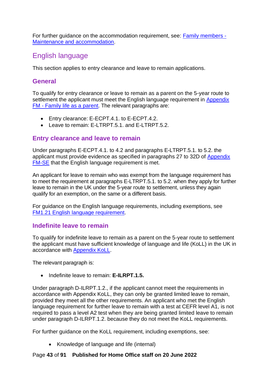For further guidance on the accommodation requirement, see: [Family members -](https://www.gov.uk/government/publications/chapter-8-appendix-fm-family-members) [Maintenance and accommodation.](https://www.gov.uk/government/publications/chapter-8-appendix-fm-family-members)

## English language

This section applies to entry clearance and leave to remain applications.

### **General**

To qualify for entry clearance or leave to remain as a parent on the 5-year route to settlement the applicant must meet the English language requirement in Appendix FM - [Family life as a parent.](https://www.gov.uk/guidance/immigration-rules/immigration-rules-appendix-fm-family-members) The relevant paragraphs are:

- Entry clearance: E-ECPT.4.1. to E-ECPT.4.2.
- Leave to remain: E-LTRPT.5.1. and E-LTRPT.5.2.

## **Entry clearance and leave to remain**

Under paragraphs E-ECPT.4.1. to 4.2 and paragraphs E-LTRPT.5.1. to 5.2. the applicant must provide evidence as specified in paragraphs 27 to 32D of [Appendix](https://www.gov.uk/guidance/immigration-rules/immigration-rules-appendix-fm-se-family-members-specified-evidence)  [FM-SE](https://www.gov.uk/guidance/immigration-rules/immigration-rules-appendix-fm-se-family-members-specified-evidence) that the English language requirement is met.

An applicant for leave to remain who was exempt from the language requirement has to meet the requirement at paragraphs E-LTRPT.5.1. to 5.2. when they apply for further leave to remain in the UK under the 5-year route to settlement, unless they again qualify for an exemption, on the same or a different basis.

For guidance on the English language requirements, including exemptions, see [FM1.21 English language requirement.](https://www.gov.uk/government/publications/chapter-8-appendix-fm-family-members)

#### **Indefinite leave to remain**

To qualify for indefinite leave to remain as a parent on the 5-year route to settlement the applicant must have sufficient knowledge of language and life (KoLL) in the UK in accordance with [Appendix KoLL.](https://www.gov.uk/guidance/immigration-rules/immigration-rules-appendix-koll)

The relevant paragraph is:

• Indefinite leave to remain: **E-ILRPT.1.5.**

Under paragraph D-ILRPT.1.2., if the applicant cannot meet the requirements in accordance with Appendix KoLL, they can only be granted limited leave to remain, provided they meet all the other requirements. An applicant who met the English language requirement for further leave to remain with a test at CEFR level A1, is not required to pass a level A2 test when they are being granted limited leave to remain under paragraph D-ILRPT.1.2. because they do not meet the KoLL requirements.

For further guidance on the KoLL requirement, including exemptions, see:

• Knowledge of language and life (internal)

#### Page **43** of **91 Published for Home Office staff on 20 June 2022**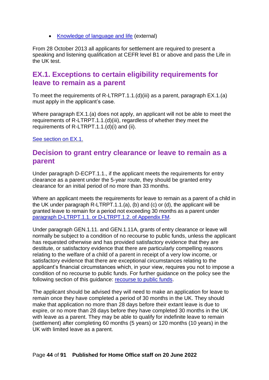• [Knowledge of language and life](https://www.gov.uk/government/publications/knowledge-of-life-and-language-in-the-uk) (external)

From 28 October 2013 all applicants for settlement are required to present a speaking and listening qualification at CEFR level B1 or above and pass the Life in the UK test.

## **EX.1. Exceptions to certain eligibility requirements for leave to remain as a parent**

To meet the requirements of R-LTRPT.1.1.(d)(iii) as a parent, paragraph EX.1.(a) must apply in the applicant's case.

Where paragraph EX.1.(a) does not apply, an applicant will not be able to meet the requirements of R-LTRPT.1.1.(d)(iii), regardless of whether they meet the requirements of R-LTRPT.1.1.(d)(i) and (ii).

[See section on EX.1.](#page-33-0)

## **Decision to grant entry clearance or leave to remain as a parent**

Under paragraph D-ECPT.1.1., if the applicant meets the requirements for entry clearance as a parent under the 5-year route, they should be granted entry clearance for an initial period of no more than 33 months.

Where an applicant meets the requirements for leave to remain as a parent of a child in the UK under paragraph R-LTRPT.1.1.(a), (b) and (c) or (d), the applicant will be granted leave to remain for a period not exceeding 30 months as a parent under paragraph [D-LTRPT.1.1. or D-LTRPT.1.2. of Appendix FM.](https://www.gov.uk/guidance/immigration-rules/immigration-rules-appendix-fm-family-members)

Under paragraph GEN.1.11. and GEN.1.11A, grants of entry clearance or leave will normally be subject to a condition of no recourse to public funds, unless the applicant has requested otherwise and has provided satisfactory evidence that they are destitute, or satisfactory evidence that there are particularly compelling reasons relating to the welfare of a child of a parent in receipt of a very low income, or satisfactory evidence that there are exceptional circumstances relating to the applicant's financial circumstances which, in your view, requires you not to impose a condition of no recourse to public funds. For further guidance on the policy see the following section of this guidance: [recourse to public funds.](#page-90-0)

The applicant should be advised they will need to make an application for leave to remain once they have completed a period of 30 months in the UK. They should make that application no more than 28 days before their extant leave is due to expire, or no more than 28 days before they have completed 30 months in the UK with leave as a parent. They may be able to qualify for indefinite leave to remain (settlement) after completing 60 months (5 years) or 120 months (10 years) in the UK with limited leave as a parent.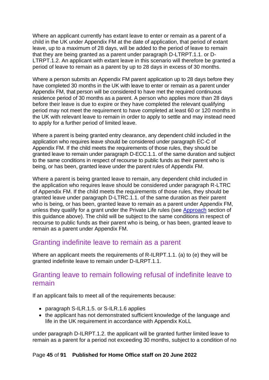Where an applicant currently has extant leave to enter or remain as a parent of a child in the UK under Appendix FM at the date of application, that period of extant leave, up to a maximum of 28 days, will be added to the period of leave to remain that they are being granted as a parent under paragraph D-LTRPT.1.1. or D-LTRPT.1.2. An applicant with extant leave in this scenario will therefore be granted a period of leave to remain as a parent by up to 28 days in excess of 30 months.

Where a person submits an Appendix FM parent application up to 28 days before they have completed 30 months in the UK with leave to enter or remain as a parent under Appendix FM, that person will be considered to have met the required continuous residence period of 30 months as a parent. A person who applies more than 28 days before their leave is due to expire or they have completed the relevant qualifying period may not meet the requirement to have completed at least 60 or 120 months in the UK with relevant leave to remain in order to apply to settle and may instead need to apply for a further period of limited leave.

Where a parent is being granted entry clearance, any dependent child included in the application who requires leave should be considered under paragraph EC-C of Appendix FM. If the child meets the requirements of those rules, they should be granted leave to remain under paragraph D-ECC.1.1. of the same duration and subject to the same conditions in respect of recourse to public funds as their parent who is being, or has been, granted leave under the parent rules of Appendix FM.

Where a parent is being granted leave to remain, any dependent child included in the application who requires leave should be considered under paragraph R-LTRC of Appendix FM. If the child meets the requirements of those rules, they should be granted leave under paragraph D-LTRC.1.1. of the same duration as their parent who is being, or has been, granted leave to remain as a parent under Appendix FM, unless they qualify for a grant under the Private Life rules (see [Approach](#page-12-0) section of this guidance above). The child will be subject to the same conditions in respect of recourse to public funds as their parent who is being, or has been, granted leave to remain as a parent under Appendix FM.

## Granting indefinite leave to remain as a parent

Where an applicant meets the requirements of R-ILRPT.1.1. (a) to (e) they will be granted indefinite leave to remain under D-ILRPT.1.1.

## Granting leave to remain following refusal of indefinite leave to remain

If an applicant fails to meet all of the requirements because:

- paragraph S-ILR.1.5. or S-ILR.1.6 applies
- the applicant has not demonstrated sufficient knowledge of the language and life in the UK requirement in accordance with Appendix KoLL

under paragraph D-ILRPT.1.2. the applicant will be granted further limited leave to remain as a parent for a period not exceeding 30 months, subject to a condition of no

#### Page **45** of **91 Published for Home Office staff on 20 June 2022**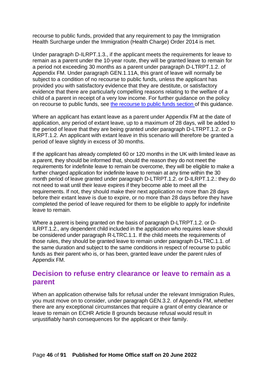recourse to public funds, provided that any requirement to pay the Immigration Health Surcharge under the Immigration (Health Charge) Order 2014 is met.

Under paragraph D-ILRPT.1.3., if the applicant meets the requirements for leave to remain as a parent under the 10-year route, they will be granted leave to remain for a period not exceeding 30 months as a parent under paragraph D-LTRPT.1.2. of Appendix FM. Under paragraph GEN.1.11A, this grant of leave will normally be subject to a condition of no recourse to public funds, unless the applicant has provided you with satisfactory evidence that they are destitute, or satisfactory evidence that there are particularly compelling reasons relating to the welfare of a child of a parent in receipt of a very low income. For further guidance on the policy on recourse to public funds, see [the recourse to public funds section](#page-77-0) of this guidance.

Where an applicant has extant leave as a parent under Appendix FM at the date of application, any period of extant leave, up to a maximum of 28 days, will be added to the period of leave that they are being granted under paragraph D-LTRPT.1.2. or D-ILRPT.1.2. An applicant with extant leave in this scenario will therefore be granted a period of leave slightly in excess of 30 months.

If the applicant has already completed 60 or 120 months in the UK with limited leave as a parent, they should be informed that, should the reason they do not meet the requirements for indefinite leave to remain be overcome, they will be eligible to make a further charged application for indefinite leave to remain at any time within the 30 month period of leave granted under paragraph D-LTRPT.1.2. or D-ILRPT.1.2.: they do not need to wait until their leave expires if they become able to meet all the requirements. If not, they should make their next application no more than 28 days before their extant leave is due to expire, or no more than 28 days before they have completed the period of leave required for them to be eligible to apply for indefinite leave to remain.

Where a parent is being granted on the basis of paragraph D-LTRPT.1.2. or D-ILRPT.1.2., any dependent child included in the application who requires leave should be considered under paragraph R-LTRC.1.1. If the child meets the requirements of those rules, they should be granted leave to remain under paragraph D-LTRC.1.1. of the same duration and subject to the same conditions in respect of recourse to public funds as their parent who is, or has been, granted leave under the parent rules of Appendix FM.

## **Decision to refuse entry clearance or leave to remain as a parent**

When an application otherwise falls for refusal under the relevant Immigration Rules, you must move on to consider, under paragraph GEN.3.2. of Appendix FM, whether there are any exceptional circumstances that require a grant of entry clearance or leave to remain on ECHR Article 8 grounds because refusal would result in unjustifiably harsh consequences for the applicant or their family.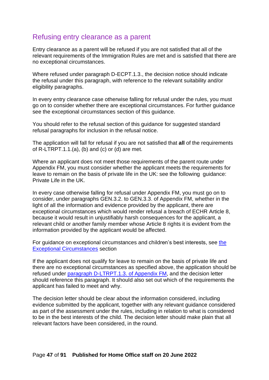## Refusing entry clearance as a parent

Entry clearance as a parent will be refused if you are not satisfied that all of the relevant requirements of the Immigration Rules are met and is satisfied that there are no exceptional circumstances.

Where refused under paragraph D-ECPT.1.3., the decision notice should indicate the refusal under this paragraph, with reference to the relevant suitability and/or eligibility paragraphs.

In every entry clearance case otherwise falling for refusal under the rules, you must go on to consider whether there are exceptional circumstances. For further guidance see the exceptional circumstances section of this guidance.

You should refer to the refusal section of this guidance for suggested standard refusal paragraphs for inclusion in the refusal notice.

The application will fall for refusal if you are not satisfied that **all** of the requirements of  $R$ -LTRPT.1.1.(a), (b) and (c) or (d) are met.

Where an applicant does not meet those requirements of the parent route under Appendix FM, you must consider whether the applicant meets the requirements for leave to remain on the basis of private life in the UK: see the following guidance: [Private Life in the UK.](bookmark://_Private_Life_in/)

In every case otherwise falling for refusal under Appendix FM, you must go on to consider, under paragraphs GEN.3.2. to GEN.3.3. of Appendix FM, whether in the light of all the information and evidence provided by the applicant, there are exceptional circumstances which would render refusal a breach of ECHR Article 8, because it would result in unjustifiably harsh consequences for the applicant, a relevant child or another family member whose Article 8 rights it is evident from the information provided by the applicant would be affected.

For guidance on exceptional circumstances and children's best interests, see [the](#page-58-0)  [Exceptional Circumstances](#page-58-0) section

If the applicant does not qualify for leave to remain on the basis of private life and there are no exceptional circumstances as specified above, the application should be refused under [paragraph D-LTRPT.1.3.](https://www.gov.uk/guidance/immigration-rules/immigration-rules-appendix-fm-family-members) of Appendix FM, and the decision letter should reference this paragraph. It should also set out which of the requirements the applicant has failed to meet and why.

The decision letter should be clear about the information considered, including evidence submitted by the applicant, together with any relevant guidance considered as part of the assessment under the rules, including in relation to what is considered to be in the best interests of the child. The decision letter should make plain that all relevant factors have been considered, in the round.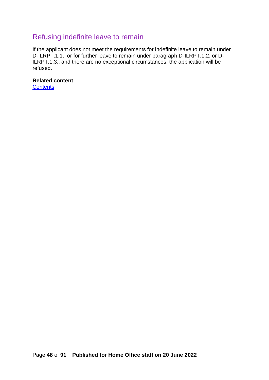## Refusing indefinite leave to remain

If the applicant does not meet the requirements for indefinite leave to remain under D-ILRPT.1.1., or for further leave to remain under paragraph D-ILRPT.1.2. or D-ILRPT.1.3., and there are no exceptional circumstances, the application will be refused.

**Related content**

**[Contents](#page-1-0)**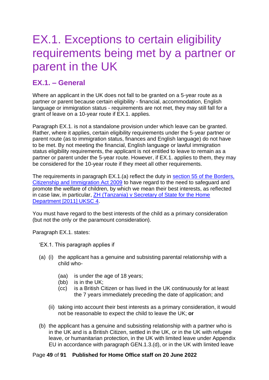# EX.1. Exceptions to certain eligibility requirements being met by a partner or parent in the UK

## **EX.1. – General**

Where an applicant in the UK does not fall to be granted on a 5-year route as a partner or parent because certain eligibility - financial, accommodation, English language or immigration status - requirements are not met, they may still fall for a grant of leave on a 10-year route if EX.1. applies.

Paragraph EX.1. is not a standalone provision under which leave can be granted. Rather, where it applies, certain eligibility requirements under the 5-year partner or parent route (as to immigration status, finances and English language) do not have to be met. By not meeting the financial, English language or lawful immigration status eligibility requirements, the applicant is not entitled to leave to remain as a partner or parent under the 5-year route. However, if EX.1. applies to them, they may be considered for the 10-year route if they meet all other requirements.

The requirements in paragraph EX.1.(a) reflect the duty in [section 55 of the Borders,](http://www.legislation.gov.uk/ukpga/2009/11/section/55)  [Citizenship and Immigration Act 2009](http://www.legislation.gov.uk/ukpga/2009/11/section/55) to have regard to the need to safeguard and promote the welfare of children, by which we mean their best interests, as reflected in case law, in particular,  $ZH$  (Tanzania) v Secretary of State for the Home Department [\[2011\] UKSC 4.](https://www.supremecourt.uk/cases/docs/uksc-2010-0002-judgment.pdf)

You must have regard to the best interests of the child as a primary consideration (but not the only or the paramount consideration).

Paragraph EX.1. states:

- 'EX.1. This paragraph applies if
- (a) (i) the applicant has a genuine and subsisting parental relationship with a child who-
	- (aa) is under the age of 18 years;
	- (bb) is in the UK;
	- (cc) is a British Citizen or has lived in the UK continuously for at least the 7 years immediately preceding the date of application; and
	- (ii) taking into account their best interests as a primary consideration, it would not be reasonable to expect the child to leave the UK; **or**
- (b) the applicant has a genuine and subsisting relationship with a partner who is in the UK and is a British Citizen, settled in the UK, or in the UK with refugee leave, or humanitarian protection, in the UK with limited leave under Appendix EU in accordance with paragraph GEN.1.3.(d), or in the UK with limited leave

#### Page **49** of **91 Published for Home Office staff on 20 June 2022**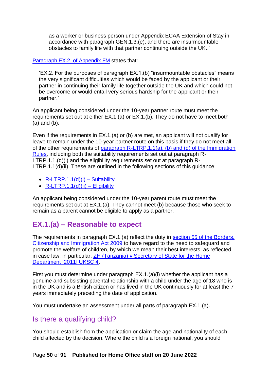as a worker or business person under Appendix ECAA Extension of Stay in accordance with paragraph GEN.1.3.(e), and there are insurmountable obstacles to family life with that partner continuing outside the UK..'

[Paragraph EX.2. of Appendix FM](https://www.gov.uk/guidance/immigration-rules/immigration-rules-appendix-fm-family-members) states that:

'EX.2. For the purposes of paragraph EX.1.(b) "insurmountable obstacles" means the very significant difficulties which would be faced by the applicant or their partner in continuing their family life together outside the UK and which could not be overcome or would entail very serious hardship for the applicant or their partner.'

An applicant being considered under the 10-year partner route must meet the requirements set out at either EX.1.(a) or EX.1.(b). They do not have to meet both (a) and (b).

Even if the requirements in EX.1.(a) or (b) are met, an applicant will not qualify for leave to remain under the 10-year partner route on this basis if they do not meet all of the other requirements of [paragraph R-LTRP.1.1\(a\), \(b\) and \(d\) of the Immigration](https://www.gov.uk/guidance/immigration-rules/immigration-rules-appendix-fm-family-members)  [Rules,](https://www.gov.uk/guidance/immigration-rules/immigration-rules-appendix-fm-family-members) including both the suitability requirements set out at paragraph R-LTRP.1.1.(d)(i) and the eligibility requirements set out at paragraph R-LTRP.1.1(d)(ii). These are outlined in the following sections of this quidance:

- $R-LTRP.1.1(d)(i) -$  Suitability
- $\bullet$  [R-LTRP.1.1\(d\)\(ii\) –](#page-25-0) Eligibility

An applicant being considered under the 10-year parent route must meet the requirements set out at EX.1.(a). They cannot meet (b) because those who seek to remain as a parent cannot be eligible to apply as a partner.

## **EX.1.(a) – Reasonable to expect**

The requirements in paragraph EX.1.(a) reflect the duty in [section 55 of the Borders,](http://www.legislation.gov.uk/ukpga/2009/11/section/55)  [Citizenship and Immigration Act 2009](http://www.legislation.gov.uk/ukpga/2009/11/section/55) to have regard to the need to safeguard and promote the welfare of children, by which we mean their best interests, as reflected in case law, in particular, ZH (Tanzania) [v Secretary of State for the Home](https://www.supremecourt.uk/cases/docs/uksc-2010-0002-judgment.pdf)  Department [\[2011\] UKSC 4.](https://www.supremecourt.uk/cases/docs/uksc-2010-0002-judgment.pdf)

First you must determine under paragraph EX.1.(a)(i) whether the applicant has a genuine and subsisting parental relationship with a child under the age of 18 who is in the UK and is a British citizen or has lived in the UK continuously for at least the 7 years immediately preceding the date of application.

You must undertake an assessment under all parts of paragraph EX.1.(a).

## Is there a qualifying child?

You should establish from the application or claim the age and nationality of each child affected by the decision. Where the child is a foreign national, you should

#### Page **50** of **91 Published for Home Office staff on 20 June 2022**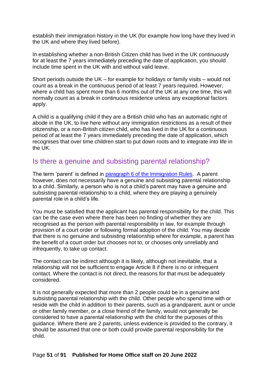establish their immigration history in the UK (for example how long have they lived in the UK and where they lived before).

In establishing whether a non-British Citizen child has lived in the UK continuously for at least the 7 years immediately preceding the date of application, you should include time spent in the UK with and without valid leave.

Short periods outside the UK – for example for holidays or family visits – would not count as a break in the continuous period of at least 7 years required. However, where a child has spent more than 6 months out of the UK at any one time, this will normally count as a break in continuous residence unless any exceptional factors apply.

A child is a qualifying child if they are a British child who has an automatic right of abode in the UK, to live here without any immigration restrictions as a result of their citizenship, or a non-British citizen child, who has lived in the UK for a continuous period of at least the 7 years immediately preceding the date of application, which recognises that over time children start to put down roots and to integrate into life in the UK.

## Is there a genuine and subsisting parental relationship?

The term 'parent' is defined in [paragraph 6 of the Immigration Rules.](https://www.gov.uk/guidance/immigration-rules/immigration-rules-introduction) A parent however, does not necessarily have a genuine and subsisting parental relationship to a child. Similarly, a person who is not a child's parent may have a genuine and subsisting parental relationship to a child, where they are playing a genuinely parental role in a child's life.

You must be satisfied that the applicant has parental responsibility for the child. This can be the case even where there has been no finding of whether they are recognised as the person with parental responsibility in law, for example through provision of a court order or following formal adoption of the child. You may decide that there is no genuine and subsisting relationship where for example, a parent has the benefit of a court order but chooses not to, or chooses only unreliably and infrequently, to take up contact.

The contact can be indirect although it is likely, although not inevitable, that a relationship will not be sufficient to engage Article 8 if there is no or infrequent contact. Where the contact is not direct, the reasons for that must be adequately considered.

It is not generally expected that more than 2 people could be in a genuine and subsisting parental relationship with the child. Other people who spend time with or reside with the child in addition to their parents, such as a grandparent, aunt or uncle or other family member, or a close friend of the family, would not generally be considered to have a parental relationship with the child for the purposes of this guidance. Where there are 2 parents, unless evidence is provided to the contrary, it should be assumed that one or both could provide parental responsibility for the child.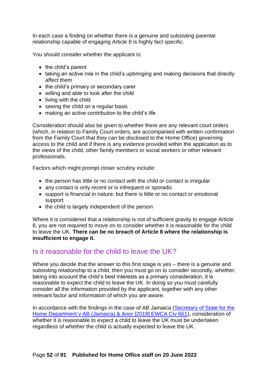In each case a finding on whether there is a genuine and subsisting parental relationship capable of engaging Article 8 is highly fact specific.

You should consider whether the applicant is:

- the child's parent
- taking an active role in the child's upbringing and making decisions that directly affect them
- the child's primary or secondary carer
- willing and able to look after the child
- living with the child
- seeing the child on a regular basis
- making an active contribution to the child's life

Consideration should also be given to whether there are any relevant court orders (which, in relation to Family Court orders, are accompanied with written confirmation from the Family Court that they can be disclosed to the Home Office) governing access to the child and if there is any evidence provided within the application as to the views of the child, other family members or social workers or other relevant professionals.

Factors which might prompt closer scrutiny include:

- the person has little or no contact with the child or contact is irregular
- any contact is only recent or is infrequent or sporadic
- support is financial in nature; but there is little or no contact or emotional support
- the child is largely independent of the person

Where it is considered that a relationship is not of sufficient gravity to engage Article 8, you are not required to move on to consider whether it is reasonable for the child to leave the UK. **There can be no breach of Article 8 where the relationship is insufficient to engage it.** 

## Is it reasonable for the child to leave the UK?

Where you decide that the answer to this first stage is yes – there is a genuine and subsisting relationship to a child, then you must go on to consider secondly, whether, taking into account the child's best interests as a primary consideration, it is reasonable to expect the child to leave the UK. In doing so you must carefully consider all the information provided by the applicant, together with any other relevant factor and information of which you are aware.

In accordance with the findings in the case of AB Jamaica (Secretary of State for the [Home Department v AB \(Jamaica\) & Anor \[2019\] EWCA Civ 661\)](https://www.bailii.org/ew/cases/EWCA/Civ/2019/661.html), consideration of whether it is reasonable to expect a child to leave the UK must be undertaken regardless of whether the child is actually expected to leave the UK.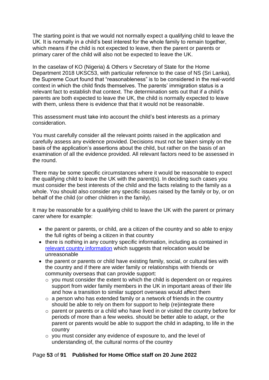The starting point is that we would not normally expect a qualifying child to leave the UK. It is normally in a child's best interest for the whole family to remain together, which means if the child is not expected to leave, then the parent or parents or primary carer of the child will also not be expected to leave the UK.

In the caselaw of KO (Nigeria) & Others v Secretary of State for the Home Department 2018 UKSC53, with particular reference to the case of NS (Sri Lanka), the Supreme Court found that "reasonableness" is to be considered in the real-world context in which the child finds themselves. The parents' immigration status is a relevant fact to establish that context. The determination sets out that if a child's parents are both expected to leave the UK, the child is normally expected to leave with them, unless there is evidence that that it would not be reasonable.

This assessment must take into account the child's best interests as a primary consideration.

You must carefully consider all the relevant points raised in the application and carefully assess any evidence provided. Decisions must not be taken simply on the basis of the application's assertions about the child, but rather on the basis of an examination of all the evidence provided. All relevant factors need to be assessed in the round.

There may be some specific circumstances where it would be reasonable to expect the qualifying child to leave the UK with the parent(s). In deciding such cases you must consider the best interests of the child and the facts relating to the family as a whole. You should also consider any specific issues raised by the family or by, or on behalf of the child (or other children in the family).

It may be reasonable for a qualifying child to leave the UK with the parent or primary carer where for example:

- the parent or parents, or child, are a citizen of the country and so able to enjoy the full rights of being a citizen in that country
- there is nothing in any country specific information, including as contained in [relevant country information](https://www.gov.uk/government/collections/country-policy-and-information-notes) which suggests that relocation would be unreasonable
- the parent or parents or child have existing family, social, or cultural ties with the country and if there are wider family or relationships with friends or community overseas that can provide support:
	- o you must consider the extent to which the child is dependent on or requires support from wider family members in the UK in important areas of their life and how a transition to similar support overseas would affect them
	- $\circ$  a person who has extended family or a network of friends in the country should be able to rely on them for support to help (re)integrate there
	- o parent or parents or a child who have lived in or visited the country before for periods of more than a few weeks. should be better able to adapt, or the parent or parents would be able to support the child in adapting, to life in the country
	- o you must consider any evidence of exposure to, and the level of understanding of, the cultural norms of the country

#### Page **53** of **91 Published for Home Office staff on 20 June 2022**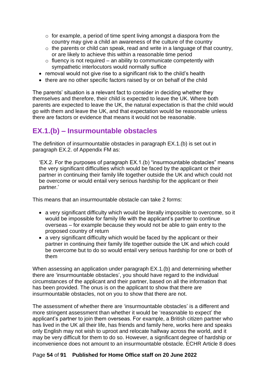- $\circ$  for example, a period of time spent living amongst a diaspora from the country may give a child an awareness of the culture of the country
- $\circ$  the parents or child can speak, read and write in a language of that country, or are likely to achieve this within a reasonable time period
- $\circ$  fluency is not required an ability to communicate competently with sympathetic interlocutors would normally suffice
- removal would not give rise to a significant risk to the child's health
- there are no other specific factors raised by or on behalf of the child

The parents' situation is a relevant fact to consider in deciding whether they themselves and therefore, their child is expected to leave the UK. Where both parents are expected to leave the UK, the natural expectation is that the child would go with them and leave the UK, and that expectation would be reasonable unless there are factors or evidence that means it would not be reasonable.

## **EX.1.(b) – Insurmountable obstacles**

The definition of insurmountable obstacles in paragraph EX.1.(b) is set out in paragraph EX.2. of Appendix FM as:

'EX.2. For the purposes of paragraph EX.1.(b) "insurmountable obstacles" means the very significant difficulties which would be faced by the applicant or their partner in continuing their family life together outside the UK and which could not be overcome or would entail very serious hardship for the applicant or their partner.'

This means that an insurmountable obstacle can take 2 forms:

- a very significant difficulty which would be literally impossible to overcome, so it would be impossible for family life with the applicant's partner to continue overseas – for example because they would not be able to gain entry to the proposed country of return
- a very significant difficulty which would be faced by the applicant or their partner in continuing their family life together outside the UK and which could be overcome but to do so would entail very serious hardship for one or both of them

When assessing an application under paragraph EX.1.(b) and determining whether there are 'insurmountable obstacles', you should have regard to the individual circumstances of the applicant and their partner, based on all the information that has been provided. The onus is on the applicant to show that there are insurmountable obstacles, not on you to show that there are not.

The assessment of whether there are 'insurmountable obstacles' is a different and more stringent assessment than whether it would be 'reasonable to expect' the applicant's partner to join them overseas. For example, a British citizen partner who has lived in the UK all their life, has friends and family here, works here and speaks only English may not wish to uproot and relocate halfway across the world, and it may be very difficult for them to do so. However, a significant degree of hardship or inconvenience does not amount to an insurmountable obstacle. ECHR Article 8 does

#### Page **54** of **91 Published for Home Office staff on 20 June 2022**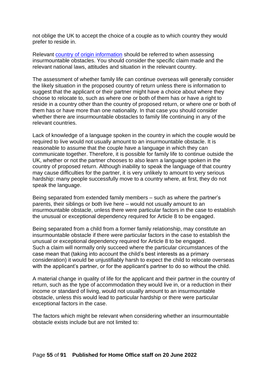not oblige the UK to accept the choice of a couple as to which country they would prefer to reside in.

Relevant [country of origin information](https://www.gov.uk/government/collections/country-information-and-guidance) should be referred to when assessing insurmountable obstacles. You should consider the specific claim made and the relevant national laws, attitudes and situation in the relevant country.

The assessment of whether family life can continue overseas will generally consider the likely situation in the proposed country of return unless there is information to suggest that the applicant or their partner might have a choice about where they choose to relocate to, such as where one or both of them has or have a right to reside in a country other than the country of proposed return, or where one or both of them has or have more than one nationality. In that case you should consider whether there are insurmountable obstacles to family life continuing in any of the relevant countries.

Lack of knowledge of a language spoken in the country in which the couple would be required to live would not usually amount to an insurmountable obstacle. It is reasonable to assume that the couple have a language in which they can communicate together. Therefore, it is possible for family life to continue outside the UK, whether or not the partner chooses to also learn a language spoken in the country of proposed return. Although inability to speak the language of that country may cause difficulties for the partner, it is very unlikely to amount to very serious hardship: many people successfully move to a country where, at first, they do not speak the language.

Being separated from extended family members – such as where the partner's parents, their siblings or both live here – would not usually amount to an insurmountable obstacle, unless there were particular factors in the case to establish the unusual or exceptional dependency required for Article 8 to be engaged.

Being separated from a child from a former family relationship, may constitute an insurmountable obstacle if there were particular factors in the case to establish the unusual or exceptional dependency required for Article 8 to be engaged. Such a claim will normally only succeed where the particular circumstances of the case mean that (taking into account the child's best interests as a primary consideration) it would be unjustifiably harsh to expect the child to relocate overseas with the applicant's partner, or for the applicant's partner to do so without the child.

A material change in quality of life for the applicant and their partner in the country of return, such as the type of accommodation they would live in, or a reduction in their income or standard of living, would not usually amount to an insurmountable obstacle, unless this would lead to particular hardship or there were particular exceptional factors in the case.

The factors which might be relevant when considering whether an insurmountable obstacle exists include but are not limited to: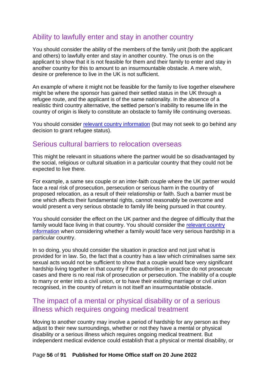## Ability to lawfully enter and stay in another country

You should consider the ability of the members of the family unit (both the applicant and others) to lawfully enter and stay in another country. The onus is on the applicant to show that it is not feasible for them and their family to enter and stay in another country for this to amount to an insurmountable obstacle. A mere wish, desire or preference to live in the UK is not sufficient.

An example of where it might not be feasible for the family to live together elsewhere might be where the sponsor has gained their settled status in the UK through a refugee route, and the applicant is of the same nationality. In the absence of a realistic third country alternative, the settled person's inability to resume life in the country of origin is likely to constitute an obstacle to family life continuing overseas.

You should consider [relevant country information](https://www.gov.uk/government/collections/country-policy-and-information-notes) (but may not seek to go behind any decision to grant refugee status).

## Serious cultural barriers to relocation overseas

This might be relevant in situations where the partner would be so disadvantaged by the social, religious or cultural situation in a particular country that they could not be expected to live there.

For example, a same sex couple or an inter-faith couple where the UK partner would face a real risk of prosecution, persecution or serious harm in the country of proposed relocation, as a result of their relationship or faith. Such a barrier must be one which affects their fundamental rights, cannot reasonably be overcome and would present a very serious obstacle to family life being pursued in that country.

You should consider the effect on the UK partner and the degree of difficulty that the family would face living in that country. You should consider the [relevant country](https://www.gov.uk/government/collections/country-policy-and-information-notes)  [information](https://www.gov.uk/government/collections/country-policy-and-information-notes) when considering whether a family would face very serious hardship in a particular country.

In so doing, you should consider the situation in practice and not just what is provided for in law. So, the fact that a country has a law which criminalises same sex sexual acts would not be sufficient to show that a couple would face very significant hardship living together in that country if the authorities in practice do not prosecute cases and there is no real risk of prosecution or persecution. The inability of a couple to marry or enter into a civil union, or to have their existing marriage or civil union recognised, in the country of return is not itself an insurmountable obstacle.

## The impact of a mental or physical disability or of a serious illness which requires ongoing medical treatment

Moving to another country may involve a period of hardship for any person as they adjust to their new surroundings, whether or not they have a mental or physical disability or a serious illness which requires ongoing medical treatment. But independent medical evidence could establish that a physical or mental disability, or

#### Page **56** of **91 Published for Home Office staff on 20 June 2022**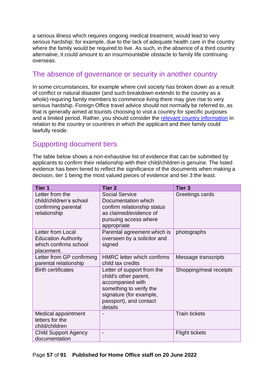a serious illness which requires ongoing medical treatment, would lead to very serious hardship: for example, due to the lack of adequate health care in the country where the family would be required to live. As such, in the absence of a third country alternative, it could amount to an insurmountable obstacle to family life continuing overseas.

## The absence of governance or security in another country

In some circumstances, for example where civil society has broken down as a result of conflict or natural disaster (and such breakdown extends to the country as a whole) requiring family members to commence living there may give rise to very serious hardship. Foreign Office travel advice should not normally be referred to, as that is generally aimed at tourists choosing to visit a country for specific purposes and a limited period. Rather, you should consider the [relevant country information](https://www.gov.uk/government/collections/country-policy-and-information-notes) in relation to the country or countries in which the applicant and their family could lawfully reside.

## Supporting document tiers

The table below shows a non-exhaustive list of evidence that can be submitted by applicants to confirm their relationship with their child/children is genuine. The listed evidence has been tiered to reflect the significance of the documents when making a decision, tier 1 being the most valued pieces of evidence and tier 3 the least.

| Tier 1                                                                                 | <b>Tier 2</b>                                                                                                                                                      | Tier <sub>3</sub>      |
|----------------------------------------------------------------------------------------|--------------------------------------------------------------------------------------------------------------------------------------------------------------------|------------------------|
| Letter from the<br>child/children's school<br>confirming parental<br>relationship      | <b>Social Service</b><br>Documentation which<br>confirm relationship status<br>as claimed/evidence of<br>pursuing access where<br>appropriate                      | Greetings cards        |
| Letter from Local<br><b>Education Authority</b><br>which confirms school<br>placement. | Parental agreement which is<br>overseen by a solicitor and<br>signed                                                                                               | photographs            |
| Letter from GP confirming<br>parental relationship                                     | <b>HMRC</b> letter which confirms<br>child tax credits                                                                                                             | Message transcripts    |
| <b>Birth certificates</b>                                                              | Letter of support from the<br>child's other parent,<br>accompanied with<br>something to verify the<br>signature (for example,<br>passport), and contact<br>details | Shopping/meal receipts |
| Medical appointment<br>letters for the<br>child/children                               |                                                                                                                                                                    | <b>Train tickets</b>   |
| <b>Child Support Agency</b><br>documentation                                           |                                                                                                                                                                    | <b>Flight tickets</b>  |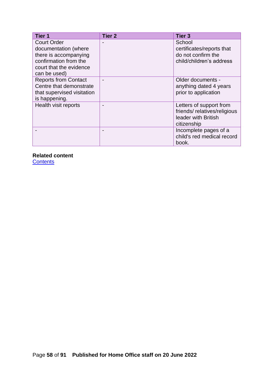| Tier 1                      | <b>Tier 2</b> | <b>Tier 3</b>               |
|-----------------------------|---------------|-----------------------------|
| <b>Court Order</b>          |               | School                      |
| documentation (where        |               | certificates/reports that   |
| there is accompanying       |               | do not confirm the          |
| confirmation from the       |               | child/children's address    |
| court that the evidence     |               |                             |
| can be used)                |               |                             |
| <b>Reports from Contact</b> |               | Older documents -           |
| Centre that demonstrate     |               | anything dated 4 years      |
| that supervised visitation  |               | prior to application        |
| is happening.               |               |                             |
| Health visit reports        |               | Letters of support from     |
|                             |               | friends/relatives/religious |
|                             |               | leader with British         |
|                             |               | citizenship                 |
|                             |               | Incomplete pages of a       |
|                             |               | child's red medical record  |
|                             |               | book.                       |

**Related content**

**[Contents](#page-1-0)**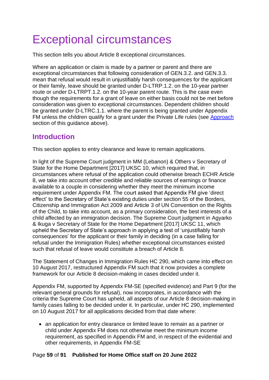# <span id="page-58-0"></span>Exceptional circumstances

This section tells you about Article 8 exceptional circumstances.

Where an application or claim is made by a partner or parent and there are exceptional circumstances that following consideration of GEN.3.2. and GEN.3.3. mean that refusal would result in unjustifiably harsh consequences for the applicant or their family, leave should be granted under D-LTRP.1.2. on the 10-year partner route or under D-LTRPT.1.2. on the 10-year parent route. This is the case even though the requirements for a grant of leave on either basis could not be met before consideration was given to exceptional circumstances. Dependent children should be granted under D-LTRC.1.1. where the parent is being granted under Appendix FM unless the children qualify for a grant under the Private Life rules (see [Approach](#page-12-0) section of this guidance above).

## **Introduction**

This section applies to entry clearance and leave to remain applications.

In light of the Supreme Court judgment in MM (Lebanon) & Others v Secretary of State for the Home Department [2017] UKSC 10, which required that, in circumstances where refusal of the application could otherwise breach ECHR Article 8, we take into account other credible and reliable sources of earnings or finance available to a couple in considering whether they meet the minimum income requirement under Appendix FM. The court asked that Appendix FM give 'direct effect' to the Secretary of State's existing duties under section 55 of the Borders, Citizenship and Immigration Act 2009 and Article 3 of UN Convention on the Rights of the Child, to take into account, as a primary consideration, the best interests of a child affected by an immigration decision. The Supreme Court judgment in Agyarko & Ikuga v Secretary of State for the Home Department [2017] UKSC 11, which upheld the Secretary of State's approach in applying a test of 'unjustifiably harsh consequences' for the applicant or their family in deciding (in a case falling for refusal under the Immigration Rules) whether exceptional circumstances existed such that refusal of leave would constitute a breach of Article 8.

The Statement of Changes in Immigration Rules HC 290, which came into effect on 10 August 2017, restructured Appendix FM such that it now provides a complete framework for our Article 8 decision-making in cases decided under it.

Appendix FM, supported by Appendix FM-SE (specified evidence) and Part 9 (for the relevant general grounds for refusal), now incorporates, in accordance with the criteria the Supreme Court has upheld, all aspects of our Article 8 decision-making in family cases falling to be decided under it. In particular, under HC 290, implemented on 10 August 2017 for all applications decided from that date where:

• an application for entry clearance or limited leave to remain as a partner or child under Appendix FM does not otherwise meet the minimum income requirement, as specified in Appendix FM and, in respect of the evidential and other requirements, in Appendix FM-SE

#### Page **59** of **91 Published for Home Office staff on 20 June 2022**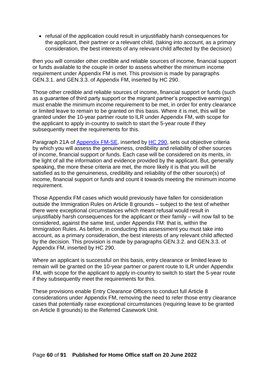• refusal of the application could result in unjustifiably harsh consequences for the applicant, their partner or a relevant child, (taking into account, as a primary consideration, the best interests of any relevant child affected by the decision)

then you will consider other credible and reliable sources of income, financial support or funds available to the couple in order to assess whether the minimum income requirement under Appendix FM is met. This provision is made by paragraphs GEN.3.1. and GEN.3.3. of Appendix FM, inserted by HC 290.

Those other credible and reliable sources of income, financial support or funds (such as a guarantee of third party support or the migrant partner's prospective earnings) must enable the minimum income requirement to be met, in order for entry clearance or limited leave to remain to be granted on this basis. Where it is met, this will be granted under the 10-year partner route to ILR under Appendix FM, with scope for the applicant to apply in-country to switch to start the 5-year route if they subsequently meet the requirements for this.

Paragraph 21A of [Appendix FM-SE,](https://www.gov.uk/guidance/immigration-rules/immigration-rules-appendix-fm-se-family-members-specified-evidence) inserted by [HC 290,](https://www.gov.uk/government/publications/statement-of-changes-to-the-immigration-rules-hc290-20-july-2017) sets out objective criteria by which you will assess the genuineness, credibility and reliability of other sources of income, financial support or funds. Each case will be considered on its merits, in the light of all the information and evidence provided by the applicant. But, generally speaking, the more these criteria are met, the more likely it is that you will be satisfied as to the genuineness, credibility and reliability of the other source(s) of income, financial support or funds and count it towards meeting the minimum income requirement.

Those Appendix FM cases which would previously have fallen for consideration outside the Immigration Rules on Article 8 grounds – subject to the test of whether there were exceptional circumstances which meant refusal would result in unjustifiably harsh consequences for the applicant or their family – will now fall to be considered, against the same test, under Appendix FM: that is, within the Immigration Rules. As before, in conducting this assessment you must take into account, as a primary consideration, the best interests of any relevant child affected by the decision. This provision is made by paragraphs GEN.3.2. and GEN.3.3. of Appendix FM, inserted by HC 290.

Where an applicant is successful on this basis, entry clearance or limited leave to remain will be granted on the 10-year partner or parent route to ILR under Appendix FM, with scope for the applicant to apply in-country to switch to start the 5-year route if they subsequently meet the requirements for this.

These provisions enable Entry Clearance Officers to conduct full Article 8 considerations under Appendix FM, removing the need to refer those entry clearance cases that potentially raise exceptional circumstances (requiring leave to be granted on Article 8 grounds) to the Referred Casework Unit.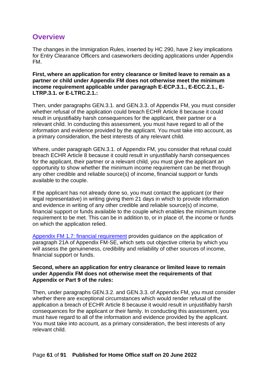## **Overview**

The changes in the Immigration Rules, inserted by HC 290, have 2 key implications for Entry Clearance Officers and caseworkers deciding applications under Appendix FM.

**First, where an application for entry clearance or limited leave to remain as a partner or child under Appendix FM does not otherwise meet the minimum**  income requirement applicable under paragraph E-ECP.3.1., E-ECC.2.1., E-**LTRP.3.1. or E-LTRC.2.1.:** 

Then, under paragraphs GEN.3.1. and GEN.3.3. of Appendix FM, you must consider whether refusal of the application could breach ECHR Article 8 because it could result in unjustifiably harsh consequences for the applicant, their partner or a relevant child. In conducting this assessment, you must have regard to all of the information and evidence provided by the applicant. You must take into account, as a primary consideration, the best interests of any relevant child.

Where, under paragraph GEN.3.1. of Appendix FM, you consider that refusal could breach ECHR Article 8 because it could result in unjustifiably harsh consequences for the applicant, their partner or a relevant child, you must give the applicant an opportunity to show whether the minimum income requirement can be met through any other credible and reliable source(s) of income, financial support or funds available to the couple.

If the applicant has not already done so, you must contact the applicant (or their legal representative) in writing giving them 21 days in which to provide information and evidence in writing of any other credible and reliable source(s) of income, financial support or funds available to the couple which enables the minimum income requirement to be met. This can be in addition to, or in place of, the income or funds on which the application relied.

[Appendix FM 1.7: financial requirement](https://www.gov.uk/government/publications/chapter-8-appendix-fm-family-members) provides guidance on the application of paragraph 21A of Appendix FM-SE, which sets out objective criteria by which you will assess the genuineness, credibility and reliability of other sources of income, financial support or funds.

#### **Second, where an application for entry clearance or limited leave to remain under Appendix FM does not otherwise meet the requirements of that Appendix or Part 9 of the rules:**

Then, under paragraphs GEN.3.2. and GEN.3.3. of Appendix FM, you must consider whether there are exceptional circumstances which would render refusal of the application a breach of ECHR Article 8 because it would result in unjustifiably harsh consequences for the applicant or their family. In conducting this assessment, you must have regard to all of the information and evidence provided by the applicant. You must take into account, as a primary consideration, the best interests of any relevant child.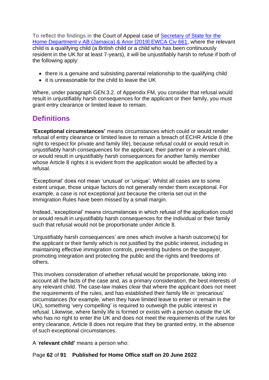To reflect the findings in the Court of Appeal case of [Secretary of State for the](https://www.bailii.org/ew/cases/EWCA/Civ/2019/661.html)  [Home Department v AB \(Jamaica\) & Anor \[2019\] EWCA Civ 661,](https://www.bailii.org/ew/cases/EWCA/Civ/2019/661.html) where the relevant child is a qualifying child (a British child or a child who has been continuously resident in the UK for at least 7-years), it will be unjustifiably harsh to refuse if both of the following apply:

- there is a genuine and subsisting parental relationship to the qualifying child
- it is unreasonable for the child to leave the UK

Where, under paragraph GEN.3.2. of Appendix FM, you consider that refusal would result in unjustifiably harsh consequences for the applicant or their family, you must grant entry clearance or limited leave to remain.

## **Definitions**

**'Exceptional circumstances'** means circumstances which could or would render refusal of entry clearance or limited leave to remain a breach of ECHR Article 8 (the right to respect for private and family life), because refusal could or would result in unjustifiably harsh consequences for the applicant, their partner or a relevant child, or would result in unjustifiably harsh consequences for another family member whose Article 8 rights it is evident from the application would be affected by a refusal.

'Exceptional' does not mean 'unusual' or 'unique'. Whilst all cases are to some extent unique, those unique factors do not generally render them exceptional. For example, a case is not exceptional just because the criteria set out in the Immigration Rules have been missed by a small margin.

Instead, 'exceptional' means circumstances in which refusal of the application could or would result in unjustifiably harsh consequences for the individual or their family such that refusal would not be proportionate under Article 8.

'Unjustifiably harsh consequences' are ones which involve a harsh outcome(s) for the applicant or their family which is not justified by the public interest, including in maintaining effective immigration controls, preventing burdens on the taxpayer, promoting integration and protecting the public and the rights and freedoms of others.

This involves consideration of whether refusal would be proportionate, taking into account all the facts of the case and, as a primary consideration, the best interests of any relevant child. The case-law makes clear that where the applicant does not meet the requirements of the rules, and has established their family life in 'precarious' circumstances (for example, when they have limited leave to enter or remain in the UK), something 'very compelling' is required to outweigh the public interest in refusal. Likewise, where family life is formed or exists with a person outside the UK who has no right to enter the UK and does not meet the requirements of the rules for entry clearance, Article 8 does not require that they be granted entry, in the absence of such exceptional circumstances.

A '**relevant child'** means a person who:

#### Page **62** of **91 Published for Home Office staff on 20 June 2022**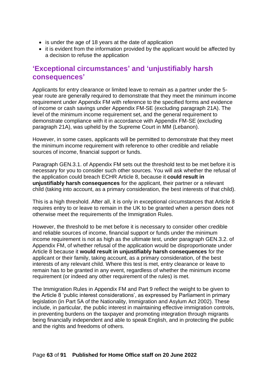- is under the age of 18 years at the date of application
- it is evident from the information provided by the applicant would be affected by a decision to refuse the application

## **'Exceptional circumstances' and 'unjustifiably harsh consequences'**

Applicants for entry clearance or limited leave to remain as a partner under the 5 year route are generally required to demonstrate that they meet the minimum income requirement under Appendix FM with reference to the specified forms and evidence of income or cash savings under Appendix FM-SE (excluding paragraph 21A). The level of the minimum income requirement set, and the general requirement to demonstrate compliance with it in accordance with Appendix FM-SE (excluding paragraph 21A), was upheld by the Supreme Court in MM (Lebanon).

However, in some cases, applicants will be permitted to demonstrate that they meet the minimum income requirement with reference to other credible and reliable sources of income, financial support or funds.

Paragraph GEN.3.1. of Appendix FM sets out the threshold test to be met before it is necessary for you to consider such other sources. You will ask whether the refusal of the application could breach ECHR Article 8, because it **could result in unjustifiably harsh consequences** for the applicant, their partner or a relevant child (taking into account, as a primary consideration, the best interests of that child).

This is a high threshold. After all, it is only in exceptional circumstances that Article 8 requires entry to or leave to remain in the UK to be granted when a person does not otherwise meet the requirements of the Immigration Rules.

However, the threshold to be met before it is necessary to consider other credible and reliable sources of income, financial support or funds under the minimum income requirement is not as high as the ultimate test, under paragraph GEN.3.2. of Appendix FM, of whether refusal of the application would be disproportionate under Article 8 because it **would result in unjustifiably harsh consequences** for the applicant or their family, taking account, as a primary consideration, of the best interests of any relevant child. Where this test is met, entry clearance or leave to remain has to be granted in any event, regardless of whether the minimum income requirement (or indeed any other requirement of the rules) is met.

The Immigration Rules in Appendix FM and Part 9 reflect the weight to be given to the Article 8 'public interest considerations', as expressed by Parliament in primary legislation (in Part 5A of the Nationality, Immigration and Asylum Act 2002). These include, in particular, the public interest in maintaining effective immigration controls, in preventing burdens on the taxpayer and promoting integration through migrants being financially independent and able to speak English, and in protecting the public and the rights and freedoms of others.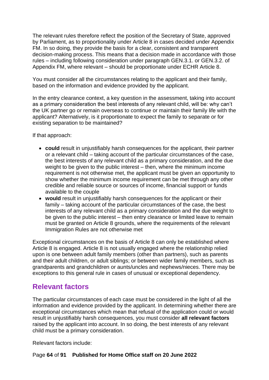The relevant rules therefore reflect the position of the Secretary of State, approved by Parliament, as to proportionality under Article 8 in cases decided under Appendix FM. In so doing, they provide the basis for a clear, consistent and transparent decision-making process. This means that a decision made in accordance with those rules – including following consideration under paragraph GEN.3.1. or GEN.3.2. of Appendix FM, where relevant – should be proportionate under ECHR Article 8.

You must consider all the circumstances relating to the applicant and their family, based on the information and evidence provided by the applicant.

In the entry clearance context, a key question in the assessment, taking into account as a primary consideration the best interests of any relevant child, will be: why can't the UK partner go or remain overseas to continue or maintain their family life with the applicant? Alternatively, is it proportionate to expect the family to separate or for existing separation to be maintained?

If that approach:

- **could** result in unjustifiably harsh consequences for the applicant, their partner or a relevant child – taking account of the particular circumstances of the case, the best interests of any relevant child as a primary consideration, and the due weight to be given to the public interest – then, where the minimum income requirement is not otherwise met, the applicant must be given an opportunity to show whether the minimum income requirement can be met through any other credible and reliable source or sources of income, financial support or funds available to the couple
- **would** result in unjustifiably harsh consequences for the applicant or their family – taking account of the particular circumstances of the case, the best interests of any relevant child as a primary consideration and the due weight to be given to the public interest – then entry clearance or limited leave to remain must be granted on Article 8 grounds, where the requirements of the relevant Immigration Rules are not otherwise met

Exceptional circumstances on the basis of Article 8 can only be established where Article 8 is engaged. Article 8 is not usually engaged where the relationship relied upon is one between adult family members (other than partners), such as parents and their adult children, or adult siblings; or between wider family members, such as grandparents and grandchildren or aunts/uncles and nephews/nieces. There may be exceptions to this general rule in cases of unusual or exceptional dependency.

## **Relevant factors**

The particular circumstances of each case must be considered in the light of all the information and evidence provided by the applicant. In determining whether there are exceptional circumstances which mean that refusal of the application could or would result in unjustifiably harsh consequences, you must consider **all relevant factors** raised by the applicant into account. In so doing, the best interests of any relevant child must be a primary consideration.

Relevant factors include: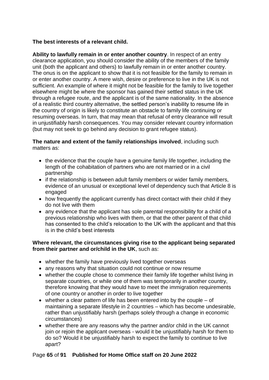#### **The best interests of a relevant child.**

**Ability to lawfully remain in or enter another country**. In respect of an entry clearance application, you should consider the ability of the members of the family unit (both the applicant and others) to lawfully remain in or enter another country. The onus is on the applicant to show that it is not feasible for the family to remain in or enter another country. A mere wish, desire or preference to live in the UK is not sufficient. An example of where it might not be feasible for the family to live together elsewhere might be where the sponsor has gained their settled status in the UK through a refugee route, and the applicant is of the same nationality. In the absence of a realistic third country alternative, the settled person's inability to resume life in the country of origin is likely to constitute an obstacle to family life continuing or resuming overseas. In turn, that may mean that refusal of entry clearance will result in unjustifiably harsh consequences. You may consider relevant country information (but may not seek to go behind any decision to grant refugee status).

#### **The nature and extent of the family relationships involved**, including such matters as:

- the evidence that the couple have a genuine family life together, including the length of the cohabitation of partners who are not married or in a civil partnership
- if the relationship is between adult family members or wider family members, evidence of an unusual or exceptional level of dependency such that Article 8 is engaged
- how frequently the applicant currently has direct contact with their child if they do not live with them
- any evidence that the applicant has sole parental responsibility for a child of a previous relationship who lives with them, or that the other parent of that child has consented to the child's relocation to the UK with the applicant and that this is in the child's best interests

#### **Where relevant, the circumstances giving rise to the applicant being separated from their partner and or/child in the UK**, such as:

- whether the family have previously lived together overseas
- any reasons why that situation could not continue or now resume
- whether the couple chose to commence their family life together whilst living in separate countries, or while one of them was temporarily in another country, therefore knowing that they would have to meet the immigration requirements of one country or another in order to live together
- whether a clear pattern of life has been entered into by the couple of maintaining a separate lifestyle in 2 countries – which has become undesirable, rather than unjustifiably harsh (perhaps solely through a change in economic circumstances)
- whether there are any reasons why the partner and/or child in the UK cannot join or rejoin the applicant overseas - would it be unjustifiably harsh for them to do so? Would it be unjustifiably harsh to expect the family to continue to live apart?

#### Page **65** of **91 Published for Home Office staff on 20 June 2022**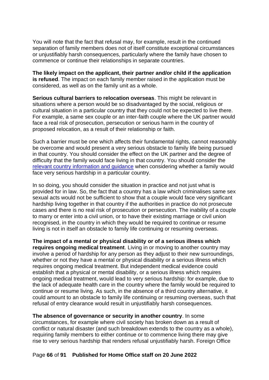You will note that the fact that refusal may, for example, result in the continued separation of family members does not of itself constitute exceptional circumstances or unjustifiably harsh consequences, particularly where the family have chosen to commence or continue their relationships in separate countries.

**The likely impact on the applicant, their partner and/or child if the application is refused**. The impact on each family member raised in the application must be considered, as well as on the family unit as a whole.

**Serious cultural barriers to relocation overseas**. This might be relevant in situations where a person would be so disadvantaged by the social, religious or cultural situation in a particular country that they could not be expected to live there. For example, a same sex couple or an inter-faith couple where the UK partner would face a real risk of prosecution, persecution or serious harm in the country of proposed relocation, as a result of their relationship or faith.

Such a barrier must be one which affects their fundamental rights, cannot reasonably be overcome and would present a very serious obstacle to family life being pursued in that country. You should consider the effect on the UK partner and the degree of difficulty that the family would face living in that country. You should consider the relevant country [information and guidance](https://www.gov.uk/government/collections/country-information-and-guidance) when considering whether a family would face very serious hardship in a particular country.

In so doing, you should consider the situation in practice and not just what is provided for in law. So, the fact that a country has a law which criminalises same sex sexual acts would not be sufficient to show that a couple would face very significant hardship living together in that country if the authorities in practice do not prosecute cases and there is no real risk of prosecution or persecution. The inability of a couple to marry or enter into a civil union, or to have their existing marriage or civil union recognised, in the country in which they would be required to continue or resume living is not in itself an obstacle to family life continuing or resuming overseas.

**The impact of a mental or physical disability or of a serious illness which requires ongoing medical treatment**. Living in or moving to another country may involve a period of hardship for any person as they adjust to their new surroundings, whether or not they have a mental or physical disability or a serious illness which requires ongoing medical treatment. But independent medical evidence could establish that a physical or mental disability, or a serious illness which requires ongoing medical treatment, would lead to very serious hardship: for example, due to the lack of adequate health care in the country where the family would be required to continue or resume living. As such, in the absence of a third country alternative, it could amount to an obstacle to family life continuing or resuming overseas, such that refusal of entry clearance would result in unjustifiably harsh consequences.

**The absence of governance or security in another country**. In some circumstances, for example where civil society has broken down as a result of conflict or natural disaster (and such breakdown extends to the country as a whole), requiring family members to either continue or to commence living there may give rise to very serious hardship that renders refusal unjustifiably harsh. Foreign Office

#### Page **66** of **91 Published for Home Office staff on 20 June 2022**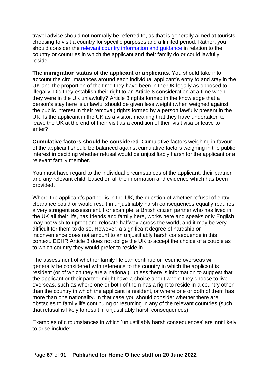travel advice should not normally be referred to, as that is generally aimed at tourists choosing to visit a country for specific purposes and a limited period. Rather, you should consider the [relevant country information and guidance](https://www.gov.uk/government/collections/country-information-and-guidance) in relation to the country or countries in which the applicant and their family do or could lawfully reside.

**The immigration status of the applicant or applicants**. You should take into account the circumstances around each individual applicant's entry to and stay in the UK and the proportion of the time they have been in the UK legally as opposed to illegally. Did they establish their right to an Article 8 consideration at a time when they were in the UK unlawfully? Article 8 rights formed in the knowledge that a person's stay here is unlawful should be given less weight (when weighed against the public interest in their removal) rights formed by a person lawfully present in the UK. Is the applicant in the UK as a visitor, meaning that they have undertaken to leave the UK at the end of their visit as a condition of their visit visa or leave to enter?

**Cumulative factors should be considered**. Cumulative factors weighing in favour of the applicant should be balanced against cumulative factors weighing in the public interest in deciding whether refusal would be unjustifiably harsh for the applicant or a relevant family member.

You must have regard to the individual circumstances of the applicant, their partner and any relevant child, based on all the information and evidence which has been provided.

Where the applicant's partner is in the UK, the question of whether refusal of entry clearance could or would result in unjustifiably harsh consequences equally requires a very stringent assessment. For example, a British citizen partner who has lived in the UK all their life, has friends and family here, works here and speaks only English may not wish to uproot and relocate halfway across the world, and it may be very difficult for them to do so. However, a significant degree of hardship or inconvenience does not amount to an unjustifiably harsh consequence in this context. ECHR Article 8 does not oblige the UK to accept the choice of a couple as to which country they would prefer to reside in.

The assessment of whether family life can continue or resume overseas will generally be considered with reference to the country in which the applicant is resident (or of which they are a national), unless there is information to suggest that the applicant or their partner might have a choice about where they choose to live overseas, such as where one or both of them has a right to reside in a country other than the country in which the applicant is resident, or where one or both of them has more than one nationality. In that case you should consider whether there are obstacles to family life continuing or resuming in any of the relevant countries (such that refusal is likely to result in unjustifiably harsh consequences).

Examples of circumstances in which 'unjustifiably harsh consequences' are **not** likely to arise include: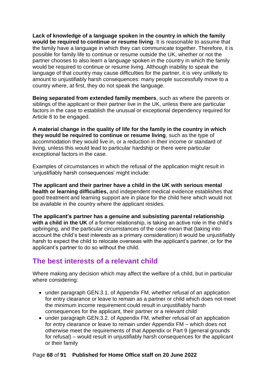**Lack of knowledge of a language spoken in the country in which the family would be required to continue or resume living**. It is reasonable to assume that the family have a language in which they can communicate together. Therefore, it is possible for family life to continue or resume outside the UK, whether or not the partner chooses to also learn a language spoken in the country in which the family would be required to continue or resume living. Although inability to speak the language of that country may cause difficulties for the partner, it is very unlikely to amount to unjustifiably harsh consequences: many people successfully move to a country where, at first, they do not speak the language.

**Being separated from extended family members**, such as where the parents or siblings of the applicant or their partner live in the UK, unless there are particular factors in the case to establish the unusual or exceptional dependency required for Article 8 to be engaged.

**A material change in the quality of life for the family in the country in which they would be required to continue or resume living**, such as the type of accommodation they would live in, or a reduction in their income or standard of living, unless this would lead to particular hardship or there were particular exceptional factors in the case.

Examples of circumstances in which the refusal of the application might result in 'unjustifiably harsh consequences' might include:

**The applicant and their partner have a child in the UK with serious mental health or learning difficulties,** and independent medical evidence establishes that good treatment and learning support are in place for the child here which would not be available in the country where the applicant resides.

**The applicant's partner has a genuine and subsisting parental relationship with a child in the UK** of a former relationship, is taking an active role in the child's upbringing, and the particular circumstances of the case mean that (taking into account the child's best interests as a primary consideration) it would be unjustifiably harsh to expect the child to relocate overseas with the applicant's partner, or for the applicant's partner to do so without the child.

## **The best interests of a relevant child**

Where making any decision which may affect the welfare of a child, but in particular where considering:

- under paragraph GEN.3.1. of Appendix FM, whether refusal of an application for entry clearance or leave to remain as a partner or child which does not meet the minimum income requirement could result in unjustifiably harsh consequences for the applicant, their partner or a relevant child
- under paragraph GEN.3.2. of Appendix FM, whether refusal of an application for entry clearance or leave to remain under Appendix FM – which does not otherwise meet the requirements of that Appendix or Part 9 (general grounds for refusal) – would result in unjustifiably harsh consequences for the applicant or their family

#### Page **68** of **91 Published for Home Office staff on 20 June 2022**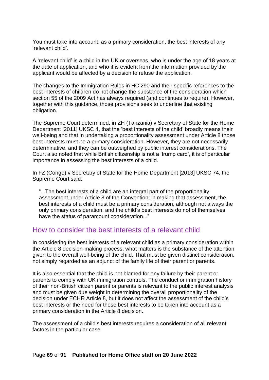You must take into account, as a primary consideration, the best interests of any 'relevant child'.

A 'relevant child' is a child in the UK or overseas, who is under the age of 18 years at the date of application, and who it is evident from the information provided by the applicant would be affected by a decision to refuse the application.

The changes to the Immigration Rules in HC 290 and their specific references to the best interests of children do not change the substance of the consideration which section 55 of the 2009 Act has always required (and continues to require). However, together with this guidance, those provisions seek to underline that existing obligation.

The Supreme Court determined, in ZH (Tanzania) v Secretary of State for the Home Department [2011] UKSC 4, that the 'best interests of the child' broadly means their well-being and that in undertaking a proportionality assessment under Article 8 those best interests must be a primary consideration. However, they are not necessarily determinative, and they can be outweighed by public interest considerations. The Court also noted that while British citizenship is not a 'trump card', it is of particular importance in assessing the best interests of a child.

In FZ (Congo) v Secretary of State for the Home Department [2013] UKSC 74, the Supreme Court said:

"...The best interests of a child are an integral part of the proportionality assessment under Article 8 of the Convention; in making that assessment, the best interests of a child must be a primary consideration, although not always the only primary consideration; and the child's best interests do not of themselves have the status of paramount consideration..."

## How to consider the best interests of a relevant child

In considering the best interests of a relevant child as a primary consideration within the Article 8 decision-making process, what matters is the substance of the attention given to the overall well-being of the child. That must be given distinct consideration, not simply regarded as an adjunct of the family life of their parent or parents.

It is also essential that the child is not blamed for any failure by their parent or parents to comply with UK immigration controls. The conduct or immigration history of their non-British citizen parent or parents is relevant to the public interest analysis and must be given due weight in determining the overall proportionality of the decision under ECHR Article 8, but it does not affect the assessment of the child's best interests or the need for those best interests to be taken into account as a primary consideration in the Article 8 decision.

The assessment of a child's best interests requires a consideration of all relevant factors in the particular case.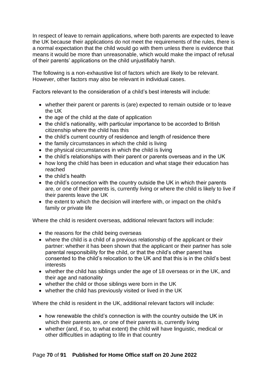In respect of leave to remain applications, where both parents are expected to leave the UK because their applications do not meet the requirements of the rules, there is a normal expectation that the child would go with them unless there is evidence that means it would be more than unreasonable, which would make the impact of refusal of their parents' applications on the child unjustifiably harsh.

The following is a non-exhaustive list of factors which are likely to be relevant. However, other factors may also be relevant in individual cases.

Factors relevant to the consideration of a child's best interests will include:

- whether their parent or parents is (are) expected to remain outside or to leave the UK
- the age of the child at the date of application
- the child's nationality, with particular importance to be accorded to British citizenship where the child has this
- the child's current country of residence and length of residence there
- the family circumstances in which the child is living
- the physical circumstances in which the child is living
- the child's relationships with their parent or parents overseas and in the UK
- how long the child has been in education and what stage their education has reached
- the child's health
- the child's connection with the country outside the UK in which their parents are, or one of their parents is, currently living or where the child is likely to live if their parents leave the UK
- the extent to which the decision will interfere with, or impact on the child's family or private life

Where the child is resident overseas, additional relevant factors will include:

- the reasons for the child being overseas
- where the child is a child of a previous relationship of the applicant or their partner: whether it has been shown that the applicant or their partner has sole parental responsibility for the child, or that the child's other parent has consented to the child's relocation to the UK and that this is in the child's best interests
- whether the child has siblings under the age of 18 overseas or in the UK, and their age and nationality
- whether the child or those siblings were born in the UK
- whether the child has previously visited or lived in the UK

Where the child is resident in the UK, additional relevant factors will include:

- how renewable the child's connection is with the country outside the UK in which their parents are, or one of their parents is, currently living
- whether (and, if so, to what extent) the child will have linguistic, medical or other difficulties in adapting to life in that country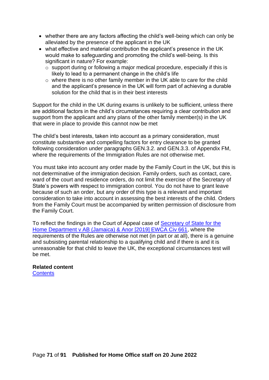- whether there are any factors affecting the child's well-being which can only be alleviated by the presence of the applicant in the UK
- what effective and material contribution the applicant's presence in the UK would make to safeguarding and promoting the child's well-being. Is this significant in nature? For example:
	- o support during or following a major medical procedure, especially if this is likely to lead to a permanent change in the child's life
	- o where there is no other family member in the UK able to care for the child and the applicant's presence in the UK will form part of achieving a durable solution for the child that is in their best interests

Support for the child in the UK during exams is unlikely to be sufficient, unless there are additional factors in the child's circumstances requiring a clear contribution and support from the applicant and any plans of the other family member(s) in the UK that were in place to provide this cannot now be met

The child's best interests, taken into account as a primary consideration, must constitute substantive and compelling factors for entry clearance to be granted following consideration under paragraphs GEN.3.2. and GEN.3.3. of Appendix FM, where the requirements of the Immigration Rules are not otherwise met.

You must take into account any order made by the Family Court in the UK, but this is not determinative of the immigration decision. Family orders, such as contact, care, ward of the court and residence orders, do not limit the exercise of the Secretary of State's powers with respect to immigration control. You do not have to grant leave because of such an order, but any order of this type is a relevant and important consideration to take into account in assessing the best interests of the child. Orders from the Family Court must be accompanied by written permission of disclosure from the Family Court.

To reflect the findings in the Court of Appeal case of [Secretary of State for the](https://www.bailii.org/ew/cases/EWCA/Civ/2019/661.html)  [Home Department v AB \(Jamaica\) & Anor \[2019\] EWCA Civ 661,](https://www.bailii.org/ew/cases/EWCA/Civ/2019/661.html) where the requirements of the Rules are otherwise not met (in part or at all), there is a genuine and subsisting parental relationship to a qualifying child and if there is and it is unreasonable for that child to leave the UK, the exceptional circumstances test will be met.

## **Related content**

**[Contents](#page-1-0)**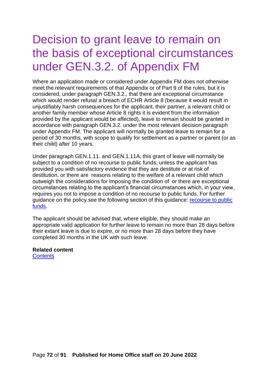# Decision to grant leave to remain on the basis of exceptional circumstances under GEN.3.2. of Appendix FM

Where an application made or considered under Appendix FM does not otherwise meet the relevant requirements of that Appendix or of Part 9 of the rules, but it is considered, under paragraph GEN.3.2., that there are exceptional circumstance which would render refusal a breach of ECHR Article 8 (because it would result in unjustifiably harsh consequences for the applicant, their partner, a relevant child or another family member whose Article 8 rights it is evident from the information provided by the applicant would be affected), leave to remain should be granted in accordance with paragraph GEN.3.2. under the most relevant decision paragraph under Appendix FM. The applicant will normally be granted leave to remain for a period of 30 months, with scope to qualify for settlement as a partner or parent (or as their child) after 10 years.

Under paragraph GEN.1.11. and GEN.1.11A, this grant of leave will normally be subject to a condition of no recourse to public funds, unless the applicant has provided you with satisfactory evidence that they are destitute or at risk of destitution, or there are reasons relating to the welfare of a relevant child which outweigh the considerations for imposing the condition of or there are exceptional circumstances relating to the applicant's financial circumstances which, in your view, requires you not to impose a condition of no recourse to public funds. For further guidance on the policy see the following section of this guidance: [recourse to public](#page-90-0)  [funds.](#page-90-0)

The applicant should be advised that, where eligible, they should make an appropriate valid application for further leave to remain no more than 28 days before their extant leave is due to expire, or no more than 28 days before they have completed 30 months in the UK with such leave.

**Related content**

**[Contents](#page-1-0)**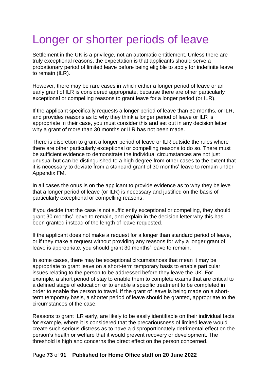# Longer or shorter periods of leave

Settlement in the UK is a privilege, not an automatic entitlement. Unless there are truly exceptional reasons, the expectation is that applicants should serve a probationary period of limited leave before being eligible to apply for indefinite leave to remain (ILR).

However, there may be rare cases in which either a longer period of leave or an early grant of ILR is considered appropriate, because there are other particularly exceptional or compelling reasons to grant leave for a longer period (or ILR).

If the applicant specifically requests a longer period of leave than 30 months, or ILR, and provides reasons as to why they think a longer period of leave or ILR is appropriate in their case, you must consider this and set out in any decision letter why a grant of more than 30 months or ILR has not been made.

There is discretion to grant a longer period of leave or ILR outside the rules where there are other particularly exceptional or compelling reasons to do so. There must be sufficient evidence to demonstrate the individual circumstances are not just unusual but can be distinguished to a high degree from other cases to the extent that it is necessary to deviate from a standard grant of 30 months' leave to remain under Appendix FM.

In all cases the onus is on the applicant to provide evidence as to why they believe that a longer period of leave (or ILR) is necessary and justified on the basis of particularly exceptional or compelling reasons.

If you decide that the case is not sufficiently exceptional or compelling, they should grant 30 months' leave to remain, and explain in the decision letter why this has been granted instead of the length of leave requested.

If the applicant does not make a request for a longer than standard period of leave, or if they make a request without providing any reasons for why a longer grant of leave is appropriate, you should grant 30 months' leave to remain.

In some cases, there may be exceptional circumstances that mean it may be appropriate to grant leave on a short-term temporary basis to enable particular issues relating to the person to be addressed before they leave the UK. For example, a short period of stay to enable them to complete exams that are critical to a defined stage of education or to enable a specific treatment to be completed in order to enable the person to travel. If the grant of leave is being made on a shortterm temporary basis, a shorter period of leave should be granted, appropriate to the circumstances of the case.

Reasons to grant ILR early, are likely to be easily identifiable on their individual facts, for example, where it is considered that the precariousness of limited leave would create such serious distress as to have a disproportionately detrimental effect on the person's health or welfare that it would prevent recovery or development. The threshold is high and concerns the direct effect on the person concerned.

### Page **73** of **91 Published for Home Office staff on 20 June 2022**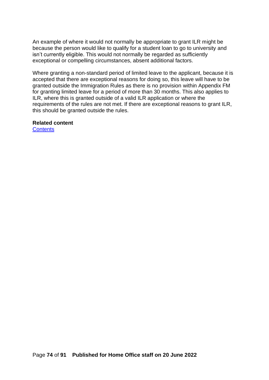An example of where it would not normally be appropriate to grant ILR might be because the person would like to qualify for a student loan to go to university and isn't currently eligible. This would not normally be regarded as sufficiently exceptional or compelling circumstances, absent additional factors.

Where granting a non-standard period of limited leave to the applicant, because it is accepted that there are exceptional reasons for doing so, this leave will have to be granted outside the Immigration Rules as there is no provision within Appendix FM for granting limited leave for a period of more than 30 months. This also applies to ILR, where this is granted outside of a valid ILR application or where the requirements of the rules are not met. If there are exceptional reasons to grant ILR, this should be granted outside the rules.

#### **Related content**

**[Contents](#page-1-0)**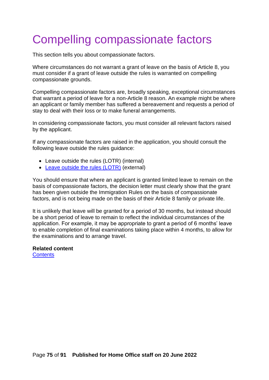# Compelling compassionate factors

This section tells you about compassionate factors.

Where circumstances do not warrant a grant of leave on the basis of Article 8, you must consider if a grant of leave outside the rules is warranted on compelling compassionate grounds.

Compelling compassionate factors are, broadly speaking, exceptional circumstances that warrant a period of leave for a non-Article 8 reason. An example might be where an applicant or family member has suffered a bereavement and requests a period of stay to deal with their loss or to make funeral arrangements.

In considering compassionate factors, you must consider all relevant factors raised by the applicant.

If any compassionate factors are raised in the application, you should consult the following leave outside the rules guidance:

- Leave outside the rules (LOTR) (internal)
- [Leave outside the rules \(LOTR\)](https://www.gov.uk/government/collections/chapter-1-general-provisions-immigration-directorate-instructions) (external)

You should ensure that where an applicant is granted limited leave to remain on the basis of compassionate factors, the decision letter must clearly show that the grant has been given outside the Immigration Rules on the basis of compassionate factors, and is not being made on the basis of their Article 8 family or private life.

It is unlikely that leave will be granted for a period of 30 months, but instead should be a short period of leave to remain to reflect the individual circumstances of the application. For example, it may be appropriate to grant a period of 6 months' leave to enable completion of final examinations taking place within 4 months, to allow for the examinations and to arrange travel.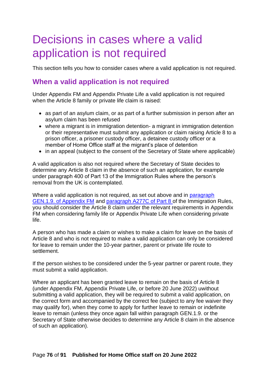## Decisions in cases where a valid application is not required

This section tells you how to consider cases where a valid application is not required.

## **When a valid application is not required**

Under Appendix FM and Appendix Private Life a valid application is not required when the Article 8 family or private life claim is raised:

- as part of an asylum claim, or as part of a further submission in person after an asylum claim has been refused
- where a migrant is in immigration detention- a migrant in immigration detention or their representative must submit any application or claim raising Article 8 to a prison officer, a prisoner custody officer, a detainee custody officer or a member of Home Office staff at the migrant's place of detention
- in an appeal (subject to the consent of the Secretary of State where applicable)

A valid application is also not required where the Secretary of State decides to determine any Article 8 claim in the absence of such an application, for example under paragraph 400 of Part 13 of the Immigration Rules where the person's removal from the UK is contemplated.

Where a valid application is not required, as set out above and in [paragraph](https://www.gov.uk/guidance/immigration-rules/immigration-rules-appendix-fm-family-members) [GEN.1.9. of Appendix FM](https://www.gov.uk/guidance/immigration-rules/immigration-rules-appendix-fm-family-members) and [paragraph A277C of Part 8](https://www.gov.uk/guidance/immigration-rules/immigration-rules-part-8-family-members) of the Immigration Rules, you should consider the Article 8 claim under the relevant requirements in Appendix FM when considering family life or Appendix Private Life when considering private life.

A person who has made a claim or wishes to make a claim for leave on the basis of Article 8 and who is not required to make a valid application can only be considered for leave to remain under the 10-year partner, parent or private life route to settlement.

If the person wishes to be considered under the 5-year partner or parent route, they must submit a valid application.

Where an applicant has been granted leave to remain on the basis of Article 8 (under [Appendix FM,](https://www.gov.uk/guidance/immigration-rules/immigration-rules-appendix-fm-family-members) Appendix Private Life, or before 20 June 2022) uwithout submitting a valid application, they will be required to submit a valid application, on the correct form and accompanied by the correct fee (subject to any fee waiver they may qualify for), when they come to apply for further leave to remain or indefinite leave to remain (unless they once again fall within paragraph GEN.1.9. or the Secretary of State otherwise decides to determine any Article 8 claim in the absence of such an application).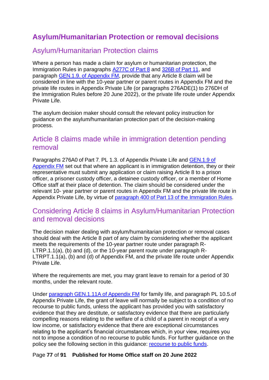## **Asylum/Humanitarian Protection or removal decisions**

## Asylum/Humanitarian Protection claims

Where a person has made a claim for asylum or humanitarian protection, the Immigration Rules in paragraphs [A277C of Part 8](https://www.gov.uk/guidance/immigration-rules/immigration-rules-part-8-family-members) and [326B of Part 11,](https://www.gov.uk/guidance/immigration-rules/immigration-rules-part-11-asylum) and paragraph [GEN.1.9. of Appendix FM,](https://www.gov.uk/guidance/immigration-rules/immigration-rules-appendix-fm-family-members) provide that any Article 8 claim will be considered in line with the 10-year partner or parent routes in Appendix FM and the private life routes in Appendix Private Life (or paragraphs 276ADE(1) to 276DH of the Immigration Rules before 20 June 2022), or the private life route under Appendix Private Life.

The asylum decision maker should consult the relevant policy instruction for guidance on the asylum/humanitarian protection part of the decision-making process.

## Article 8 claims made while in immigration detention pending removal

Paragraphs [276A0 of Part 7](https://www.gov.uk/guidance/immigration-rules/immigration-rules-part-7-other-categories), PL 1.3. of Appendix Private Life and [GEN.1.9 of](https://www.gov.uk/guidance/immigration-rules/immigration-rules-appendix-fm-family-members)  [Appendix FM](https://www.gov.uk/guidance/immigration-rules/immigration-rules-appendix-fm-family-members) set out that where an applicant is in immigration detention, they or their representative must submit any application or claim raising Article 8 to a prison officer, a prisoner custody officer, a detainee custody officer, or a member of Home Office staff at their place of detention. The claim should be considered under the relevant 10- year partner or parent routes in Appendix FM and the private life route in Appendix Private Life, by virtue of [paragraph 400 of Part 13 of the Immigration Rules.](https://www.gov.uk/guidance/immigration-rules/immigration-rules-part-13-deportation)

## Considering Article 8 claims in Asylum/Humanitarian Protection and removal decisions

The decision maker dealing with asylum/humanitarian protection or removal cases should deal with the Article 8 part of any claim by considering whether the applicant meets the requirements of the 10-year partner route under paragraph R-LTRP.1.1(a), (b) and (d), or the 10-year parent route under paragraph R-LTRPT.1.1(a), (b) and (d) of Appendix FM, and the private life route under Appendix Private Life.

Where the requirements are met, you may grant leave to remain for a period of 30 months, under the relevant route.

Under [paragraph GEN.1.11A of Appendix FM](https://www.gov.uk/guidance/immigration-rules/immigration-rules-appendix-fm-family-members) for family life, and paragraph PL 10.5.of Appendix Private Life, the grant of leave will normally be subject to a condition of no recourse to public funds, unless the applicant has provided you with satisfactory evidence that they are destitute, or satisfactory evidence that there are particularly compelling reasons relating to the welfare of a child of a parent in receipt of a very low income, or satisfactory evidence that there are exceptional circumstances relating to the applicant's financial circumstances which, in your view, requires you not to impose a condition of no recourse to public funds. For further guidance on the policy see the following section in this guidance: [recourse to public funds.](#page-90-0)

### Page **77** of **91 Published for Home Office staff on 20 June 2022**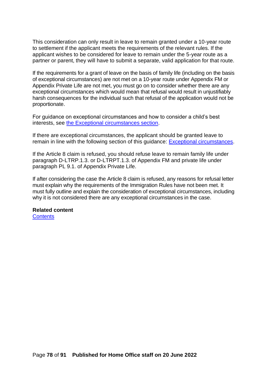This consideration can only result in leave to remain granted under a 10-year route to settlement if the applicant meets the requirements of the relevant rules. If the applicant wishes to be considered for leave to remain under the 5-year route as a partner or parent, they will have to submit a separate, valid application for that route.

If the requirements for a grant of leave on the basis of family life (including on the basis of exceptional circumstances) are not met on a 10-year route under Appendix FM or Appendix Private Life are not met, you must go on to consider whether there are any exceptional circumstances which would mean that refusal would result in unjustifiably harsh consequences for the individual such that refusal of the application would not be proportionate.

For guidance on exceptional circumstances and how to consider a child's best interests, see [the Exceptional circumstances section.](#page-58-0)

If there are exceptional circumstances, the applicant should be granted leave to remain in line with the following section of this guidance: [Exceptional circumstances.](#page-58-0)

If the Article 8 claim is refused, you should refuse leave to remain family life under paragraph D-LTRP.1.3. or D-LTRPT.1.3. of Appendix FM and private life under paragraph PL 9.1. of Appendix Private Life.

If after considering the case the Article 8 claim is refused, any reasons for refusal letter must explain why the requirements of the Immigration Rules have not been met. It must fully outline and explain the consideration of exceptional circumstances, including why it is not considered there are any exceptional circumstances in the case.

### **Related content**

<span id="page-77-0"></span>**[Contents](#page-1-0)**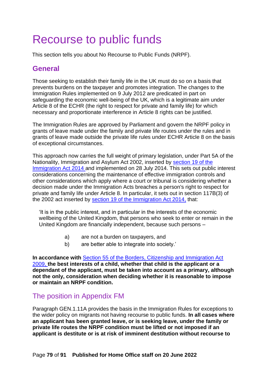# Recourse to public funds

This section tells you about No Recourse to Public Funds (NRPF).

## **General**

Those seeking to establish their family life in the UK must do so on a basis that prevents burdens on the taxpayer and promotes integration. The changes to the Immigration Rules implemented on 9 July 2012 are predicated in part on safeguarding the economic well-being of the UK, which is a legitimate aim under Article 8 of the ECHR (the right to respect for private and family life) for which necessary and proportionate interference in Article 8 rights can be justified.

The Immigration Rules are approved by Parliament and govern the NRPF policy in grants of leave made under the family and private life routes under the rules and in grants of leave made outside the private life rules under ECHR Article 8 on the basis of exceptional circumstances.

This approach now carries the full weight of primary legislation, under Part 5A of the Nationality, Immigration and Asylum Act 2002, inserted by [section 19 of the](http://www.legislation.gov.uk/ukpga/2014/22/section/19/enacted) [Immigration Act 2014](http://www.legislation.gov.uk/ukpga/2014/22/section/19/enacted) and implemented on 28 July 2014. This sets out public interest considerations concerning the maintenance of effective immigration controls and other considerations which apply where a court or tribunal is considering whether a decision made under the Immigration Acts breaches a person's right to respect for private and family life under Article 8. In particular, it sets out in section 117B(3) of the 2002 act inserted by [section 19 of the Immigration Act 2014,](http://www.legislation.gov.uk/ukpga/2014/22/section/19/enacted) that:

'It is in the public interest, and in particular in the interests of the economic wellbeing of the United Kingdom, that persons who seek to enter or remain in the United Kingdom are financially independent, because such persons –

- a) are not a burden on taxpayers, and
- b) are better able to integrate into society.'

**In accordance with** [Section 55 of the Borders, Citizenship and Immigration Act](https://www.legislation.gov.uk/ukpga/2009/11/contents)  [2009,](https://www.legislation.gov.uk/ukpga/2009/11/contents) **the best interests of a child, whether that child is the applicant or a dependant of the applicant, must be taken into account as a primary, although not the only, consideration when deciding whether it is reasonable to impose or maintain an NRPF condition.** 

## The position in Appendix FM

Paragraph GEN.1.11A provides the basis in the Immigration Rules for exceptions to the wider policy on migrants not having recourse to public funds. **In all cases where an applicant has been granted leave, or is seeking leave, under the family or private life routes the NRPF condition must be lifted or not imposed if an applicant is destitute or is at risk of imminent destitution without recourse to**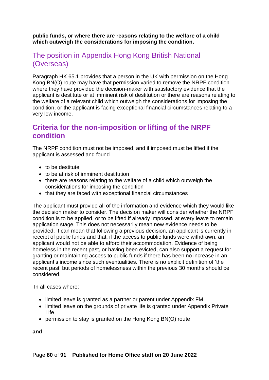**public funds, or where there are reasons relating to the welfare of a child which outweigh the considerations for imposing the condition.** 

## The position in Appendix Hong Kong British National (Overseas)

Paragraph HK 65.1 provides that a person in the UK with permission on the Hong Kong BN(O) route may have that permission varied to remove the NRPF condition where they have provided the decision-maker with satisfactory evidence that the applicant is destitute or at imminent risk of destitution or there are reasons relating to the welfare of a relevant child which outweigh the considerations for imposing the condition, or the applicant is facing exceptional financial circumstances relating to a very low income.

## **Criteria for the non-imposition or lifting of the NRPF condition**

The NRPF condition must not be imposed, and if imposed must be lifted if the applicant is assessed and found

- to be destitute
- to be at risk of imminent destitution
- there are reasons relating to the welfare of a child which outweigh the considerations for imposing the condition
- that they are faced with exceptional financial circumstances

The applicant must provide all of the information and evidence which they would like the decision maker to consider. The decision maker will consider whether the NRPF condition is to be applied, or to be lifted if already imposed, at every leave to remain application stage. This does not necessarily mean new evidence needs to be provided. It can mean that following a previous decision, an applicant is currently in receipt of public funds and that, if the access to public funds were withdrawn, an applicant would not be able to afford their accommodation. Evidence of being homeless in the recent past, or having been evicted, can also support a request for granting or maintaining access to public funds if there has been no increase in an applicant's income since such eventualities. There is no explicit definition of 'the recent past' but periods of homelessness within the previous 30 months should be considered.

In all cases where:

- limited leave is granted as a partner or parent under Appendix FM
- limited leave on the grounds of private life is granted under Appendix Private Life
- permission to stay is granted on the Hong Kong BN(O) route

**and**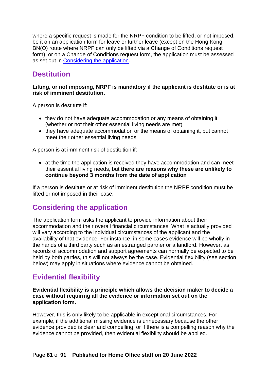where a specific request is made for the NRPF condition to be lifted, or not imposed, be it on an application form for leave or further leave (except on the Hong Kong BN(O) route where NRPF can only be lifted via a Change of Conditions request form), or on a Change of Conditions request form, the application must be assessed as set out in [Considering the application.](#page-80-0)

## **Destitution**

#### **Lifting, or not imposing, NRPF is mandatory if the applicant is destitute or is at risk of imminent destitution.**

A person is destitute if:

- they do not have adequate accommodation or any means of obtaining it (whether or not their other essential living needs are met)
- they have adequate accommodation or the means of obtaining it, but cannot meet their other essential living needs

A person is at imminent risk of destitution if:

• at the time the application is received they have accommodation and can meet their essential living needs, but **there are reasons why these are unlikely to continue beyond 3 months from the date of application**

If a person is destitute or at risk of imminent destitution the NRPF condition must be lifted or not imposed in their case.

## <span id="page-80-0"></span>**Considering the application**

The application form asks the applicant to provide information about their accommodation and their overall financial circumstances. What is actually provided will vary according to the individual circumstances of the applicant and the availability of that evidence. For instance, in some cases evidence will be wholly in the hands of a third party such as an estranged partner or a landlord. However, as records of accommodation and support agreements can normally be expected to be held by both parties, this will not always be the case. Evidential flexibility (see section below) may apply in situations where evidence cannot be obtained.

## **Evidential flexibility**

**Evidential flexibility is a principle which allows the decision maker to decide a case without requiring all the evidence or information set out on the application form.**

However, this is only likely to be applicable in exceptional circumstances. For example, if the additional missing evidence is unnecessary because the other evidence provided is clear and compelling, or if there is a compelling reason why the evidence cannot be provided, then evidential flexibility should be applied.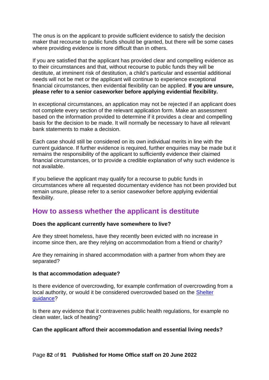The onus is on the applicant to provide sufficient evidence to satisfy the decision maker that recourse to public funds should be granted, but there will be some cases where providing evidence is more difficult than in others.

If you are satisfied that the applicant has provided clear and compelling evidence as to their circumstances and that, without recourse to public funds they will be destitute, at imminent risk of destitution, a child's particular and essential additional needs will not be met or the applicant will continue to experience exceptional financial circumstances, then evidential flexibility can be applied. **If you are unsure, please refer to a senior caseworker before applying evidential flexibility.**

In exceptional circumstances, an application may not be rejected if an applicant does not complete every section of the relevant application form. Make an assessment based on the information provided to determine if it provides a clear and compelling basis for the decision to be made. It will normally be necessary to have all relevant bank statements to make a decision.

Each case should still be considered on its own individual merits in line with the current guidance. If further evidence is required, further enquiries may be made but it remains the responsibility of the applicant to sufficiently evidence their claimed financial circumstances, or to provide a credible explanation of why such evidence is not available.

If you believe the applicant may qualify for a recourse to public funds in circumstances where all requested documentary evidence has not been provided but remain unsure, please refer to a senior caseworker before applying evidential flexibility.

## **How to assess whether the applicant is destitute**

#### **Does the applicant currently have somewhere to live?**

Are they street homeless, have they recently been evicted with no increase in income since then, are they relying on accommodation from a friend or charity?

Are they remaining in shared accommodation with a partner from whom they are separated?

#### **Is that accommodation adequate?**

Is there evidence of overcrowding, for example confirmation of overcrowding from a local authority, or would it be considered overcrowded based on the [Shelter](https://england.shelter.org.uk/housing_advice/repairs/check_if_your_home_is_overcrowded_by_law)  [guidance?](https://england.shelter.org.uk/housing_advice/repairs/check_if_your_home_is_overcrowded_by_law)

Is there any evidence that it contravenes public health regulations, for example no clean water, lack of heating?

#### **Can the applicant afford their accommodation and essential living needs?**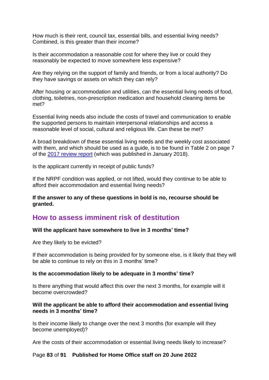How much is their rent, council tax, essential bills, and essential living needs? Combined, is this greater than their income?

Is their accommodation a reasonable cost for where they live or could they reasonably be expected to move somewhere less expensive?

Are they relying on the support of family and friends, or from a local authority? Do they have savings or assets on which they can rely?

After housing or accommodation and utilities, can the essential living needs of food, clothing, toiletries, non-prescription medication and household cleaning items be met?

Essential living needs also include the costs of travel and communication to enable the supported persons to maintain interpersonal relationships and access a reasonable level of social, cultural and religious life. Can these be met?

A broad breakdown of these essential living needs and the weekly cost associated with them, and which should be used as a guide, is to be found in Table 2 on page 7 of the [2017 review report](https://www.gov.uk/government/publications/report-on-review-of-cash-allowance-paid-to-asylum-seekers) (which was published in January 2018).

Is the applicant currently in receipt of public funds?

If the NRPF condition was applied, or not lifted, would they continue to be able to afford their accommodation and essential living needs?

**If the answer to any of these questions in bold is no, recourse should be granted.**

## **How to assess imminent risk of destitution**

#### **Will the applicant have somewhere to live in 3 months' time?**

Are they likely to be evicted?

If their accommodation is being provided for by someone else, is it likely that they will be able to continue to rely on this in 3 months' time?

#### **Is the accommodation likely to be adequate in 3 months' time?**

Is there anything that would affect this over the next 3 months, for example will it become overcrowded?

#### **Will the applicant be able to afford their accommodation and essential living needs in 3 months' time?**

Is their income likely to change over the next 3 months (for example will they become unemployed)?

Are the costs of their accommodation or essential living needs likely to increase?

#### Page **83** of **91 Published for Home Office staff on 20 June 2022**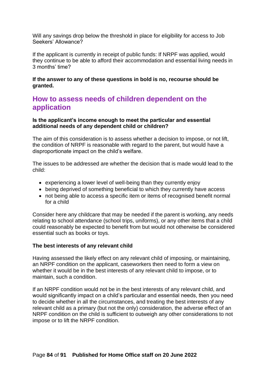Will any savings drop below the threshold in place for eligibility for access to Job Seekers' Allowance?

If the applicant is currently in receipt of public funds: If NRPF was applied, would they continue to be able to afford their accommodation and essential living needs in 3 months' time?

**If the answer to any of these questions in bold is no, recourse should be granted.**

## **How to assess needs of children dependent on the application**

**Is the applicant's income enough to meet the particular and essential additional needs of any dependent child or children?**

The aim of this consideration is to assess whether a decision to impose, or not lift, the condition of NRPF is reasonable with regard to the parent, but would have a disproportionate impact on the child's welfare.

The issues to be addressed are whether the decision that is made would lead to the child:

- experiencing a lower level of well-being than they currently enjoy
- being deprived of something beneficial to which they currently have access
- not being able to access a specific item or items of recognised benefit normal for a child

Consider here any childcare that may be needed if the parent is working, any needs relating to school attendance (school trips, uniforms), or any other items that a child could reasonably be expected to benefit from but would not otherwise be considered essential such as books or toys.

#### **The best interests of any relevant child**

Having assessed the likely effect on any relevant child of imposing, or maintaining, an NRPF condition on the applicant, caseworkers then need to form a view on whether it would be in the best interests of any relevant child to impose, or to maintain, such a condition.

If an NRPF condition would not be in the best interests of any relevant child, and would significantly impact on a child's particular and essential needs, then you need to decide whether in all the circumstances, and treating the best interests of any relevant child as a primary (but not the only) consideration, the adverse effect of an NRPF condition on the child is sufficient to outweigh any other considerations to not impose or to lift the NRPF condition.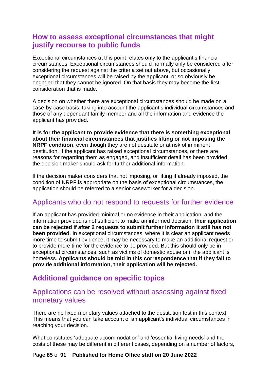## **How to assess exceptional circumstances that might justify recourse to public funds**

Exceptional circumstances at this point relates only to the applicant's financial circumstances. Exceptional circumstances should normally only be considered after considering the request against the criteria set out above, but occasionally exceptional circumstances will be raised by the applicant, or so obviously be engaged that they cannot be ignored. On that basis they may become the first consideration that is made.

A decision on whether there are exceptional circumstances should be made on a case-by-case basis, taking into account the applicant's individual circumstances and those of any dependant family member and all the information and evidence the applicant has provided.

**It is for the applicant to provide evidence that there is something exceptional about their financial circumstances that justifies lifting or not imposing the NRPF condition**, even though they are not destitute or at risk of imminent destitution. If the applicant has raised exceptional circumstances, or there are reasons for regarding them as engaged, and insufficient detail has been provided, the decision maker should ask for further additional information.

If the decision maker considers that not imposing, or lifting if already imposed, the condition of NRPF is appropriate on the basis of exceptional circumstances, the application should be referred to a senior caseworker for a decision.

## Applicants who do not respond to requests for further evidence

If an applicant has provided minimal or no evidence in their application, and the information provided is not sufficient to make an informed decision, **their application can be rejected if after 2 requests to submit further information it still has not been provided**. In exceptional circumstances, where it is clear an applicant needs more time to submit evidence, it may be necessary to make an additional request or to provide more time for the evidence to be provided. But this should only be in exceptional circumstances, such as victims of domestic abuse or if the applicant is homeless. **Applicants should be told in this correspondence that if they fail to provide additional information, their application will be rejected.** 

## **Additional guidance on specific topics**

### Applications can be resolved without assessing against fixed monetary values

There are no fixed monetary values attached to the destitution test in this context. This means that you can take account of an applicant's individual circumstances in reaching your decision.

What constitutes 'adequate accommodation' and 'essential living needs' and the costs of these may be different in different cases, depending on a number of factors,

### Page **85** of **91 Published for Home Office staff on 20 June 2022**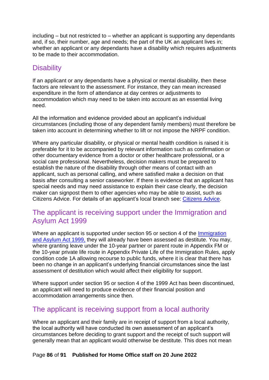including – but not restricted to – whether an applicant is supporting any dependants and, if so, their number, age and needs; the part of the UK an applicant lives in; whether an applicant or any dependants have a disability which requires adjustments to be made to their accommodation.

## **Disability**

If an applicant or any dependants have a physical or mental disability, then these factors are relevant to the assessment. For instance, they can mean increased expenditure in the form of attendance at day centres or adjustments to accommodation which may need to be taken into account as an essential living need.

All the information and evidence provided about an applicant's individual circumstances (including those of any dependent family members) must therefore be taken into account in determining whether to lift or not impose the NRPF condition.

Where any particular disability, or physical or mental health condition is raised it is preferable for it to be accompanied by relevant information such as confirmation or other documentary evidence from a doctor or other healthcare professional, or a social care professional. Nevertheless, decision makers must be prepared to establish the nature of the disability through other means of contact with an applicant, such as personal calling, and where satisfied make a decision on that basis after consulting a senior caseworker. If there is evidence that an applicant has special needs and may need assistance to explain their case clearly, the decision maker can signpost them to other agencies who may be able to assist, such as Citizens Advice. For details of an applicant's local branch see: [Citizens](http://www.citizensadvice.org.uk/) [Advice.](http://www.citizensadvice.org.uk/)

## The applicant is receiving support under the Immigration and Asylum Act 1999

Where an applicant is supported under section 95 or section 4 of the [Immigration](http://www.legislation.gov.uk/ukpga/1999/33/contents) [and Asylum Act 1999,](http://www.legislation.gov.uk/ukpga/1999/33/contents) they will already have been assessed as destitute. You may, where granting leave under the 10-year partner or parent route in Appendix FM or the 10-year private life route in Appendix Private Life of the Immigration Rules, apply condition code 1A allowing recourse to public funds, where it is clear that there has been no change in an applicant's underlying financial circumstances since the last assessment of destitution which would affect their eligibility for support.

Where support under section 95 or section 4 of the 1999 Act has been discontinued, an applicant will need to produce evidence of their financial position and accommodation arrangements since then.

## The applicant is receiving support from a local authority

Where an applicant and their family are in receipt of support from a local authority, the local authority will have conducted its own assessment of an applicant's circumstances before deciding to grant support and the receipt of such support will generally mean that an applicant would otherwise be destitute. This does not mean

### Page **86** of **91 Published for Home Office staff on 20 June 2022**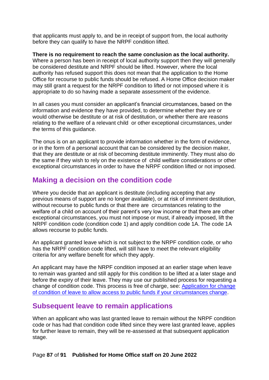that applicants must apply to, and be in receipt of support from, the local authority before they can qualify to have the NRPF condition lifted.

**There is no requirement to reach the same conclusion as the local authority.** Where a person has been in receipt of local authority support then they will generally be considered destitute and NRPF should be lifted. However, where the local authority has refused support this does not mean that the application to the Home Office for recourse to public funds should be refused. A Home Office decision maker may still grant a request for the NRPF condition to lifted or not imposed where it is appropriate to do so having made a separate assessment of the evidence.

In all cases you must consider an applicant's financial circumstances, based on the information and evidence they have provided, to determine whether they are or would otherwise be destitute or at risk of destitution, or whether there are reasons relating to the welfare of a relevant child or other exceptional circumstances, under the terms of this guidance.

The onus is on an applicant to provide information whether in the form of evidence, or in the form of a personal account that can be considered by the decision maker, that they are destitute or at risk of becoming destitute imminently. They must also do the same if they wish to rely on the existence of child welfare considerations or other exceptional circumstances in order to have the NRPF condition lifted or not imposed.

## **Making a decision on the condition code**

Where you decide that an applicant is destitute (including accepting that any previous means of support are no longer available), or at risk of imminent destitution, without recourse to public funds or that there are circumstances relating to the welfare of a child on account of their parent's very low income or that there are other exceptional circumstances, you must not impose or must, if already imposed, lift the NRPF condition code (condition code 1) and apply condition code 1A. The code 1A allows recourse to public funds.

An applicant granted leave which is not subject to the NRPF condition code, or who has the NRPF condition code lifted, will still have to meet the relevant eligibility criteria for any welfare benefit for which they apply.

An applicant may have the NRPF condition imposed at an earlier stage when leave to remain was granted and still apply for this condition to be lifted at a later stage and before the expiry of their leave. They may use our published process for requesting a change of condition code. This process is free of charge, see: [Application for change](https://www.gov.uk/government/publications/application-for-change-of-conditions-of-leave-to-allow-access-to-public-funds-if-your-circumstances-change)  [of condition of leave to allow access to public funds if your circumstances change.](https://www.gov.uk/government/publications/application-for-change-of-conditions-of-leave-to-allow-access-to-public-funds-if-your-circumstances-change)

## **Subsequent leave to remain applications**

When an applicant who was last granted leave to remain without the NRPF condition code or has had that condition code lifted since they were last granted leave, applies for further leave to remain, they will be re-assessed at that subsequent application stage.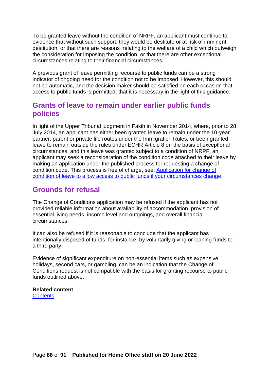To be granted leave without the condition of NRPF, an applicant must continue to evidence that without such support, they would be destitute or at risk of imminent destitution, or that there are reasons relating to the welfare of a child which outweigh the consideration for imposing the condition, or that there are other exceptional circumstances relating to their financial circumstances.

A previous grant of leave permitting recourse to public funds can be a strong indicator of ongoing need for the condition not to be imposed. However, this should not be automatic, and the decision maker should be satisfied on each occasion that access to public funds is permitted, that it is necessary in the light of this guidance.

## **Grants of leave to remain under earlier public funds policies**

In light of the Upper Tribunal judgment in Fakih in November 2014, where, prior to 28 July 2014, an applicant has either been granted leave to remain under the 10-year partner, parent or private life routes under the Immigration Rules, or been granted leave to remain outside the rules under ECHR Article 8 on the basis of exceptional circumstances, and this leave was granted subject to a condition of NRPF, an applicant may seek a reconsideration of the condition code attached to their leave by making an application under the published process for requesting a change of condition code. This process is free of charge, see: [Application for change of](https://www.gov.uk/government/publications/application-for-change-of-conditions-of-leave-to-allow-access-to-public-funds-if-your-circumstances-change)  [condition of leave to allow access to public funds if your circumstances change.](https://www.gov.uk/government/publications/application-for-change-of-conditions-of-leave-to-allow-access-to-public-funds-if-your-circumstances-change)

## **Grounds for refusal**

The Change of Conditions application may be refused if the applicant has not provided reliable information about availability of accommodation, provision of essential living needs, income level and outgoings, and overall financial circumstances.

It can also be refused if it is reasonable to conclude that the applicant has intentionally disposed of funds, for instance, by voluntarily giving or loaning funds to a third party.

Evidence of significant expenditure on non-essential items such as expensive holidays, second cars, or gambling, can be an indication that the Change of Conditions request is not compatible with the basis for granting recourse to public funds outlined above.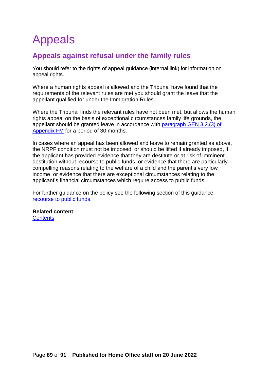# Appeals

## **Appeals against refusal under the family rules**

You should refer to the rights of appeal guidance (internal link) for information on appeal rights.

Where a human rights appeal is allowed and the Tribunal have found that the requirements of the relevant rules are met you should grant the leave that the appellant qualified for under the Immigration Rules.

Where the Tribunal finds the relevant rules have not been met, but allows the human rights appeal on the basis of exceptional circumstances family life grounds, the appellant should be granted leave in accordance with [paragraph GEN 3.2.\(3\) of](https://www.gov.uk/guidance/immigration-rules/immigration-rules-appendix-fm-family-members)  [Appendix FM](https://www.gov.uk/guidance/immigration-rules/immigration-rules-appendix-fm-family-members) for a period of 30 months.

In cases where an appeal has been allowed and leave to remain granted as above, the NRPF condition must not be imposed, or should be lifted if already imposed, if the applicant has provided evidence that they are destitute or at risk of imminent destitution without recourse to public funds, or evidence that there are particularly compelling reasons relating to the welfare of a child and the parent's very low income, or evidence that there are exceptional circumstances relating to the applicant's financial circumstances which require access to public funds.

For further guidance on the policy see the following section of this guidance: [recourse to public funds.](#page-77-0)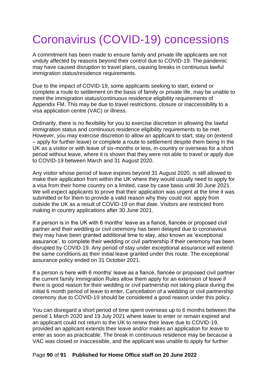# Coronavirus (COVID-19) concessions

A commitment has been made to ensure family and private life applicants are not unduly affected by reasons beyond their control due to COVID-19. The pandemic may have caused disruption to travel plans, causing breaks in continuous lawful immigration status/residence requirements.

Due to the impact of COVID-19, some applicants seeking to start, extend or complete a route to settlement on the basis of family or private life, may be unable to meet the immigration status/continuous residence eligibility requirements of Appendix FM. This may be due to travel restrictions, closure or inaccessibility to a visa application centre (VAC) or illness.

Ordinarily, there is no flexibility for you to exercise discretion in allowing the lawful immigration status and continuous residence eligibility requirements to be met. However, you may exercise discretion to allow an applicant to start, stay on (extend – apply for further leave) or complete a route to settlement despite them being in the UK as a visitor or with leave of six-months or less, in-country or overseas for a short period without leave, where it is shown that they were not able to travel or apply due to COVID-19 between March and 31 August 2020.

Any visitor whose period of leave expires beyond 31 August 2020, is still allowed to make their application from within the UK where they would usually need to apply for a visa from their home country on a limited, case by case basis until 30 June 2021. We will expect applicants to prove that their application was urgent at the time it was submitted or for them to provide a valid reason why they could not apply from outside the UK as a result of COVID-19 on that date. Visitors are restricted from making in country applications after 30 June 2021.

If a person is in the UK with 6 months' leave as a fiancé, fiancée or proposed civil partner and their wedding or civil ceremony has been delayed due to coronavirus they may have been granted additional time to stay, also known as 'exceptional assurance', to complete their wedding or civil partnership if their ceremony has been disrupted by COVID-19. Any period of stay under exceptional assurance will extend the same conditions as their initial leave granted under this route. The exceptional assurance policy ended on 31 October 2021.

If a person is here with 6 months' leave as a fiancé, fiancée or proposed civil partner the current family Immigration Rules allow them apply for an extension of leave if there is good reason for their wedding or civil partnership not taking place during the initial 6 month period of leave to enter. Cancellation of a wedding or civil partnership ceremony due to COVID-19 should be considered a good reason under this policy.

You can disregard a short period of time spent overseas up to 6 months between the period 1 March 2020 and 19 July 2021 where leave to enter or remain expired and an applicant could not return to the UK to renew their leave due to COVID-19, provided an applicant extends their leave and/or makes an application for leave to enter as soon as practicable. The break in continuous residence may be because a VAC was closed or inaccessible, and the applicant was unable to apply for further

#### Page **90** of **91 Published for Home Office staff on 20 June 2022**